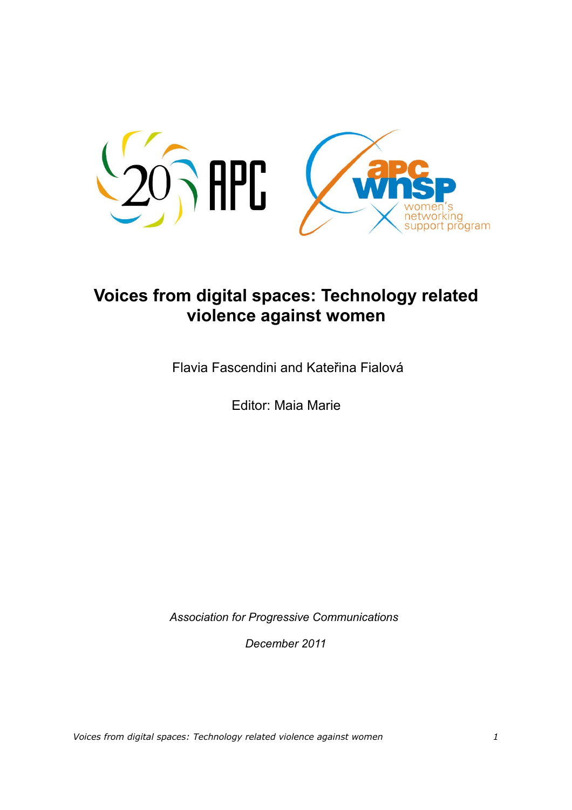

# **Voices from digital spaces: Technology related violence against women**

Flavia Fascendini and Kateřina Fialová

Editor: Maia Marie

*Association for Progressive Communications* 

*December 2011*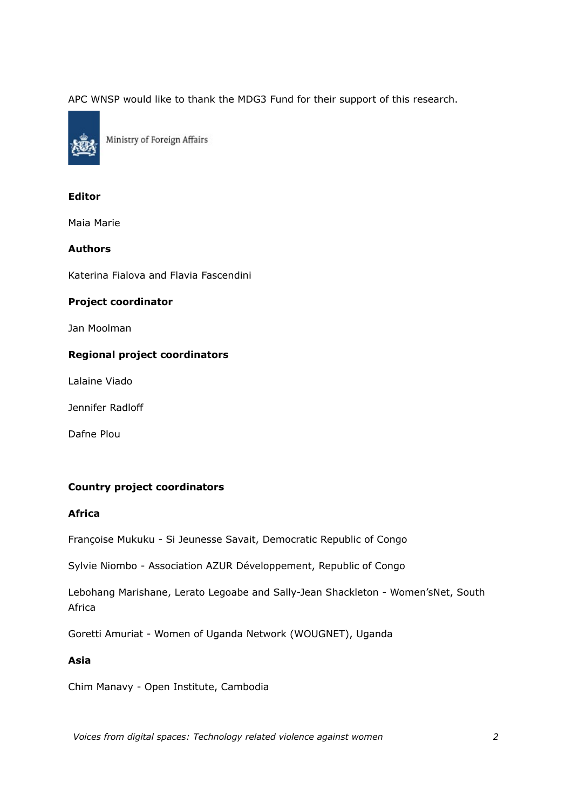APC WNSP would like to thank the MDG3 Fund for their support of this research.



Ministry of Foreign Affairs

### **Editor**

Maia Marie

### **Authors**

Katerina Fialova and Flavia Fascendini

### **Project coordinator**

Jan Moolman

### **Regional project coordinators**

Lalaine Viado

Jennifer Radloff

Dafne Plou

### **Country project coordinators**

### **Africa**

Françoise Mukuku - Si Jeunesse Savait, Democratic Republic of Congo

Sylvie Niombo - Association AZUR Développement, Republic of Congo

Lebohang Marishane, Lerato Legoabe and Sally-Jean Shackleton - Women'sNet, South Africa

Goretti Amuriat - Women of Uganda Network (WOUGNET), Uganda

# **Asia**

Chim Manavy - Open Institute, Cambodia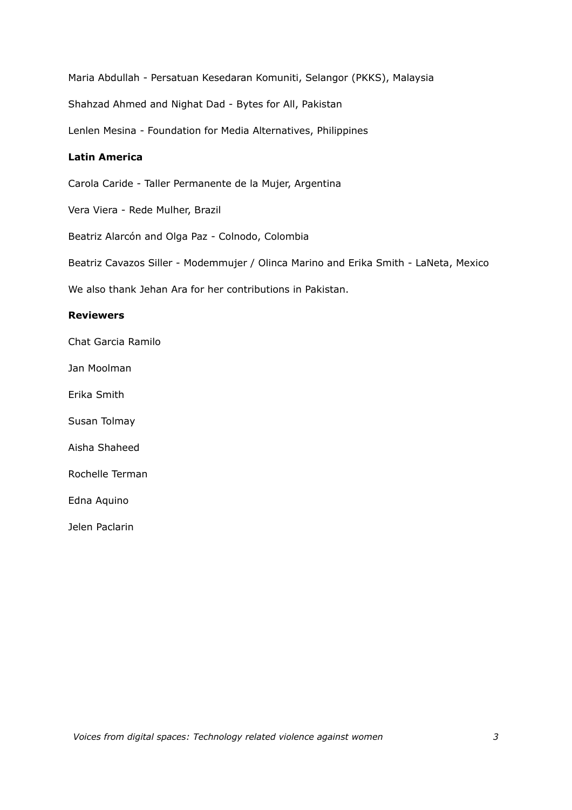Maria Abdullah - Persatuan Kesedaran Komuniti, Selangor (PKKS), Malaysia Shahzad Ahmed and Nighat Dad - Bytes for All, Pakistan Lenlen Mesina - Foundation for Media Alternatives, Philippines

### **Latin America**

Carola Caride - Taller Permanente de la Mujer, Argentina

Vera Viera - Rede Mulher, Brazil

Beatriz Alarcón and Olga Paz - Colnodo, Colombia

Beatriz Cavazos Siller - Modemmujer / Olinca Marino and Erika Smith - LaNeta, Mexico

We also thank Jehan Ara for her contributions in Pakistan.

### **Reviewers**

Chat Garcia Ramilo

Jan Moolman

Erika Smith

Susan Tolmay

Aisha Shaheed

Rochelle Terman

Edna Aquino

Jelen Paclarin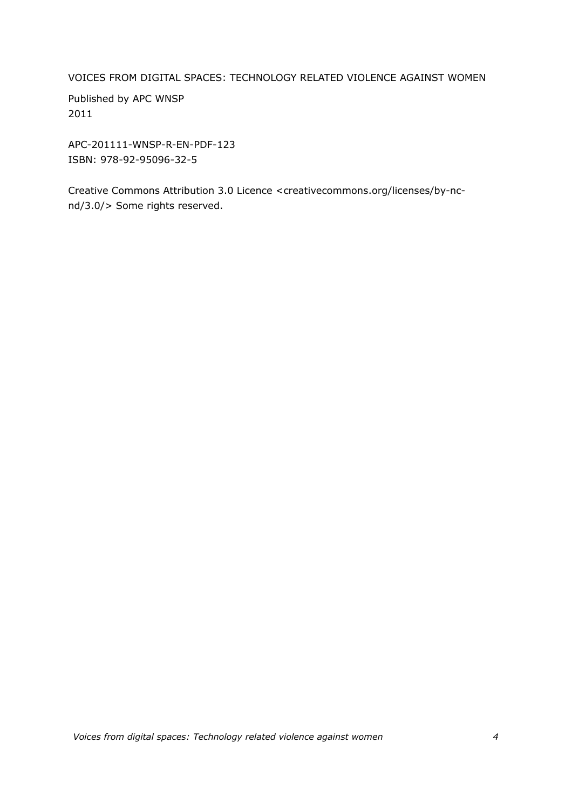VOICES FROM DIGITAL SPACES: TECHNOLOGY RELATED VIOLENCE AGAINST WOMEN

Published by APC WNSP 2011

APC-201111-WNSP-R-EN-PDF-123 ISBN: 978-92-95096-32-5

Creative Commons Attribution 3.0 Licence <creativecommons.org/licenses/by-ncnd/3.0/> Some rights reserved.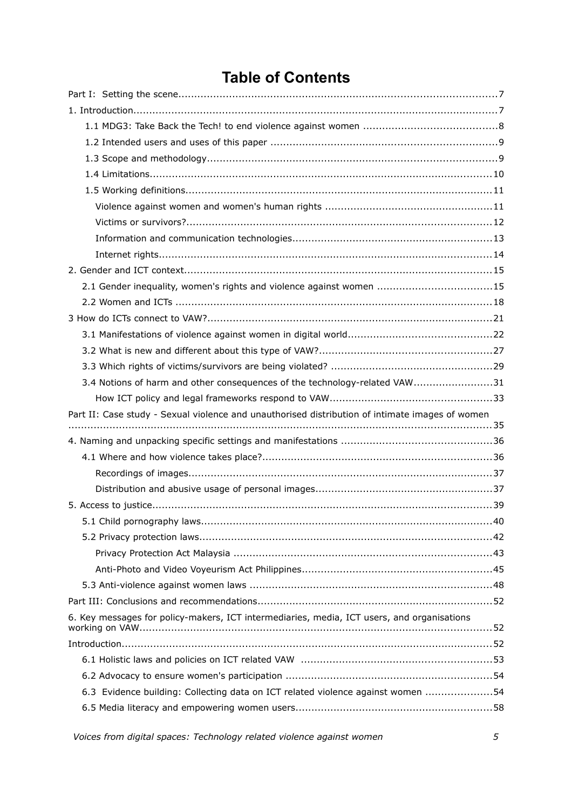# **Table of Contents**

| 2.1 Gender inequality, women's rights and violence against women 15                             |
|-------------------------------------------------------------------------------------------------|
|                                                                                                 |
|                                                                                                 |
|                                                                                                 |
|                                                                                                 |
|                                                                                                 |
| 3.4 Notions of harm and other consequences of the technology-related VAW31                      |
|                                                                                                 |
|                                                                                                 |
| Part II: Case study - Sexual violence and unauthorised distribution of intimate images of women |
|                                                                                                 |
|                                                                                                 |
|                                                                                                 |
|                                                                                                 |
|                                                                                                 |
|                                                                                                 |
|                                                                                                 |
|                                                                                                 |
|                                                                                                 |
|                                                                                                 |
|                                                                                                 |
|                                                                                                 |
| 6. Key messages for policy-makers, ICT intermediaries, media, ICT users, and organisations      |
|                                                                                                 |
|                                                                                                 |
|                                                                                                 |
| 6.3 Evidence building: Collecting data on ICT related violence against women 54                 |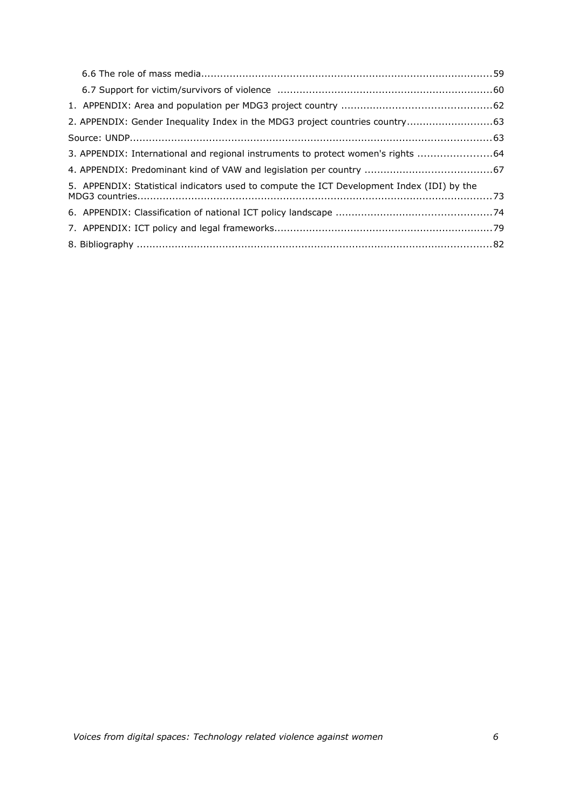| 2. APPENDIX: Gender Inequality Index in the MDG3 project countries country63               |  |
|--------------------------------------------------------------------------------------------|--|
|                                                                                            |  |
| 3. APPENDIX: International and regional instruments to protect women's rights 64           |  |
|                                                                                            |  |
| 5. APPENDIX: Statistical indicators used to compute the ICT Development Index (IDI) by the |  |
|                                                                                            |  |
|                                                                                            |  |
|                                                                                            |  |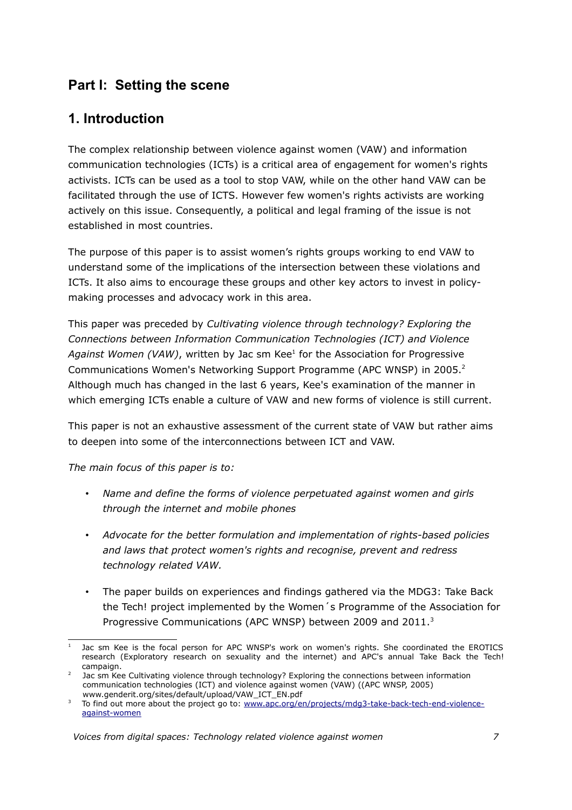# **Part I: Setting the scene**

# **1. Introduction**

The complex relationship between violence against women (VAW) and information communication technologies (ICTs) is a critical area of engagement for women's rights activists. ICTs can be used as a tool to stop VAW, while on the other hand VAW can be facilitated through the use of ICTS. However few women's rights activists are working actively on this issue. Consequently, a political and legal framing of the issue is not established in most countries.

The purpose of this paper is to assist women's rights groups working to end VAW to understand some of the implications of the intersection between these violations and ICTs. It also aims to encourage these groups and other key actors to invest in policymaking processes and advocacy work in this area.

This paper was preceded by *Cultivating violence through technology? Exploring the Connections between Information Communication Technologies (ICT) and Violence* Against Women (VAW), written by Jac sm Kee<sup>[1](#page-6-0)</sup> for the Association for Progressive Communications Women's Networking Support Programme (APC WNSP) in [2](#page-6-1)005.<sup>2</sup> Although much has changed in the last 6 years, Kee's examination of the manner in which emerging ICTs enable a culture of VAW and new forms of violence is still current.

This paper is not an exhaustive assessment of the current state of VAW but rather aims to deepen into some of the interconnections between ICT and VAW.

*The main focus of this paper is to:* 

- *Name and define the forms of violence perpetuated against women and girls through the internet and mobile phones*
- *Advocate for the better formulation and implementation of rights-based policies and laws that protect women's rights and recognise, prevent and redress technology related VAW.*
- The paper builds on experiences and findings gathered via the MDG3: Take Back the Tech! project implemented by the Women´s Programme of the Association for Progressive Communications (APC WNSP) between 2009 and 2011.<sup>[3](#page-6-2)</sup>

<span id="page-6-0"></span><sup>1</sup> Jac sm Kee is the focal person for APC WNSP's work on women's rights. She coordinated the EROTICS research (Exploratory research on sexuality and the internet) and APC's annual Take Back the Tech! campaign.

<span id="page-6-1"></span> $2^2$  Jac sm Kee Cultivating violence through technology? Exploring the connections between information communication technologies (ICT) and violence against women (VAW) ((APC WNSP, 2005) www.genderit.org/sites/default/upload/VAW\_ICT\_EN.pdf

<span id="page-6-2"></span><sup>&</sup>lt;sup>3</sup> To find out more about the project go to: [www.apc.org/en/projects/mdg3-take-back-tech-end-violence](http://www.apc.org/en/projects/mdg3-take-back-tech-end-violence-against-women)[against-women](http://www.apc.org/en/projects/mdg3-take-back-tech-end-violence-against-women)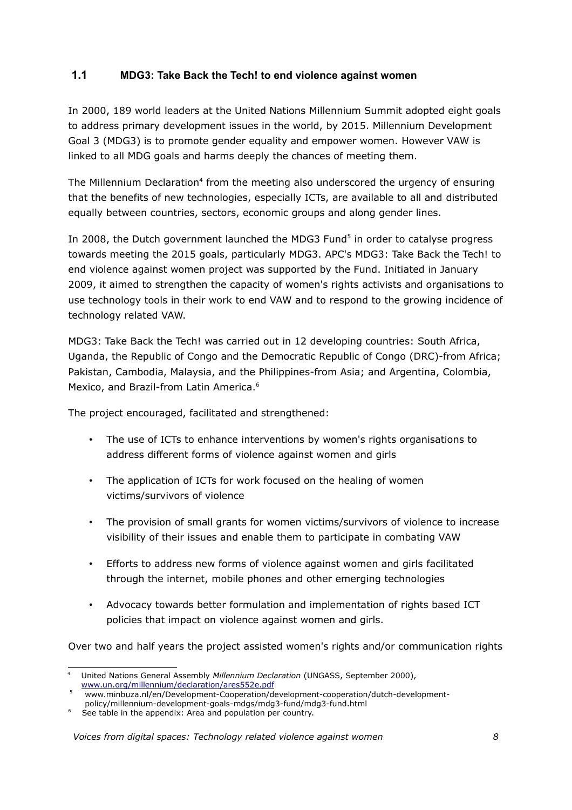# **1.1 MDG3: Take Back the Tech! to end violence against women**

In 2000, 189 world leaders at the United Nations Millennium Summit adopted eight goals to address primary development issues in the world, by 2015. Millennium Development Goal 3 (MDG3) is to promote gender equality and empower women. However VAW is linked to all MDG goals and harms deeply the chances of meeting them.

The Millennium Declaration<sup>[4](#page-7-0)</sup> from the meeting also underscored the urgency of ensuring that the benefits of new technologies, especially ICTs, are available to all and distributed equally between countries, sectors, economic groups and along gender lines.

In 2008, the Dutch government launched the MDG3 Fund<sup>[5](#page-7-1)</sup> in order to catalyse progress towards meeting the 2015 goals, particularly MDG3. APC's MDG3: Take Back the Tech! to end violence against women project was supported by the Fund. Initiated in January 2009, it aimed to strengthen the capacity of women's rights activists and organisations to use technology tools in their work to end VAW and to respond to the growing incidence of technology related VAW.

MDG3: Take Back the Tech! was carried out in 12 developing countries: South Africa, Uganda, the Republic of Congo and the Democratic Republic of Congo (DRC)-from Africa; Pakistan, Cambodia, Malaysia, and the Philippines-from Asia; and Argentina, Colombia, Mexico, and Brazil-from Latin America.<sup>[6](#page-7-2)</sup>

The project encouraged, facilitated and strengthened:

- The use of ICTs to enhance interventions by women's rights organisations to address different forms of violence against women and girls
- The application of ICTs for work focused on the healing of women victims/survivors of violence
- The provision of small grants for women victims/survivors of violence to increase visibility of their issues and enable them to participate in combating VAW
- Efforts to address new forms of violence against women and girls facilitated through the internet, mobile phones and other emerging technologies
- Advocacy towards better formulation and implementation of rights based ICT policies that impact on violence against women and girls.

Over two and half years the project assisted women's rights and/or communication rights

<span id="page-7-0"></span><sup>4</sup> United Nations General Assembly *Millennium Declaration* (UNGASS, September 2000), [www.un.org/millennium/declaration/ares552e.pdf](http://www.un.org/millennium/declaration/ares552e.pdf) 

<span id="page-7-1"></span><sup>5</sup> www.minbuza.nl/en/Development-Cooperation/development-cooperation/dutch-developmentpolicy/millennium-development-goals-mdgs/mdg3-fund/mdg3-fund.html

<span id="page-7-2"></span>See table in the appendix: Area and population per country.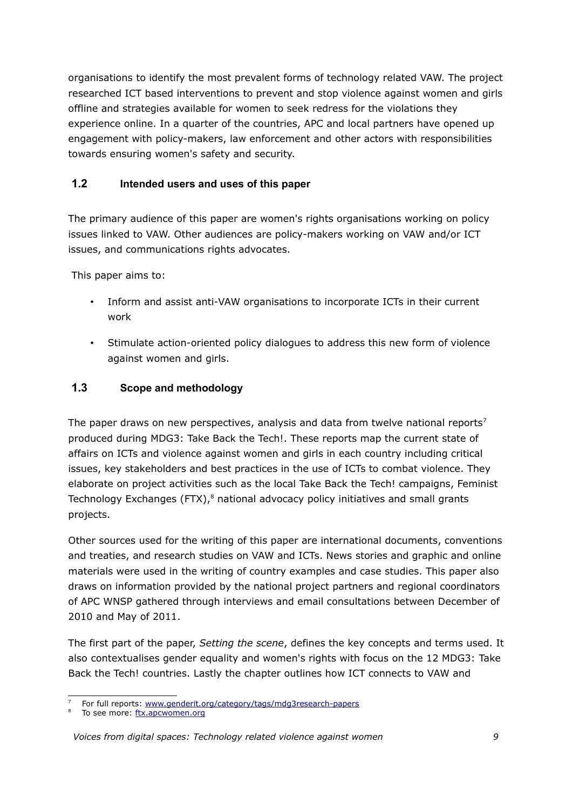organisations to identify the most prevalent forms of technology related VAW. The project researched ICT based interventions to prevent and stop violence against women and girls offline and strategies available for women to seek redress for the violations they experience online. In a quarter of the countries, APC and local partners have opened up engagement with policy-makers, law enforcement and other actors with responsibilities towards ensuring women's safety and security.

# **1.2 Intended users and uses of this paper**

The primary audience of this paper are women's rights organisations working on policy issues linked to VAW. Other audiences are policy-makers working on VAW and/or ICT issues, and communications rights advocates.

This paper aims to:

- Inform and assist anti-VAW organisations to incorporate ICTs in their current work
- Stimulate action-oriented policy dialogues to address this new form of violence against women and girls.

# **1.3 Scope and methodology**

The paper draws on new perspectives, analysis and data from twelve national reports<sup>[7](#page-8-0)</sup> produced during MDG3: Take Back the Tech!. These reports map the current state of affairs on ICTs and violence against women and girls in each country including critical issues, key stakeholders and best practices in the use of ICTs to combat violence. They elaborate on project activities such as the local Take Back the Tech! campaigns, Feminist Technology Exchanges (FTX),<sup>[8](#page-8-1)</sup> national advocacy policy initiatives and small grants projects.

Other sources used for the writing of this paper are international documents, conventions and treaties, and research studies on VAW and ICTs. News stories and graphic and online materials were used in the writing of country examples and case studies. This paper also draws on information provided by the national project partners and regional coordinators of APC WNSP gathered through interviews and email consultations between December of 2010 and May of 2011.

The first part of the paper, *Setting the scene*, defines the key concepts and terms used. It also contextualises gender equality and women's rights with focus on the 12 MDG3: Take Back the Tech! countries. Lastly the chapter outlines how ICT connects to VAW and

<span id="page-8-1"></span>To see more: [ftx.apcwomen.org](http://ftx.apcwomen.org/)

<span id="page-8-0"></span><sup>7</sup> For full reports: [www.genderit.org/category/tags/mdg3research-papers](http://www.genderit.org/category/tags/mdg3research-papers) 

*Voices from digital spaces: Technology related violence against women 9*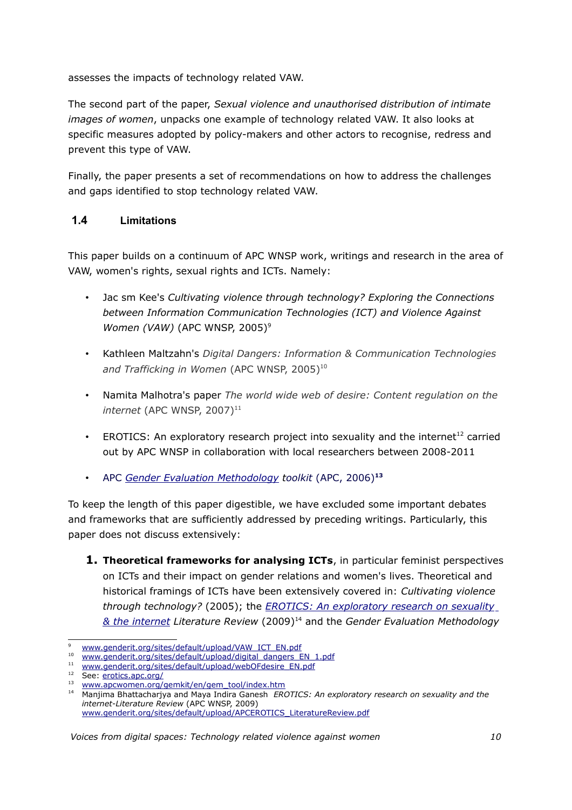assesses the impacts of technology related VAW.

The second part of the paper, *Sexual violence and unauthorised distribution of intimate images of women*, unpacks one example of technology related VAW. It also looks at specific measures adopted by policy-makers and other actors to recognise, redress and prevent this type of VAW.

Finally, the paper presents a set of recommendations on how to address the challenges and gaps identified to stop technology related VAW.

# **1.4 Limitations**

This paper builds on a continuum of APC WNSP work, writings and research in the area of VAW, women's rights, sexual rights and ICTs. Namely:

- Jac sm Kee's *Cultivating violence through technology? Exploring the Connections between Information Communication Technologies (ICT) and Violence Against Women (VAW)* (APC WNSP, 2005)<sup>[9](#page-9-0)</sup>
- Kathleen Maltzahn's *Digital Dangers: Information & Communication Technologies* and Trafficking in Women (APC WNSP, 2005)<sup>[10](#page-9-1)</sup>
- Namita Malhotra's paper *The world wide web of desire: Content regulation on the internet* (APC WNSP, 2007)<sup>[11](#page-9-2)</sup>
- EROTICS: An exploratory research project into sexuality and the internet<sup>[12](#page-9-3)</sup> carried out by APC WNSP in collaboration with local researchers between 2008-2011
- APC *[Gender Evaluation Methodology](http://www.apcwomen.org/gem/) toolkit* (APC, 2006)**[13](#page-9-4)**

To keep the length of this paper digestible, we have excluded some important debates and frameworks that are sufficiently addressed by preceding writings. Particularly, this paper does not discuss extensively:

**1. Theoretical frameworks for analysing ICTs**, in particular feminist perspectives on ICTs and their impact on gender relations and women's lives. Theoretical and historical framings of ICTs have been extensively covered in: *Cultivating violence through technology?* (2005); the *EROTICS: An exploratory research on sexuality  [& t he i nternet](http://www.genderit.org/content/erotics-exploratory-research-sexuality-internet-policy-review) Literature Review* (2009)[14](#page-9-5) and the *Gender Evaluation Methodology*

<span id="page-9-0"></span><sup>9</sup>  [www.genderit.org/sites/default/upload/VAW\\_ICT\\_EN.pdf](http://www.genderit.org/sites/default/upload/VAW_ICT_EN.pdf)

<span id="page-9-1"></span><sup>10</sup> [www.genderit.org/sites/default/upload/digital\\_dangers\\_EN\\_1.pdf](http://www.genderit.org/sites/default/upload/digital_dangers_EN_1.pdf)

<span id="page-9-2"></span><sup>&</sup>lt;sup>11</sup> [www.genderit.org/sites/default/upload/webOFdesire\\_EN.pdf](http://www.genderit.org/sites/default/upload/webOFdesire_EN.pdf)

<span id="page-9-3"></span><sup>&</sup>lt;sup>12</sup> See: [erotics.apc.org/](http://erotics.apc.org/)

<span id="page-9-4"></span><sup>&</sup>lt;sup>13</sup> [www.apcwomen.org/gemkit/en/gem\\_tool/index.htm](http://www.apcwomen.org/gemkit/en/gem_tool/index.htm)

<span id="page-9-5"></span><sup>14</sup> Manjima Bhattacharjya and Maya Indira Ganesh *EROTICS: An exploratory research on sexuality and the internet-Literature Review* (APC WNSP, 2009) [www.genderit.org/sites/default/upload/APCEROTICS\\_LiteratureReview.pdf](http://www.genderit.org/sites/default/upload/APCEROTICS_LiteratureReview.pdf)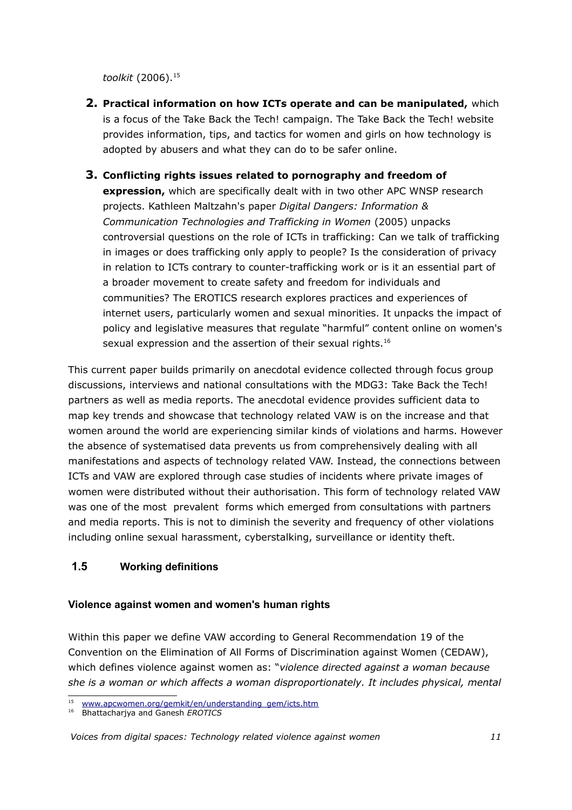toolkit (2006).<sup>[15](#page-10-0)</sup>

- **2. Practical information on how ICTs operate and can be manipulated,** which is a focus of the Take Back the Tech! campaign. The Take Back the Tech! website provides information, tips, and tactics for women and girls on how technology is adopted by abusers and what they can do to be safer online.
- **3. Conflicting rights issues related to pornography and freedom of expression,** which are specifically dealt with in two other APC WNSP research projects. Kathleen Maltzahn's paper *Digital Dangers: Information & Communication Technologies and Trafficking in Women* (2005) unpacks controversial questions on the role of ICTs in trafficking: Can we talk of trafficking in images or does trafficking only apply to people? Is the consideration of privacy in relation to ICTs contrary to counter-trafficking work or is it an essential part of a broader movement to create safety and freedom for individuals and communities? The EROTICS research explores practices and experiences of internet users, particularly women and sexual minorities. It unpacks the impact of policy and legislative measures that regulate "harmful" content online on women's sexual expression and the assertion of their sexual rights.<sup>[16](#page-10-1)</sup>

This current paper builds primarily on anecdotal evidence collected through focus group discussions, interviews and national consultations with the MDG3: Take Back the Tech! partners as well as media reports. The anecdotal evidence provides sufficient data to map key trends and showcase that technology related VAW is on the increase and that women around the world are experiencing similar kinds of violations and harms. However the absence of systematised data prevents us from comprehensively dealing with all manifestations and aspects of technology related VAW. Instead, the connections between ICTs and VAW are explored through case studies of incidents where private images of women were distributed without their authorisation. This form of technology related VAW was one of the most prevalent forms which emerged from consultations with partners and media reports. This is not to diminish the severity and frequency of other violations including online sexual harassment, cyberstalking, surveillance or identity theft.

# **1.5 Working definitions**

# **Violence against women and women's human rights**

Within this paper we define VAW according to General Recommendation 19 of the Convention on the Elimination of All Forms of Discrimination against Women (CEDAW), which defines violence against women as: "*violence directed against a woman because she is a woman or which affects a woman disproportionately. It includes physical, mental*

<span id="page-10-0"></span><sup>15</sup>  [www.apcwomen.org/gemkit/en/understanding\\_gem/icts.htm](http://www.apcwomen.org/gemkit/en/understanding_gem/icts.htm)

<span id="page-10-1"></span><sup>16</sup> Bhattacharjya and Ganesh *EROTICS*

*Voices from digital spaces: Technology related violence against women 11*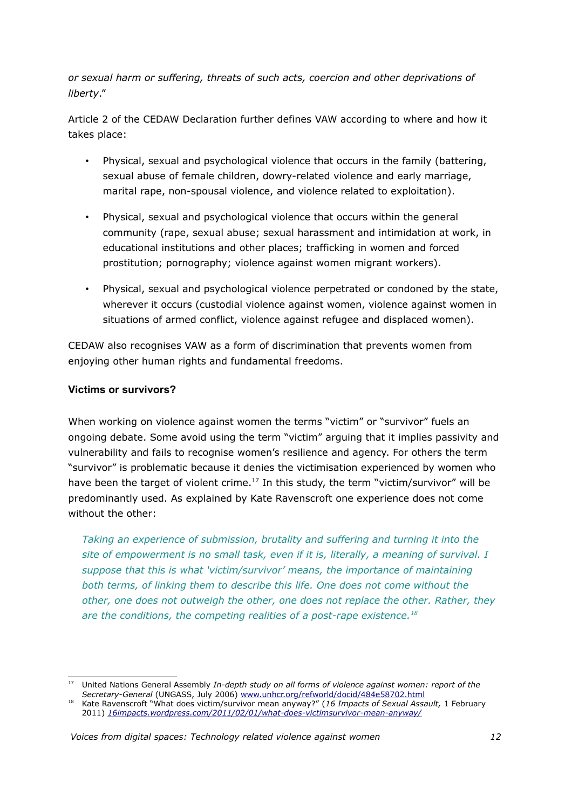*or sexual harm or suffering, threats of such acts, coercion and other deprivations of liberty*."

Article 2 of the CEDAW Declaration further defines VAW according to where and how it takes place:

- Physical, sexual and psychological violence that occurs in the family (battering, sexual abuse of female children, dowry-related violence and early marriage, marital rape, non-spousal violence, and violence related to exploitation).
- Physical, sexual and psychological violence that occurs within the general community (rape, sexual abuse; sexual harassment and intimidation at work, in educational institutions and other places; trafficking in women and forced prostitution; pornography; violence against women migrant workers).
- Physical, sexual and psychological violence perpetrated or condoned by the state, wherever it occurs (custodial violence against women, violence against women in situations of armed conflict, violence against refugee and displaced women).

CEDAW also recognises VAW as a form of discrimination that prevents women from enjoying other human rights and fundamental freedoms.

## **Victims or survivors?**

When working on violence against women the terms "victim" or "survivor" fuels an ongoing debate. Some avoid using the term "victim" arguing that it implies passivity and vulnerability and fails to recognise women's resilience and agency. For others the term "survivor" is problematic because it denies the victimisation experienced by women who have been the target of violent crime.<sup>[17](#page-11-0)</sup> In this study, the term "victim/survivor" will be predominantly used. As explained by Kate Ravenscroft one experience does not come without the other:

*Taking an experience of submission, brutality and suffering and turning it into the site of empowerment is no small task, even if it is, literally, a meaning of survival. I suppose that this is what 'victim/survivor' means, the importance of maintaining both terms, of linking them to describe this life. One does not come without the other, one does not outweigh the other, one does not replace the other. Rather, they are the conditions, the competing realities of a post-rape existence.[18](#page-11-1)*

<span id="page-11-0"></span><sup>17</sup> United Nations General Assembly *In-depth study on all forms of violence against women: report of the Secretary-General* (UNGASS, July 2006) [www.unhcr.org/refworld/docid/484e58702.html](http://www.unhcr.org/refworld/docid/484e58702.html)

<span id="page-11-1"></span><sup>18</sup> Kate Ravenscroft "What does victim/survivor mean anyway?" (*16 Impacts of Sexual Assault,* 1 February 2011) *[16impacts.wordpress.com/2011/02/01/what-does-victimsurvivor-mean-anyway/](https://16impacts.wordpress.com/2011/02/01/what-does-victimsurvivor-mean-anyway/)*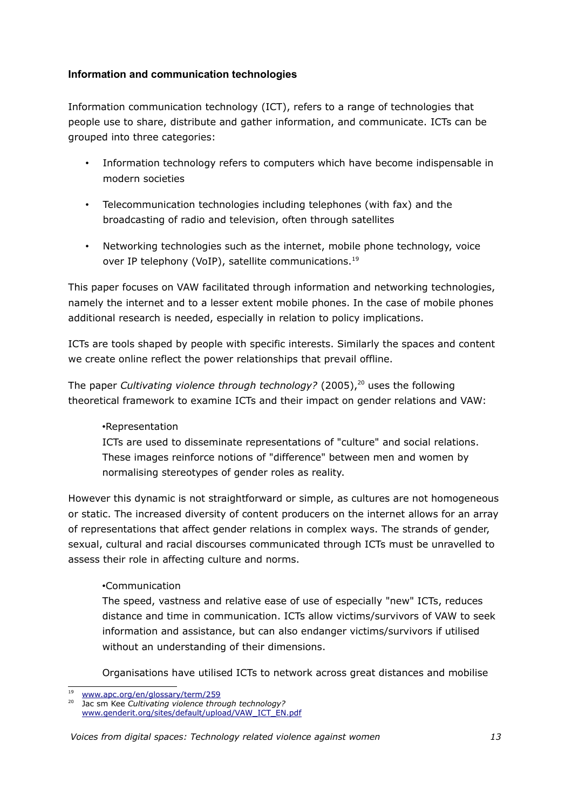# **Information and communication technologies**

Information communication technology (ICT), refers to a range of technologies that people use to share, distribute and gather information, and communicate. ICTs can be grouped into three categories:

- Information technology refers to computers which have become indispensable in modern societies
- Telecommunication technologies including telephones (with fax) and the broadcasting of radio and television, often through satellites
- Networking technologies such as the internet, mobile phone technology, voice over IP telephony (VoIP), satellite communications.<sup>[19](#page-12-0)</sup>

This paper focuses on VAW facilitated through information and networking technologies, namely the internet and to a lesser extent mobile phones. In the case of mobile phones additional research is needed, especially in relation to policy implications.

ICTs are tools shaped by people with specific interests. Similarly the spaces and content we create online reflect the power relationships that prevail offline.

The paper *Cultivating violence through technology?* ([20](#page-12-1)05),<sup>20</sup> uses the following theoretical framework to examine ICTs and their impact on gender relations and VAW:

### •Representation

ICTs are used to disseminate representations of "culture" and social relations. These images reinforce notions of "difference" between men and women by normalising stereotypes of gender roles as reality.

However this dynamic is not straightforward or simple, as cultures are not homogeneous or static. The increased diversity of content producers on the internet allows for an array of representations that affect gender relations in complex ways. The strands of gender, sexual, cultural and racial discourses communicated through ICTs must be unravelled to assess their role in affecting culture and norms.

### •Communication

The speed, vastness and relative ease of use of especially "new" ICTs, reduces distance and time in communication. ICTs allow victims/survivors of VAW to seek information and assistance, but can also endanger victims/survivors if utilised without an understanding of their dimensions.

Organisations have utilised ICTs to network across great distances and mobilise

<span id="page-12-0"></span><sup>19</sup>  [www.apc.org/en/glossary/term/259](http://www.apc.org/en/glossary/term/259)

<span id="page-12-1"></span>Jac sm Kee *Cultivating violence through technology?* [www.genderit.org/sites/default/upload/VAW\\_ICT\\_EN.pdf](http://www.genderit.org/sites/default/upload/VAW_ICT_EN.pdf)

*Voices from digital spaces: Technology related violence against women 13*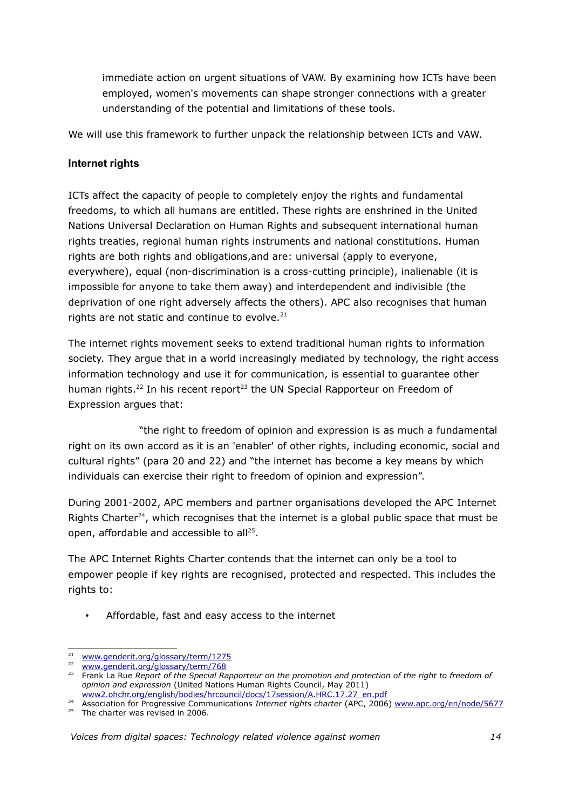immediate action on urgent situations of VAW. By examining how ICTs have been employed, women's movements can shape stronger connections with a greater understanding of the potential and limitations of these tools.

We will use this framework to further unpack the relationship between ICTs and VAW.

# **Internet rights**

ICTs affect the capacity of people to completely enjoy the rights and fundamental freedoms, to which all humans are entitled. These rights are enshrined in the United Nations Universal Declaration on Human Rights and subsequent international human rights treaties, regional human rights instruments and national constitutions. Human rights are both rights and obligations,and are: universal (apply to everyone, everywhere), equal (non-discrimination is a cross-cutting principle), inalienable (it is impossible for anyone to take them away) and interdependent and indivisible (the deprivation of one right adversely affects the others). APC also recognises that human rights are not static and continue to evolve. $21$ 

The internet rights movement seeks to extend traditional human rights to information society. They argue that in a world increasingly mediated by technology, the right access information technology and use it for communication, is essential to guarantee other human rights.<sup>[22](#page-13-1)</sup> In his recent report<sup>[23](#page-13-2)</sup> the UN Special Rapporteur on Freedom of Expression argues that:

 "the right to freedom of opinion and expression is as much a fundamental right on its own accord as it is an 'enabler' of other rights, including economic, social and cultural rights" (para 20 and 22) and "the internet has become a key means by which individuals can exercise their right to freedom of opinion and expression".

During 2001-2002, APC members and partner organisations developed the APC Internet Rights Charter $24$ , which recognises that the internet is a global public space that must be open, affordable and accessible to all<sup>[25](#page-13-4)</sup>.

The APC Internet Rights Charter contends that the internet can only be a tool to empower people if key rights are recognised, protected and respected. This includes the rights to:

• Affordable, fast and easy access to the internet

<span id="page-13-0"></span><sup>&</sup>lt;sup>21</sup> [www.genderit.org/glossary/term/1275](http://www.genderit.org/glossary/term/1275)

<span id="page-13-1"></span><sup>22</sup> [www.genderit.org/glossary/term/768](http://www.genderit.org/glossary/term/768)

<span id="page-13-2"></span><sup>23</sup> Frank La Rue *Report of the Special Rapporteur on the promotion and protection of the right to freedom of opinion and expression* (United Nations Human Rights Council, May 2011) [www2.ohchr.org/english/bodies/hrcouncil/docs/17session/A.HRC.17.27\\_en.pdf](http://www2.ohchr.org/english/bodies/hrcouncil/docs/17session/A.HRC.17.27_en.pdf)

<span id="page-13-4"></span><span id="page-13-3"></span><sup>24</sup> Association for Progressive Communications *Internet rights charter* (APC, 2006) [www.apc.org/en/node/5677](http://www.apc.org/en/node/5677) <sup>25</sup> The charter was revised in 2006.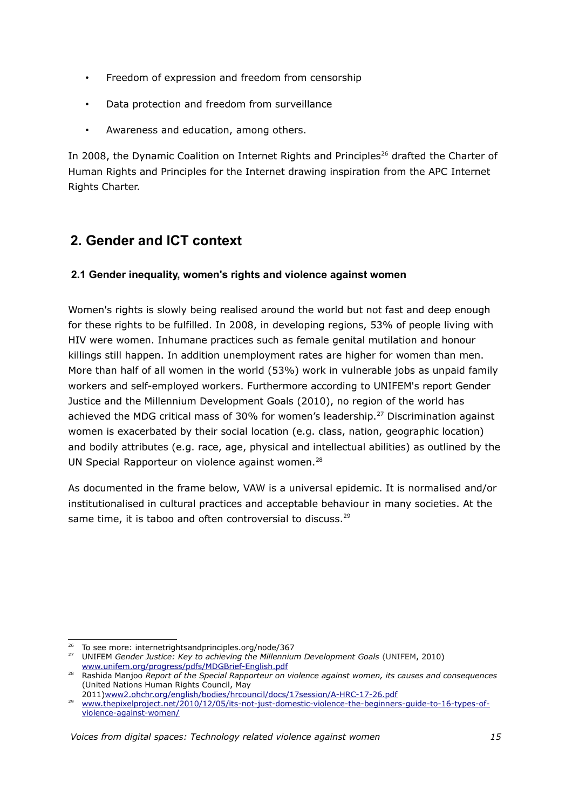- Freedom of expression and freedom from censorship
- Data protection and freedom from surveillance
- Awareness and education, among others.

In 2008, the Dynamic Coalition on Internet Rights and Principles<sup>[26](#page-14-0)</sup> drafted the Charter of Human Rights and Principles for the Internet drawing inspiration from the APC Internet Rights Charter.

# **2. Gender and ICT context**

# **2.1 Gender inequality, women's rights and violence against women**

Women's rights is slowly being realised around the world but not fast and deep enough for these rights to be fulfilled. In 2008, in developing regions, 53% of people living with HIV were women. Inhumane practices such as female genital mutilation and honour killings still happen. In addition unemployment rates are higher for women than men. More than half of all women in the world (53%) work in vulnerable jobs as unpaid family workers and self-employed workers. Furthermore according to UNIFEM's report Gender Justice and the Millennium Development Goals (2010), no region of the world has achieved the MDG critical mass of 30% for women's leadership.<sup>[27](#page-14-1)</sup> Discrimination against women is exacerbated by their social location (e.g. class, nation, geographic location) and bodily attributes (e.g. race, age, physical and intellectual abilities) as outlined by the UN Special Rapporteur on violence against women.<sup>[28](#page-14-2)</sup>

As documented in the frame below, VAW is a universal epidemic. It is normalised and/or institutionalised in cultural practices and acceptable behaviour in many societies. At the same time, it is taboo and often controversial to discuss.<sup>[29](#page-14-3)</sup>

<span id="page-14-0"></span><sup>&</sup>lt;sup>26</sup> To see more: internetrightsandprinciples.org/node/367

<span id="page-14-1"></span><sup>27</sup> UNIFEM *Gender Justice: Key to achieving the Millennium Development Goals* (UNIFEM, 2010) [www.unifem.org/progress/pdfs/MDGBrief-English.pdf](http://www.unifem.org/progress/pdfs/MDGBrief-English.pdf)

<span id="page-14-2"></span><sup>28</sup> Rashida Manjoo *Report of the Special Rapporteur on violence against women, its causes and consequences* (United Nations Human Rights Council, May

<sup>2011</sup>[\)www2.ohchr.org/english/bodies/hrcouncil/docs/17session/A-HRC-17-26.pdf](http://www2.ohchr.org/english/bodies/hrcouncil/docs/17session/A-HRC-17-26.pdf)

<span id="page-14-3"></span><sup>&</sup>lt;sup>29</sup> [www.thepixelproject.net/2010/12/05/its-not-just-domestic-violence-the-beginners-guide-to-16-types-of](http://www.thepixelproject.net/2010/12/05/its-not-just-domestic-violence-the-beginners-guide-to-16-types-of-violence-against-women/)[violence-against-women/](http://www.thepixelproject.net/2010/12/05/its-not-just-domestic-violence-the-beginners-guide-to-16-types-of-violence-against-women/)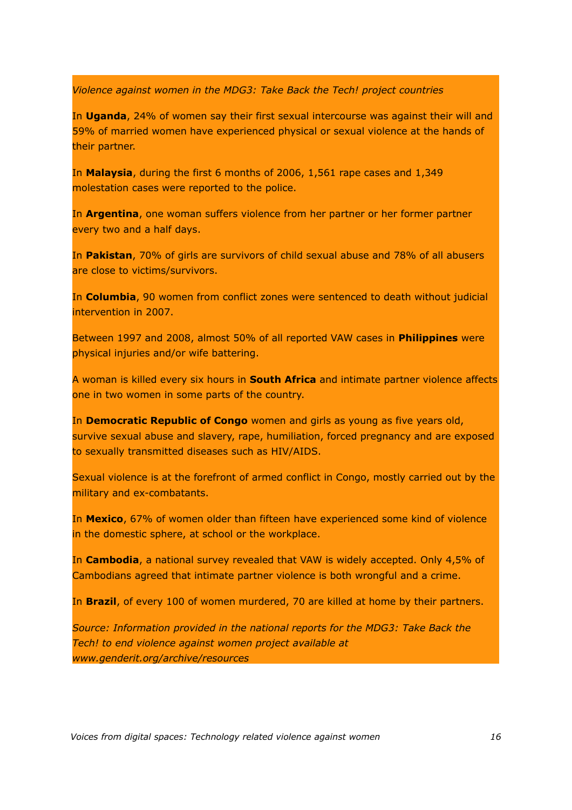*Violence against women in the MDG3: Take Back the Tech! project countries*

In **Uganda**, 24% of women say their first sexual intercourse was against their will and 59% of married women have experienced physical or sexual violence at the hands of their partner.

In **Malaysia**, during the first 6 months of 2006, 1,561 rape cases and 1,349 molestation cases were reported to the police.

In **Argentina**, one woman suffers violence from her partner or her former partner every two and a half days.

In **Pakistan**, 70% of girls are survivors of child sexual abuse and 78% of all abusers are close to victims/survivors.

In **Columbia**, 90 women from conflict zones were sentenced to death without judicial intervention in 2007.

Between 1997 and 2008, almost 50% of all reported VAW cases in **Philippines** were physical injuries and/or wife battering.

A woman is killed every six hours in **South Africa** and intimate partner violence affects one in two women in some parts of the country.

In **Democratic Republic of Congo** women and girls as young as five years old, survive sexual abuse and slavery, rape, humiliation, forced pregnancy and are exposed to sexually transmitted diseases such as HIV/AIDS.

Sexual violence is at the forefront of armed conflict in Congo, mostly carried out by the military and ex-combatants.

In **Mexico**, 67% of women older than fifteen have experienced some kind of violence in the domestic sphere, at school or the workplace.

In **Cambodia**, a national survey revealed that VAW is widely accepted. Only 4,5% of Cambodians agreed that intimate partner violence is both wrongful and a crime.

In **Brazil**, of every 100 of women murdered, 70 are killed at home by their partners.

*Source: Information provided in the national reports for the MDG3: Take Back the Tech! to end violence against women project available at www.genderit.org/archive/resources*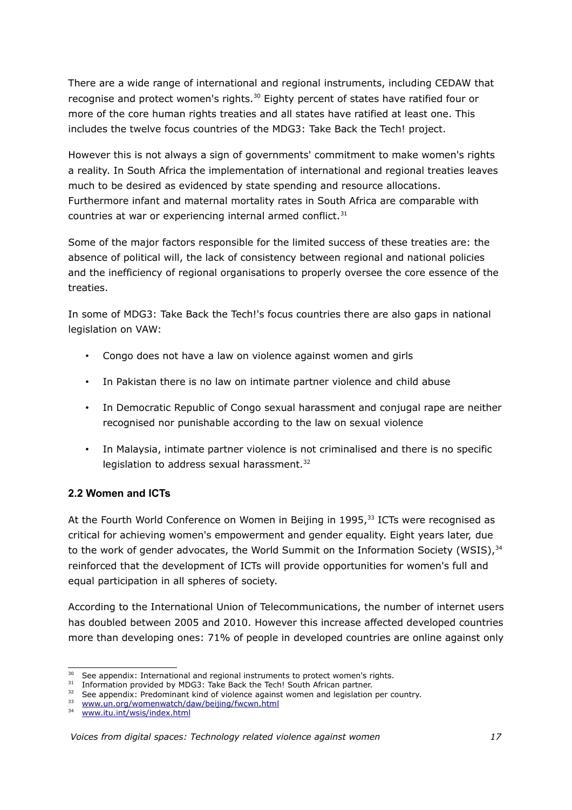There are a wide range of international and regional instruments, including CEDAW that recognise and protect women's rights.<sup>[30](#page-16-0)</sup> Eighty percent of states have ratified four or more of the core human rights treaties and all states have ratified at least one. This includes the twelve focus countries of the MDG3: Take Back the Tech! project.

However this is not always a sign of governments' commitment to make women's rights a reality. In South Africa the implementation of international and regional treaties leaves much to be desired as evidenced by state spending and resource allocations. Furthermore infant and maternal mortality rates in South Africa are comparable with countries at war or experiencing internal armed conflict. $31$ 

Some of the major factors responsible for the limited success of these treaties are: the absence of political will, the lack of consistency between regional and national policies and the inefficiency of regional organisations to properly oversee the core essence of the treaties.

In some of MDG3: Take Back the Tech!'s focus countries there are also gaps in national legislation on VAW:

- Congo does not have a law on violence against women and girls
- In Pakistan there is no law on intimate partner violence and child abuse
- In Democratic Republic of Congo sexual harassment and conjugal rape are neither recognised nor punishable according to the law on sexual violence
- In Malaysia, intimate partner violence is not criminalised and there is no specific legislation to address sexual harassment.<sup>[32](#page-16-2)</sup>

### **2.2 Women and ICTs**

At the Fourth World Conference on Women in Beijing in 1995, $33$  ICTs were recognised as critical for achieving women's empowerment and gender equality. Eight years later, due to the work of gender advocates, the World Summit on the Information Society (WSIS),  $34$ reinforced that the development of ICTs will provide opportunities for women's full and equal participation in all spheres of society.

According to the International Union of Telecommunications, the number of internet users has doubled between 2005 and 2010. However this increase affected developed countries more than developing ones: 71% of people in developed countries are online against only

<span id="page-16-0"></span><sup>&</sup>lt;sup>30</sup> See appendix: International and regional instruments to protect women's rights.

<span id="page-16-1"></span><sup>&</sup>lt;sup>31</sup> Information provided by MDG3: Take Back the Tech! South African partner.

<span id="page-16-2"></span><sup>&</sup>lt;sup>32</sup> See appendix: Predominant kind of violence against women and legislation per country.

<span id="page-16-3"></span><sup>&</sup>lt;sup>33</sup> [www.un.org/womenwatch/daw/beijing/fwcwn.html](http://www.un.org/womenwatch/daw/beijing/fwcwn.html)

<span id="page-16-4"></span><sup>34</sup> [www.itu.int/wsis/index.html](http://www.itu.int/wsis/index.html)

*Voices from digital spaces: Technology related violence against women 17*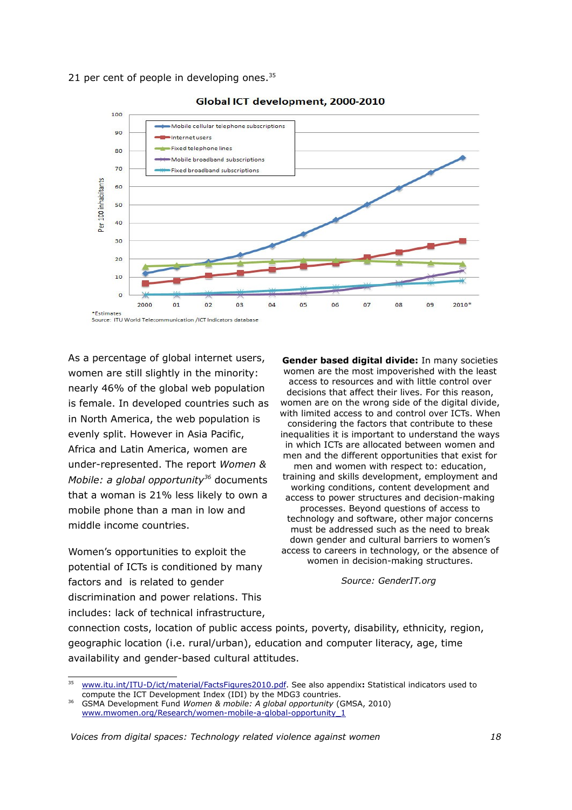21 per cent of people in developing ones. $35$ 



#### Global ICT development, 2000-2010

As a percentage of global internet users, women are still slightly in the minority: nearly 46% of the global web population is female. In developed countries such as in North America, the web population is evenly split. However in Asia Pacific, Africa and Latin America, women are under-represented. The report *Women & Mobile: a global opportunity[36](#page-17-1)* documents that a woman is 21% less likely to own a mobile phone than a man in low and middle income countries.

Women's opportunities to exploit the potential of ICTs is conditioned by many factors and is related to gender discrimination and power relations. This includes: lack of technical infrastructure,

**Gender based digital divide:** In many societies women are the most impoverished with the least access to resources and with little control over decisions that affect their lives. For this reason, women are on the wrong side of the digital divide, with limited access to and control over ICTs. When considering the factors that contribute to these inequalities it is important to understand the ways in which ICTs are allocated between women and men and the different opportunities that exist for men and women with respect to: education, training and skills development, employment and working conditions, content development and access to power structures and decision-making processes. Beyond questions of access to technology and software, other major concerns must be addressed such as the need to break down gender and cultural barriers to women's access to careers in technology, or the absence of women in decision-making structures.

*Source: GenderIT.org*

connection costs, location of public access points, poverty, disability, ethnicity, region, geographic location (i.e. rural/urban), education and computer literacy, age, time availability and gender-based cultural attitudes.

<span id="page-17-0"></span><sup>35</sup>  [www.itu.int/ITU-D/ict/material/FactsFigures2010.pdf.](http://www.itu.int/ITU-D/ict/material/FactsFigures2010.pdf) See also appendix**:** Statistical indicators used to compute the ICT Development Index (IDI) by the MDG3 countries.

<span id="page-17-1"></span><sup>36</sup> GSMA Development Fund *Women & mobile: A global opportunity* (GMSA, 2010) [www.mwomen.org/Research/women-mobile-a-global-opportunity\\_1](http://www.mwomen.org/Research/women-mobile-a-global-opportunity_1)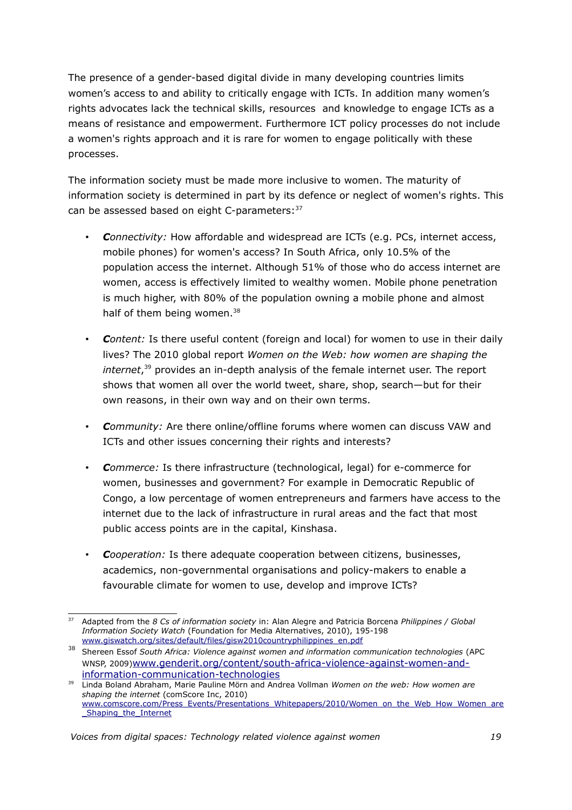The presence of a gender-based digital divide in many developing countries limits women's access to and ability to critically engage with ICTs. In addition many women's rights advocates lack the technical skills, resources and knowledge to engage ICTs as a means of resistance and empowerment. Furthermore ICT policy processes do not include a women's rights approach and it is rare for women to engage politically with these processes.

The information society must be made more inclusive to women. The maturity of information society is determined in part by its defence or neglect of women's rights. This can be assessed based on eight C-parameters: [37](#page-18-0)

- *Connectivity:* How affordable and widespread are ICTs (e.g. PCs, internet access, mobile phones) for women's access? In South Africa, only 10.5% of the population access the internet. Although 51% of those who do access internet are women, access is effectively limited to wealthy women. Mobile phone penetration is much higher, with 80% of the population owning a mobile phone and almost half of them being women.<sup>[38](#page-18-1)</sup>
- *Content:* Is there useful content (foreign and local) for women to use in their daily lives? The 2010 global report *Women on the Web: how women are shaping the internet*, [39](#page-18-2) provides an in-depth analysis of the female internet user. The report shows that women all over the world tweet, share, shop, search—but for their own reasons, in their own way and on their own terms.
- *Community:* Are there online/offline forums where women can discuss VAW and ICTs and other issues concerning their rights and interests?
- *Commerce:* Is there infrastructure (technological, legal) for e-commerce for women, businesses and government? For example in Democratic Republic of Congo, a low percentage of women entrepreneurs and farmers have access to the internet due to the lack of infrastructure in rural areas and the fact that most public access points are in the capital, Kinshasa.
- *Cooperation:* Is there adequate cooperation between citizens, businesses, academics, non-governmental organisations and policy-makers to enable a favourable climate for women to use, develop and improve ICTs?

<span id="page-18-0"></span><sup>37</sup> Adapted from the *8 Cs of information society* in: Alan Alegre and Patricia Borcena *Philippines / Global Information Society Watch* (Foundation for Media Alternatives, 2010), 195-198 [www.giswatch.org/sites/default/files/gisw2010countryphilippines\\_en.pdf](http://www.giswatch.org/sites/default/files/gisw2010countryphilippines_en.pdf)

<span id="page-18-1"></span><sup>38</sup> Shereen Essof *South Africa: Violence against women and information communication technologies* (APC WNSP, 2009)[www.genderit.org/content/south-africa-violence-against-women-and](http://www.genderit.org/content/south-africa-violence-against-women-and-information-communication-technologies)[information-communication-technologies](http://www.genderit.org/content/south-africa-violence-against-women-and-information-communication-technologies)

<span id="page-18-2"></span><sup>39</sup> Linda Boland Abraham, Marie Pauline Mörn and Andrea Vollman *Women on the web: How women are shaping the internet* (comScore Inc, 2010) [www.comscore.com/Press\\_Events/Presentations\\_Whitepapers/2010/Women\\_on\\_the\\_Web\\_How\\_Women\\_are](http://www.comscore.com/Press_Events/Presentations_Whitepapers/2010/Women_on_the_Web_How_Women_are_Shaping_the_Internet) [\\_Shaping\\_the\\_Internet](http://www.comscore.com/Press_Events/Presentations_Whitepapers/2010/Women_on_the_Web_How_Women_are_Shaping_the_Internet)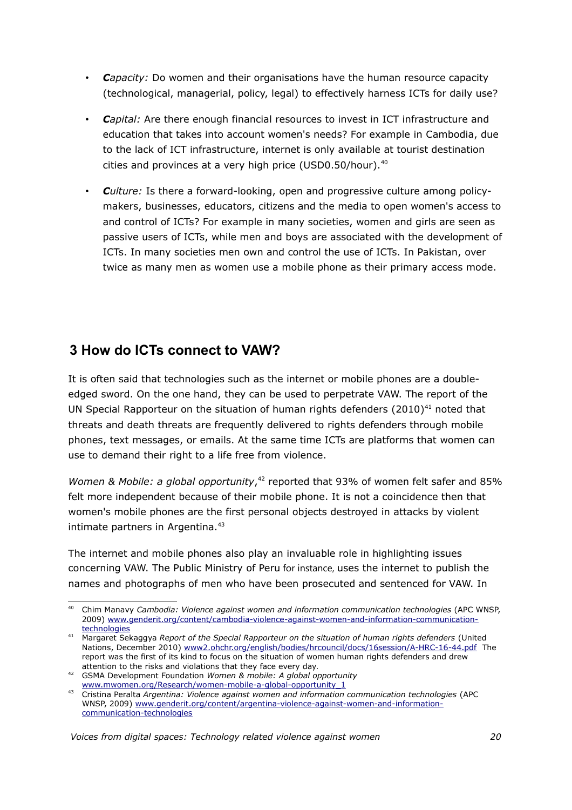- *Capacity:* Do women and their organisations have the human resource capacity (technological, managerial, policy, legal) to effectively harness ICTs for daily use?
- *Capital:* Are there enough financial resources to invest in ICT infrastructure and education that takes into account women's needs? For example in Cambodia, due to the lack of ICT infrastructure, internet is only available at tourist destination cities and provinces at a very high price (USD0.50/hour).<sup>[40](#page-19-0)</sup>
- *Culture:* Is there a forward-looking, open and progressive culture among policymakers, businesses, educators, citizens and the media to open women's access to and control of ICTs? For example in many societies, women and girls are seen as passive users of ICTs, while men and boys are associated with the development of ICTs. In many societies men own and control the use of ICTs. In Pakistan, over twice as many men as women use a mobile phone as their primary access mode.

# **3 How do ICTs connect to VAW?**

It is often said that technologies such as the internet or mobile phones are a doubleedged sword. On the one hand, they can be used to perpetrate VAW. The report of the UN Special Rapporteur on the situation of human rights defenders  $(2010)^{41}$  $(2010)^{41}$  $(2010)^{41}$  noted that threats and death threats are frequently delivered to rights defenders through mobile phones, text messages, or emails. At the same time ICTs are platforms that women can use to demand their right to a life free from violence.

Women & Mobile: a global opportunity,<sup>[42](#page-19-2)</sup> reported that 93% of women felt safer and 85% felt more independent because of their mobile phone. It is not a coincidence then that women's mobile phones are the first personal objects destroyed in attacks by violent intimate partners in Argentina.<sup>[43](#page-19-3)</sup>

The internet and mobile phones also play an invaluable role in highlighting issues concerning VAW. The Public Ministry of Peru for instance, uses the internet to publish the names and photographs of men who have been prosecuted and sentenced for VAW. In

<span id="page-19-0"></span><sup>40</sup> Chim Manavy *Cambodia: Violence against women and information communication technologies* (APC WNSP, 2009) [www.genderit.org/content/cambodia-violence-against-women-and-information-communication](http://www.genderit.org/content/cambodia-violence-against-women-and-information-communication-technologies)[technologies](http://www.genderit.org/content/cambodia-violence-against-women-and-information-communication-technologies)

<span id="page-19-1"></span><sup>41</sup> Margaret Sekaggya *Report of the Special Rapporteur on the situation of human rights defenders* (United Nations, December 2010) [www2.ohchr.org/english/bodies/hrcouncil/docs/16session/A-HRC-16-44.pdf](http://www2.ohchr.org/english/bodies/hrcouncil/docs/16session/A-HRC-16-44.pdf) The report was the first of its kind to focus on the situation of women human rights defenders and drew attention to the risks and violations that they face every day.

<span id="page-19-2"></span><sup>42</sup> GSMA Development Foundation *Women & mobile: A global opportunity* [www.mwomen.org/Research/women-mobile-a-global-opportunity\\_1](http://www.mwomen.org/Research/women-mobile-a-global-opportunity_1)

<span id="page-19-3"></span><sup>43</sup> Cristina Peralta *Argentina: Violence against women and information communication technologies* (APC WNSP, 2009) [www.genderit.org/content/argentina-violence-against-women-and-information](http://www.genderit.org/content/argentina-violence-against-women-and-information-communication-technologies)[communication-technologies](http://www.genderit.org/content/argentina-violence-against-women-and-information-communication-technologies)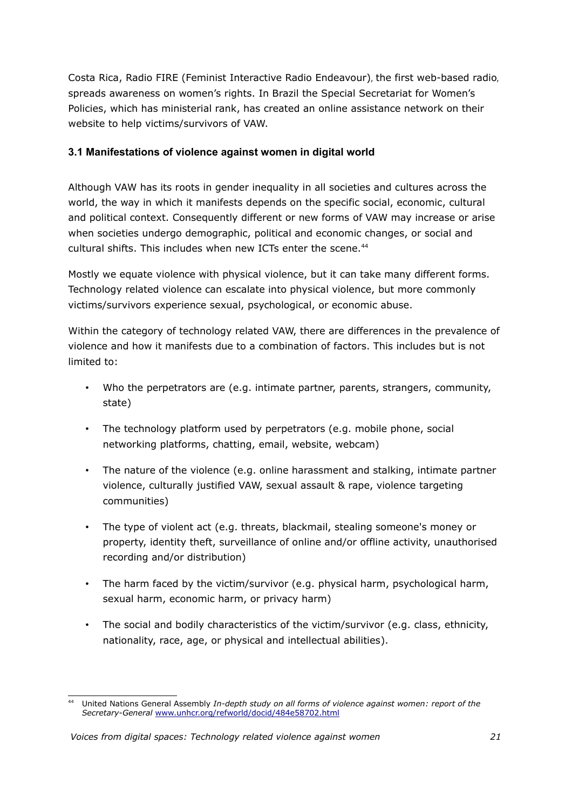Costa Rica, Radio FIRE (Feminist Interactive Radio Endeavour), the first web-based radio, spreads awareness on women's rights. In Brazil the Special Secretariat for Women's Policies, which has ministerial rank, has created an online assistance network on their website to help victims/survivors of VAW.

# **3.1 Manifestations of violence against women in digital world**

Although VAW has its roots in gender inequality in all societies and cultures across the world, the way in which it manifests depends on the specific social, economic, cultural and political context. Consequently different or new forms of VAW may increase or arise when societies undergo demographic, political and economic changes, or social and cultural shifts. This includes when new ICTs enter the scene.<sup>[44](#page-20-0)</sup>

Mostly we equate violence with physical violence, but it can take many different forms. Technology related violence can escalate into physical violence, but more commonly victims/survivors experience sexual, psychological, or economic abuse.

Within the category of technology related VAW, there are differences in the prevalence of violence and how it manifests due to a combination of factors. This includes but is not limited to:

- Who the perpetrators are (e.g. intimate partner, parents, strangers, community, state)
- The technology platform used by perpetrators (e.g. mobile phone, social networking platforms, chatting, email, website, webcam)
- The nature of the violence (e.g. online harassment and stalking, intimate partner violence, culturally justified VAW, sexual assault & rape, violence targeting communities)
- The type of violent act (e.g. threats, blackmail, stealing someone's money or property, identity theft, surveillance of online and/or offline activity, unauthorised recording and/or distribution)
- The harm faced by the victim/survivor (e.g. physical harm, psychological harm, sexual harm, economic harm, or privacy harm)
- The social and bodily characteristics of the victim/survivor (e.g. class, ethnicity, nationality, race, age, or physical and intellectual abilities).

<span id="page-20-0"></span><sup>44</sup> United Nations General Assembly *In-depth study on all forms of violence against women: report of the Secretary-General* [www.unhcr.org/refworld/docid/484e58702.html](http://www.unhcr.org/refworld/docid/484e58702.html)

*Voices from digital spaces: Technology related violence against women 21*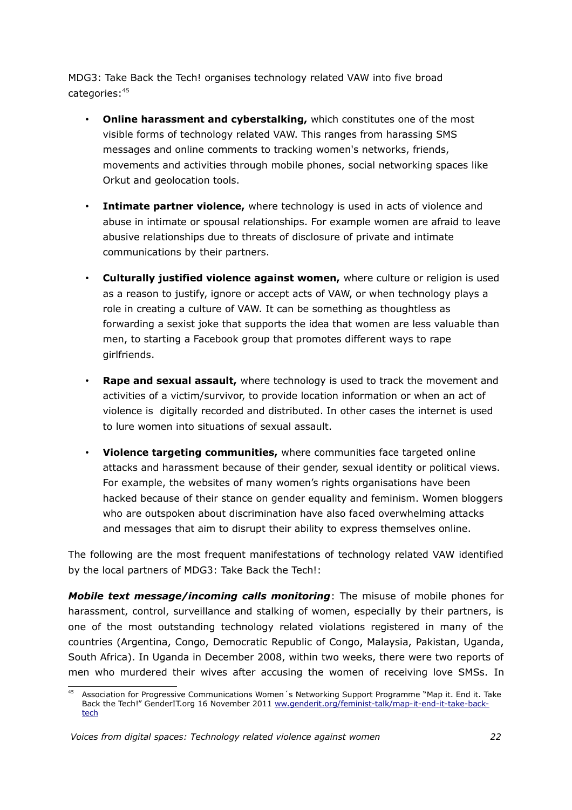MDG3: Take Back the Tech! organises technology related VAW into five broad categories:[45](#page-21-0)

- **Online harassment and cyberstalking,** which constitutes one of the most visible forms of technology related VAW. This ranges from harassing SMS messages and online comments to tracking women's networks, friends, movements and activities through mobile phones, social networking spaces like Orkut and geolocation tools.
- **Intimate partner violence,** where technology is used in acts of violence and abuse in intimate or spousal relationships. For example women are afraid to leave abusive relationships due to threats of disclosure of private and intimate communications by their partners.
- **Culturally justified violence against women,** where culture or religion is used as a reason to justify, ignore or accept acts of VAW, or when technology plays a role in creating a culture of VAW. It can be something as thoughtless as forwarding a sexist joke that supports the idea that women are less valuable than men, to starting a Facebook group that promotes different ways to rape girlfriends.
- **Rape and sexual assault,** where technology is used to track the movement and activities of a victim/survivor, to provide location information or when an act of violence is digitally recorded and distributed. In other cases the internet is used to lure women into situations of sexual assault.
- **Violence targeting communities,** where communities face targeted online attacks and harassment because of their gender, sexual identity or political views. For example, the websites of many women's rights organisations have been hacked because of their stance on gender equality and feminism. Women bloggers who are outspoken about discrimination have also faced overwhelming attacks and messages that aim to disrupt their ability to express themselves online.

The following are the most frequent manifestations of technology related VAW identified by the local partners of MDG3: Take Back the Tech!:

*Mobile text message/incoming calls monitoring*: The misuse of mobile phones for harassment, control, surveillance and stalking of women, especially by their partners, is one of the most outstanding technology related violations registered in many of the countries (Argentina, Congo, Democratic Republic of Congo, Malaysia, Pakistan, Uganda, South Africa). In Uganda in December 2008, within two weeks, there were two reports of men who murdered their wives after accusing the women of receiving love SMSs. In

<span id="page-21-0"></span><sup>45</sup> Association for Progressive Communications Women´s Networking Support Programme "Map it. End it. Take Back the Tech!" GenderIT.org 16 November 2011 [ww.genderit.org/feminist-talk/map-it-end-it-take-back](http://www.genderit.org/feminist-talk/map-it-end-it-take-back-tech)[tech](http://www.genderit.org/feminist-talk/map-it-end-it-take-back-tech)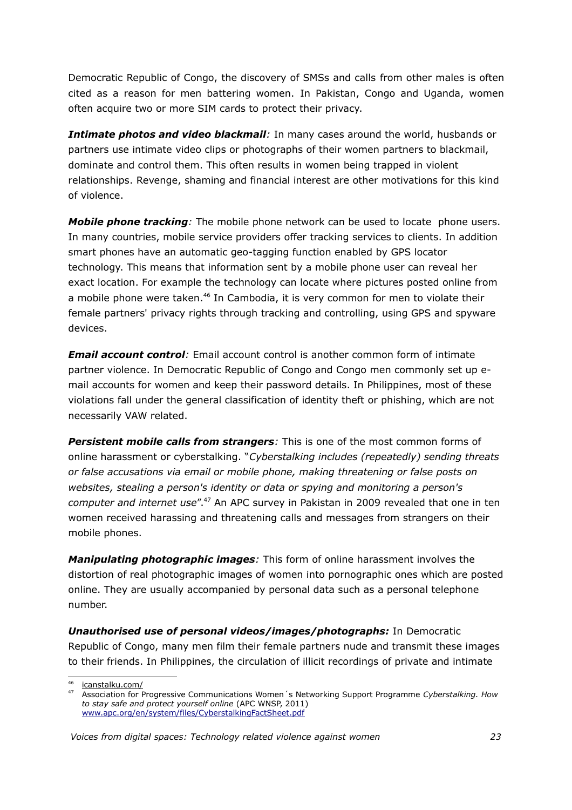Democratic Republic of Congo, the discovery of SMSs and calls from other males is often cited as a reason for men battering women. In Pakistan, Congo and Uganda, women often acquire two or more SIM cards to protect their privacy.

*Intimate photos and video blackmail:* In many cases around the world, husbands or partners use intimate video clips or photographs of their women partners to blackmail, dominate and control them. This often results in women being trapped in violent relationships. Revenge, shaming and financial interest are other motivations for this kind of violence.

*Mobile phone tracking*: The mobile phone network can be used to locate phone users. In many countries, mobile service providers offer tracking services to clients. In addition smart phones have an automatic geo-tagging function enabled by GPS locator technology. This means that information sent by a mobile phone user can reveal her exact location. For example the technology can locate where pictures posted online from a mobile phone were taken.<sup>[46](#page-22-0)</sup> In Cambodia, it is very common for men to violate their female partners' privacy rights through tracking and controlling, using GPS and spyware devices.

*Email account control:* Email account control is another common form of intimate partner violence. In Democratic Republic of Congo and Congo men commonly set up email accounts for women and keep their password details. In Philippines, most of these violations fall under the general classification of identity theft or phishing, which are not necessarily VAW related.

**Persistent mobile calls from strangers**: This is one of the most common forms of online harassment or cyberstalking. "*Cyberstalking includes (repeatedly) sending threats or false accusations via email or mobile phone, making threatening or false posts on websites, stealing a person's identity or data or spying and monitoring a person's computer and internet use*".[47](#page-22-1) An APC survey in Pakistan in 2009 revealed that one in ten women received harassing and threatening calls and messages from strangers on their mobile phones.

*Manipulating photographic images:* This form of online harassment involves the distortion of real photographic images of women into pornographic ones which are posted online. They are usually accompanied by personal data such as a personal telephone number.

*Unauthorised use of personal videos/images/photographs:* In Democratic Republic of Congo, many men film their female partners nude and transmit these images to their friends. In Philippines, the circulation of illicit recordings of private and intimate

<span id="page-22-0"></span><sup>46</sup>  [icanstalku.com/](http://icanstalku.com/)

<span id="page-22-1"></span><sup>47</sup> Association for Progressive Communications Women´s Networking Support Programme *Cyberstalking. How to stay safe and protect yourself online* (APC WNSP, 2011) [www.apc.org/en/system/files/CyberstalkingFactSheet.pdf](http://www.apc.org/en/system/files/CyberstalkingFactSheet.pdf)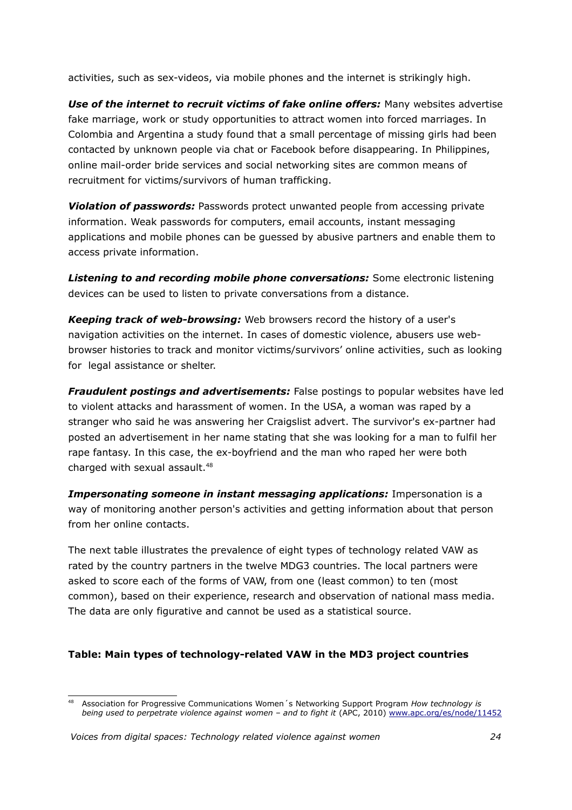activities, such as sex-videos, via mobile phones and the internet is strikingly high.

*Use of the internet to recruit victims of fake online offers:* Many websites advertise fake marriage, work or study opportunities to attract women into forced marriages. In Colombia and Argentina a study found that a small percentage of missing girls had been contacted by unknown people via chat or Facebook before disappearing. In Philippines, online mail-order bride services and social networking sites are common means of recruitment for victims/survivors of human trafficking.

*Violation of passwords:* Passwords protect unwanted people from accessing private information. Weak passwords for computers, email accounts, instant messaging applications and mobile phones can be guessed by abusive partners and enable them to access private information.

*Listening to and recording mobile phone conversations:* Some electronic listening devices can be used to listen to private conversations from a distance.

*Keeping track of web-browsing:* Web browsers record the history of a user's navigation activities on the internet. In cases of domestic violence, abusers use webbrowser histories to track and monitor victims/survivors' online activities, such as looking for legal assistance or shelter.

*Fraudulent postings and advertisements:* False postings to popular websites have led to violent attacks and harassment of women. In the USA, a woman was raped by a stranger who said he was answering her Craigslist advert. The survivor's ex-partner had posted an advertisement in her name stating that she was looking for a man to fulfil her rape fantasy. In this case, the ex-boyfriend and the man who raped her were both charged with sexual assault.<sup>[48](#page-23-0)</sup>

*Impersonating someone in instant messaging applications:* Impersonation is a way of monitoring another person's activities and getting information about that person from her online contacts.

The next table illustrates the prevalence of eight types of technology related VAW as rated by the country partners in the twelve MDG3 countries. The local partners were asked to score each of the forms of VAW, from one (least common) to ten (most common), based on their experience, research and observation of national mass media. The data are only figurative and cannot be used as a statistical source.

# **Table: Main types of technology-related VAW in the MD3 project countries**

<span id="page-23-0"></span><sup>48</sup> Association for Progressive Communications Women´s Networking Support Program *How technology is being used to perpetrate violence against women – and to fight it* (APC, 2010) [www.apc.org/es/node/11452](http://www.apc.org/es/node/11452)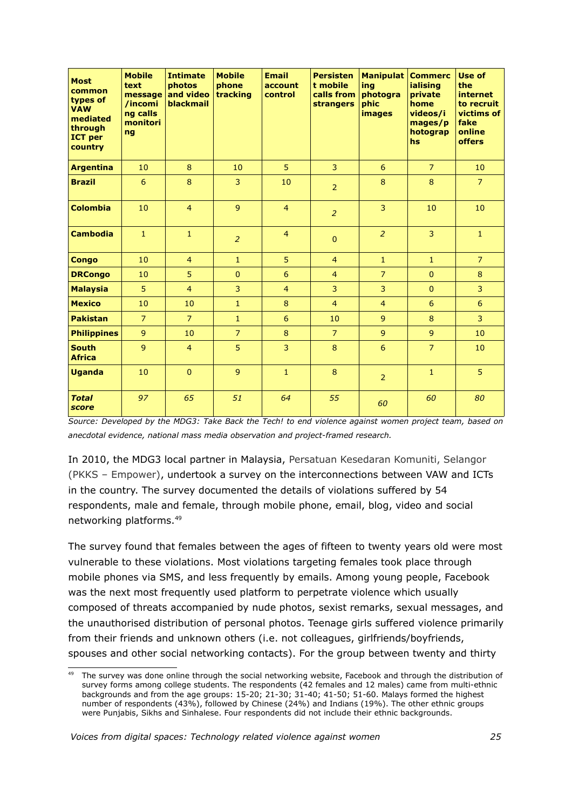| <b>Most</b><br>common<br>types of<br><b>VAW</b><br>mediated<br>through<br><b>ICT</b> per<br>country | <b>Mobile</b><br>text<br>message<br>/incomi<br>ng calls<br>monitori<br>ng | <b>Intimate</b><br>photos<br>and video<br><b>blackmail</b> | <b>Mobile</b><br>phone<br>tracking | <b>Email</b><br>account<br>control | <b>Persisten</b><br>t mobile<br>calls from<br><b>strangers</b> | <b>Manipulat</b><br>ing<br>photogra<br>phic<br><b>images</b> | <b>Commerc</b><br>ialising<br>private<br>home<br>videos/i<br>mages/p<br>hotograp<br>hs | Use of<br>the<br>internet<br>to recruit<br>victims of<br>fake<br>online<br><b>offers</b> |
|-----------------------------------------------------------------------------------------------------|---------------------------------------------------------------------------|------------------------------------------------------------|------------------------------------|------------------------------------|----------------------------------------------------------------|--------------------------------------------------------------|----------------------------------------------------------------------------------------|------------------------------------------------------------------------------------------|
| <b>Argentina</b>                                                                                    | 10                                                                        | 8                                                          | 10                                 | 5                                  | $\overline{3}$                                                 | 6                                                            | $\overline{7}$                                                                         | 10                                                                                       |
| <b>Brazil</b>                                                                                       | 6                                                                         | 8                                                          | 3                                  | 10                                 | $\overline{2}$                                                 | 8                                                            | 8                                                                                      | $\overline{7}$                                                                           |
| <b>Colombia</b>                                                                                     | 10                                                                        | $\overline{4}$                                             | $\overline{9}$                     | $\overline{4}$                     | 2                                                              | 3                                                            | 10                                                                                     | 10                                                                                       |
| <b>Cambodia</b>                                                                                     | $\mathbf{1}$                                                              | $\mathbf{1}$                                               | $\overline{2}$                     | $\overline{4}$                     | $\mathbf{0}$                                                   | $\overline{2}$                                               | 3                                                                                      | $\mathbf{1}$                                                                             |
| <b>Congo</b>                                                                                        | 10                                                                        | $\overline{4}$                                             | $\mathbf{1}$                       | 5                                  | $\overline{4}$                                                 | $\mathbf{1}$                                                 | $\mathbf{1}$                                                                           | $\overline{7}$                                                                           |
| <b>DRCongo</b>                                                                                      | 10                                                                        | 5                                                          | $\Omega$                           | 6                                  | $\overline{4}$                                                 | $\overline{7}$                                               | $\Omega$                                                                               | 8                                                                                        |
| <b>Malaysia</b>                                                                                     | 5                                                                         | $\overline{4}$                                             | 3                                  | $\overline{4}$                     | 3                                                              | 3                                                            | $\mathbf{0}$                                                                           | 3                                                                                        |
| <b>Mexico</b>                                                                                       | 10                                                                        | 10                                                         | $\mathbf{1}$                       | 8                                  | $\overline{4}$                                                 | $\overline{4}$                                               | 6                                                                                      | 6                                                                                        |
| <b>Pakistan</b>                                                                                     | $\overline{7}$                                                            | $\overline{7}$                                             | $\mathbf{1}$                       | 6                                  | 10                                                             | $\overline{9}$                                               | 8                                                                                      | 3                                                                                        |
| <b>Philippines</b>                                                                                  | 9                                                                         | 10                                                         | $\overline{7}$                     | 8                                  | $\overline{7}$                                                 | 9                                                            | $\overline{9}$                                                                         | 10                                                                                       |
| <b>South</b><br><b>Africa</b>                                                                       | 9                                                                         | $\overline{4}$                                             | 5                                  | 3                                  | 8                                                              | 6                                                            | $\overline{7}$                                                                         | 10                                                                                       |
| <b>Uganda</b>                                                                                       | 10                                                                        | $\Omega$                                                   | $\overline{9}$                     | $\mathbf{1}$                       | 8                                                              | $\overline{2}$                                               | $\mathbf{1}$                                                                           | 5                                                                                        |
| <b>Total</b><br>score                                                                               | 97                                                                        | 65                                                         | 51                                 | 64                                 | 55                                                             | 60                                                           | 60                                                                                     | 80                                                                                       |

*Source: Developed by the MDG3: Take Back the Tech! to end violence against women project team, based on anecdotal evidence, national mass media observation and project-framed research.* 

In 2010, the MDG3 local partner in Malaysia, Persatuan Kesedaran Komuniti, Selangor (PKKS – Empower), undertook a survey on the interconnections between VAW and ICTs in the country. The survey documented the details of violations suffered by 54 respondents, male and female, through mobile phone, email, blog, video and social networking platforms.[49](#page-24-0)

The survey found that females between the ages of fifteen to twenty years old were most vulnerable to these violations. Most violations targeting females took place through mobile phones via SMS, and less frequently by emails. Among young people, Facebook was the next most frequently used platform to perpetrate violence which usually composed of threats accompanied by nude photos, sexist remarks, sexual messages, and the unauthorised distribution of personal photos. Teenage girls suffered violence primarily from their friends and unknown others (i.e. not colleagues, girlfriends/boyfriends, spouses and other social networking contacts). For the group between twenty and thirty

<span id="page-24-0"></span>The survey was done online through the social networking website, Facebook and through the distribution of survey forms among college students. The respondents (42 females and 12 males) came from multi-ethnic backgrounds and from the age groups: 15-20; 21-30; 31-40; 41-50; 51-60. Malays formed the highest number of respondents (43%), followed by Chinese (24%) and Indians (19%). The other ethnic groups were Punjabis, Sikhs and Sinhalese. Four respondents did not include their ethnic backgrounds.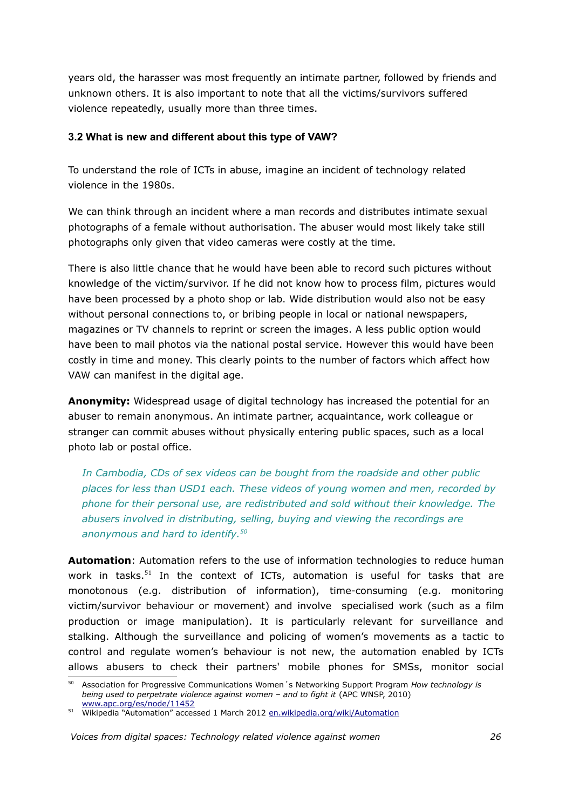years old, the harasser was most frequently an intimate partner, followed by friends and unknown others. It is also important to note that all the victims/survivors suffered violence repeatedly, usually more than three times.

### **3.2 What is new and different about this type of VAW?**

To understand the role of ICTs in abuse, imagine an incident of technology related violence in the 1980s.

We can think through an incident where a man records and distributes intimate sexual photographs of a female without authorisation. The abuser would most likely take still photographs only given that video cameras were costly at the time.

There is also little chance that he would have been able to record such pictures without knowledge of the victim/survivor. If he did not know how to process film, pictures would have been processed by a photo shop or lab. Wide distribution would also not be easy without personal connections to, or bribing people in local or national newspapers, magazines or TV channels to reprint or screen the images. A less public option would have been to mail photos via the national postal service. However this would have been costly in time and money. This clearly points to the number of factors which affect how VAW can manifest in the digital age.

**Anonymity:** Widespread usage of digital technology has increased the potential for an abuser to remain anonymous. An intimate partner, acquaintance, work colleague or stranger can commit abuses without physically entering public spaces, such as a local photo lab or postal office.

*In Cambodia, CDs of sex videos can be bought from the roadside and other public places for less than USD1 each. These videos of young women and men, recorded by phone for their personal use, are redistributed and sold without their knowledge. The abusers involved in distributing, selling, buying and viewing the recordings are anonymous and hard to identify.[50](#page-25-0)*

**Automation**: Automation refers to the use of information technologies to reduce human work in tasks.<sup>[51](#page-25-1)</sup> In the context of ICTs, automation is useful for tasks that are monotonous (e.g. distribution of information), time-consuming (e.g. monitoring victim/survivor behaviour or movement) and involve specialised work (such as a film production or image manipulation). It is particularly relevant for surveillance and stalking. Although the surveillance and policing of women's movements as a tactic to control and regulate women's behaviour is not new, the automation enabled by ICTs allows abusers to check their partners' mobile phones for SMSs, monitor social

<span id="page-25-0"></span><sup>50</sup> Association for Progressive Communications Women´s Networking Support Program *How technology is* being used to perpetrate violence against women - and to fight it (APC WNSP, 2010) [www.apc.org/es/node/11452](http://www.apc.org/es/node/11452)

<span id="page-25-1"></span><sup>51</sup> Wikipedia "Automation" accessed 1 March 2012 [en.wikipedia.org/wiki/Automation](http://en.wikipedia.org/wiki/Automation)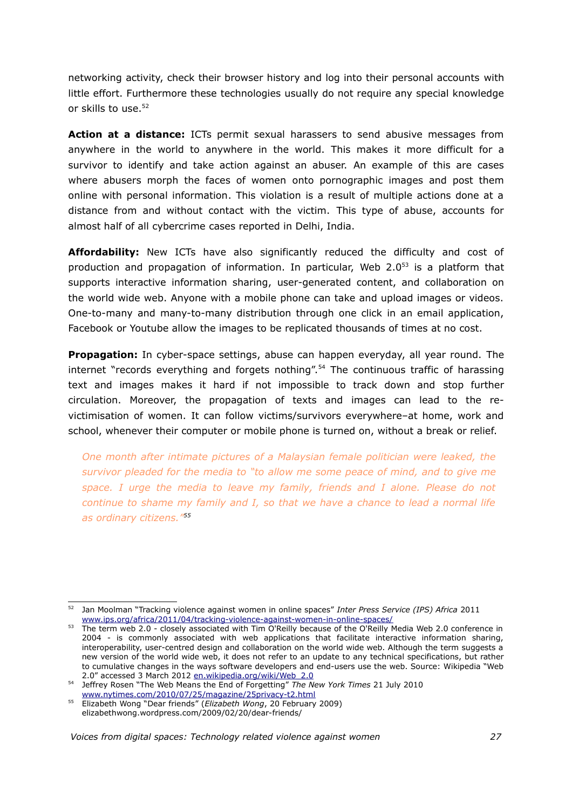networking activity, check their browser history and log into their personal accounts with little effort. Furthermore these technologies usually do not require any special knowledge or skills to use.<sup>[52](#page-26-0)</sup>

**Action at a distance:** ICTs permit sexual harassers to send abusive messages from anywhere in the world to anywhere in the world. This makes it more difficult for a survivor to identify and take action against an abuser. An example of this are cases where abusers morph the faces of women onto pornographic images and post them online with personal information. This violation is a result of multiple actions done at a distance from and without contact with the victim. This type of abuse, accounts for almost half of all cybercrime cases reported in Delhi, India.

**Affordability:** New ICTs have also significantly reduced the difficulty and cost of production and propagation of information. In particular, Web 2.0<sup>[53](#page-26-1)</sup> is a platform that supports interactive information sharing, user-generated content, and collaboration on the world wide web. Anyone with a mobile phone can take and upload images or videos. One-to-many and many-to-many distribution through one click in an email application, Facebook or Youtube allow the images to be replicated thousands of times at no cost.

**Propagation:** In cyber-space settings, abuse can happen everyday, all year round. The internet "records everything and forgets nothing".<sup>[54](#page-26-2)</sup> The continuous traffic of harassing text and images makes it hard if not impossible to track down and stop further circulation. Moreover, the propagation of texts and images can lead to the revictimisation of women. It can follow victims/survivors everywhere–at home, work and school, whenever their computer or mobile phone is turned on, without a break or relief.

*One month after intimate pictures of a Malaysian female politician were leaked, the survivor pleaded for the media to "to allow me some peace of mind, and to give me space. I urge the media to leave my family, friends and I alone. Please do not continue to shame my family and I, so that we have a chance to lead a normal life as ordinary citizens."[55](#page-26-3)*

<span id="page-26-0"></span><sup>52</sup> Jan Moolman "Tracking violence against women in online spaces" *Inter Press Service (IPS) Africa* 2011 [www.ips.org/africa/2011/04/tracking-violence-against-women-in-online-spaces/](http://www.ips.org/africa/2011/04/tracking-violence-against-women-in-online-spaces/)

<span id="page-26-1"></span>The term web 2.0 - closely associated with Tim O'Reilly because of the O'Reilly Media Web 2.0 conference in 2004 - is commonly associated with web applications that facilitate interactive information sharing, interoperability, user-centred design and collaboration on the world wide web. Although the term suggests a new version of the world wide web, it does not refer to an update to any technical specifications, but rather to cumulative changes in the ways software developers and end-users use the web. Source: Wikipedia "Web 2.0" accessed 3 March 2012 [en.wikipedia.org/wiki/Web\\_2.0](http://en.wikipedia.org/wiki/Web_2.0)

<span id="page-26-2"></span><sup>54</sup> Jeffrey Rosen "The Web Means the End of Forgetting" *The New York Times* 21 July 2010 [www.nytimes.com/2010/07/25/magazine/25privacy-t2.html](http://www.nytimes.com/2010/07/25/magazine/25privacy-t2.html)

<span id="page-26-3"></span><sup>55</sup> Elizabeth Wong "Dear friends" (*Elizabeth Wong*, 20 February 2009) elizabethwong.wordpress.com/2009/02/20/dear-friends/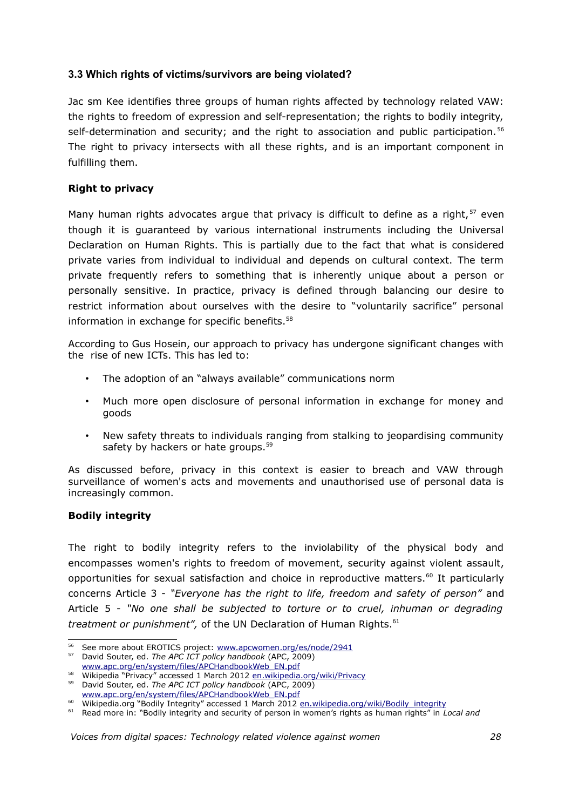# **3.3 Which rights of victims/survivors are being violated?**

Jac sm Kee identifies three groups of human rights affected by technology related VAW: the rights to freedom of expression and self-representation; the rights to bodily integrity, self-determination and security; and the right to association and public participation.<sup>[56](#page-27-0)</sup> The right to privacy intersects with all these rights, and is an important component in fulfilling them.

## **Right to privacy**

Many human rights advocates argue that privacy is difficult to define as a right,  $57$  even though it is guaranteed by various international instruments including the Universal Declaration on Human Rights. This is partially due to the fact that what is considered private varies from individual to individual and depends on cultural context. The term private frequently refers to something that is inherently unique about a person or personally sensitive. In practice, privacy is defined through balancing our desire to restrict information about ourselves with the desire to "voluntarily sacrifice" personal information in exchange for specific benefits.<sup>[58](#page-27-2)</sup>

According to Gus Hosein, our approach to privacy has undergone significant changes with the rise of new ICTs. This has led to:

- The adoption of an "always available" communications norm
- Much more open disclosure of personal information in exchange for money and goods
- New safety threats to individuals ranging from stalking to jeopardising community safety by hackers or hate groups.<sup>[59](#page-27-3)</sup>

As discussed before, privacy in this context is easier to breach and VAW through surveillance of women's acts and movements and unauthorised use of personal data is increasingly common.

### **Bodily integrity**

The right to bodily integrity refers to the inviolability of the physical body and encompasses women's rights to freedom of movement, security against violent assault, opportunities for sexual satisfaction and choice in reproductive matters.[60](#page-27-4) It particularly concerns Article 3 - *"Everyone has the right to life, freedom and safety of person"* and Article 5 - *"No one shall be subjected to torture or to cruel, inhuman or degrading treatment or punishment"*, of the UN Declaration of Human Rights.<sup>[61](#page-27-5)</sup>

<span id="page-27-0"></span>See more about EROTICS project: [www.apcwomen.org/es/node/2941](http://www.apcwomen.org/es/node/2941)

<span id="page-27-1"></span><sup>57</sup> David Souter, ed. *The APC ICT policy handbook* (APC, 2009) [www.apc.org/en/system/files/APCHandbookWeb\\_EN.pdf](http://www.apc.org/en/system/files/APCHandbookWeb_EN.pdf) 

<span id="page-27-2"></span><sup>58</sup> Wikipedia "Privacy" accessed 1 March 2012 [en.wikipedia.org/wiki/Privacy](http://en.wikipedia.org/wiki/Privacy)

<span id="page-27-3"></span><sup>59</sup> David Souter, ed. *The APC ICT policy handbook* (APC, 2009) [www.apc.org/en/system/files/APCHandbookWeb\\_EN.pdf](http://www.apc.org/en/system/files/APCHandbookWeb_EN.pdf)

<span id="page-27-4"></span><sup>60</sup> Wikipedia.org "Bodily Integrity" accessed 1 March 2012 [en.wikipedia.org/wiki/Bodily\\_integrity](http://en.wikipedia.org/wiki/Bodily_integrity)

<span id="page-27-5"></span><sup>61</sup> Read more in: "Bodily integrity and security of person in women's rights as human rights" in *Local and*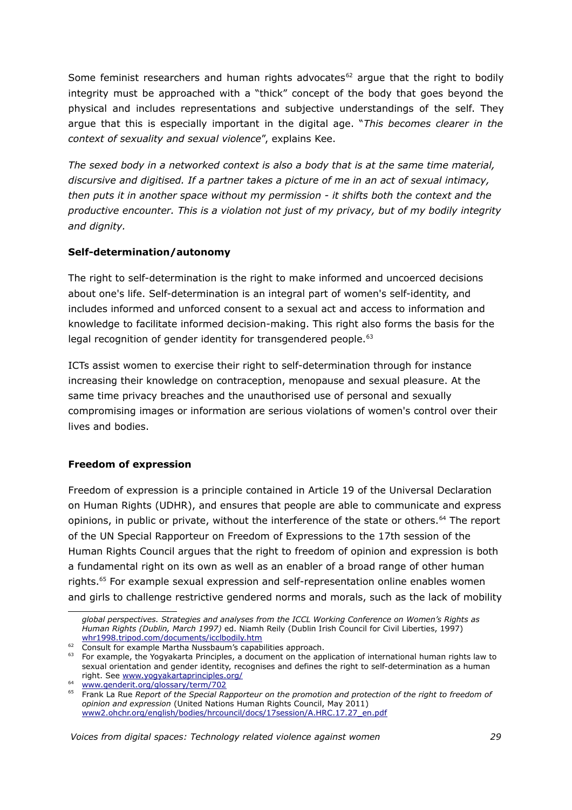Some feminist researchers and human rights advocates $62$  argue that the right to bodily integrity must be approached with a "thick" concept of the body that goes beyond the physical and includes representations and subjective understandings of the self. They argue that this is especially important in the digital age. "*This becomes clearer in the context of sexuality and sexual violence*", explains Kee.

*The sexed body in a networked context is also a body that is at the same time material, discursive and digitised. If a partner takes a picture of me in an act of sexual intimacy, then puts it in another space without my permission - it shifts both the context and the productive encounter. This is a violation not just of my privacy, but of my bodily integrity and dignity.*

## **Self-determination/autonomy**

The right to self-determination is the right to make informed and uncoerced decisions about one's life. Self-determination is an integral part of women's self-identity, and includes informed and unforced consent to a sexual act and access to information and knowledge to facilitate informed decision-making. This right also forms the basis for the legal recognition of gender identity for transgendered people.<sup>[63](#page-28-1)</sup>

ICTs assist women to exercise their right to self-determination through for instance increasing their knowledge on contraception, menopause and sexual pleasure. At the same time privacy breaches and the unauthorised use of personal and sexually compromising images or information are serious violations of women's control over their lives and bodies.

# **Freedom of expression**

Freedom of expression is a principle contained in Article 19 of the Universal Declaration on Human Rights (UDHR), and ensures that people are able to communicate and express opinions, in public or private, without the interference of the state or others.<sup>[64](#page-28-2)</sup> The report of the UN Special Rapporteur on Freedom of Expressions to the 17th session of the Human Rights Council argues that the right to freedom of opinion and expression is both a fundamental right on its own as well as an enabler of a broad range of other human rights.<sup>[65](#page-28-3)</sup> For example sexual expression and self-representation online enables women and girls to challenge restrictive gendered norms and morals, such as the lack of mobility

*global perspectives. Strategies and analyses from the ICCL Working Conference on Women's Rights as Human Rights (Dublin, March 1997)* ed. Niamh Reily (Dublin Irish Council for Civil Liberties, 1997) [whr1998.tripod.com/documents/icclbodily.htm](http://whr1998.tripod.com/documents/icclbodily.htm)

<span id="page-28-0"></span><sup>62</sup> Consult for example Martha Nussbaum's capabilities approach.

<span id="page-28-1"></span><sup>63</sup> For example, the Yogyakarta Principles, a document on the application of international human rights law to sexual orientation and gender identity, recognises and defines the right to self-determination as a human right. See [www.yogyakartaprinciples.org/](http://www.yogyakartaprinciples.org/)

<span id="page-28-2"></span><sup>64</sup>  [www.genderit.org/glossary/term/702](http://www.genderit.org/glossary/term/702)

<span id="page-28-3"></span><sup>65</sup> Frank La Rue *Report of the Special Rapporteur on the promotion and protection of the right to freedom of opinion and expression* (United Nations Human Rights Council, May 2011) [www2.ohchr.org/english/bodies/hrcouncil/docs/17session/A.HRC.17.27\\_en.pdf](http://www2.ohchr.org/english/bodies/hrcouncil/docs/17session/A.HRC.17.27_en.pdf)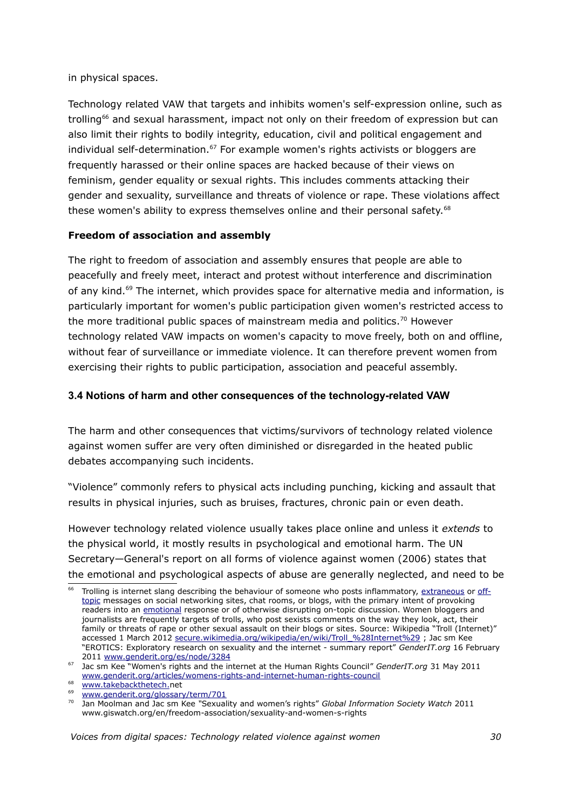in physical spaces.

Technology related VAW that targets and inhibits women's self-expression online, such as trolling<sup>[66](#page-29-0)</sup> and sexual harassment, impact not only on their freedom of expression but can also limit their rights to bodily integrity, education, civil and political engagement and individual self-determination.<sup>[67](#page-29-1)</sup> For example women's rights activists or bloggers are frequently harassed or their online spaces are hacked because of their views on feminism, gender equality or sexual rights. This includes comments attacking their gender and sexuality, surveillance and threats of violence or rape. These violations affect these women's ability to express themselves online and their personal safety.<sup>[68](#page-29-2)</sup>

# **Freedom of association and assembly**

The right to freedom of association and assembly ensures that people are able to peacefully and freely meet, interact and protest without interference and discrimination of any kind.<sup>[69](#page-29-3)</sup> The internet, which provides space for alternative media and information, is particularly important for women's public participation given women's restricted access to the more traditional public spaces of mainstream media and politics.<sup>[70](#page-29-4)</sup> However technology related VAW impacts on women's capacity to move freely, both on and offline, without fear of surveillance or immediate violence. It can therefore prevent women from exercising their rights to public participation, association and peaceful assembly.

# **3.4 Notions of harm and other consequences of the technology-related VAW**

The harm and other consequences that victims/survivors of technology related violence against women suffer are very often diminished or disregarded in the heated public debates accompanying such incidents.

"Violence" commonly refers to physical acts including punching, kicking and assault that results in physical injuries, such as bruises, fractures, chronic pain or even death.

However technology related violence usually takes place online and unless it *extends* to the physical world, it mostly results in psychological and emotional harm. The UN Secretary—General's report on all forms of violence against women (2006) states that the emotional and psychological aspects of abuse are generally neglected, and need to be

<span id="page-29-0"></span>Trolling is internet slang describing the behaviour of someone who posts inflammatory, [extraneous](https://en.wiktionary.org/wiki/extraneous#Adjective) or [off](https://secure.wikimedia.org/wikipedia/en/wiki/Off-topic)[topic](https://secure.wikimedia.org/wikipedia/en/wiki/Off-topic) messages on social networking sites, chat rooms, or blogs, with the primary intent of provoking readers into an [emotional](https://secure.wikimedia.org/wikipedia/en/wiki/Emotion) response or of otherwise disrupting on-topic discussion. Women bloggers and journalists are frequently targets of trolls, who post sexists comments on the way they look, act, their family or threats of rape or other sexual assault on their blogs or sites. Source: Wikipedia "Troll (Internet)" accessed 1 March 2012 [secure.wikimedia.org/wikipedia/en/wiki/Troll\\_%28Internet%29](https://secure.wikimedia.org/wikipedia/en/wiki/Troll_(Internet)) ; Jac sm Kee "EROTICS: Exploratory research on sexuality and the internet - summary report" *GenderIT.org* 16 February 2011 [www.genderit.org/es/node/3284](http://www.genderit.org/es/node/3284)

<span id="page-29-1"></span><sup>67</sup> Jac sm Kee "Women's rights and the internet at the Human Rights Council" *GenderIT.org* 31 May 2011 [www.genderit.org/articles/womens-rights-and-internet-human-rights-council](http://www.genderit.org/articles/womens-rights-and-internet-human-rights-council) 68  [www.takebackthetech.n](http://www.genderit.org/articles/internet-governance-issues-sexuality-and-womens-rights)et

<span id="page-29-2"></span>

<span id="page-29-3"></span><sup>69</sup> [www.genderit.org/glossary/term/701](http://www.genderit.org/glossary/term/701)

<span id="page-29-4"></span><sup>70</sup> Jan Moolman and Jac sm Kee *"*Sexuality and women's rights" *Global Information Society Watch* 2011 www.giswatch.org/en/freedom-association/sexuality-and-women-s-rights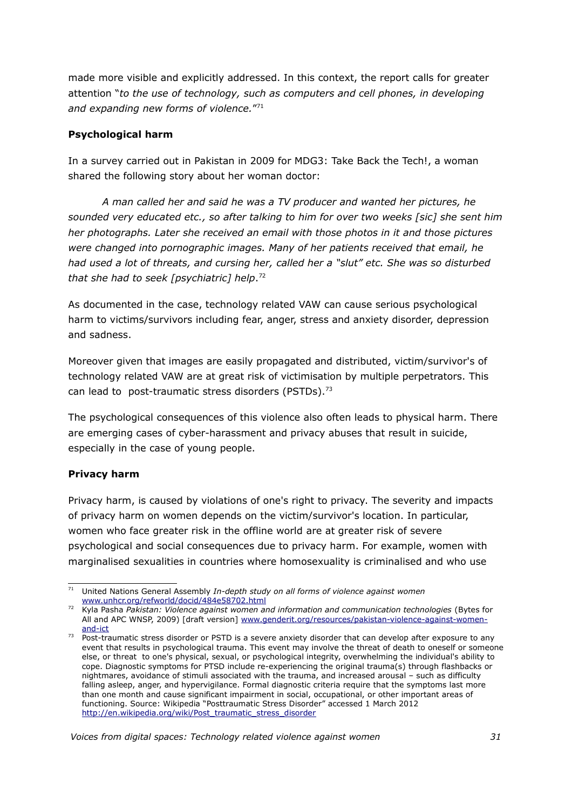made more visible and explicitly addressed. In this context, the report calls for greater attention "*to the use of technology, such as computers and cell phones, in developing and expanding new forms of violence.*" [71](#page-30-0)

# **Psychological harm**

In a survey carried out in Pakistan in 2009 for MDG3: Take Back the Tech!, a woman shared the following story about her woman doctor:

*A man called her and said he was a TV producer and wanted her pictures, he sounded very educated etc., so after talking to him for over two weeks [sic] she sent him her photographs. Later she received an email with those photos in it and those pictures were changed into pornographic images. Many of her patients received that email, he had used a lot of threats, and cursing her, called her a "slut" etc. She was so disturbed that she had to seek [psychiatric] help*. [72](#page-30-1)

As documented in the case, technology related VAW can cause serious psychological harm to victims/survivors including fear, anger, stress and anxiety disorder, depression and sadness.

Moreover given that images are easily propagated and distributed, victim/survivor's of technology related VAW are at great risk of victimisation by multiple perpetrators. This can lead to post-traumatic stress disorders (PSTDs). $73$ 

The psychological consequences of this violence also often leads to physical harm. There are emerging cases of cyber-harassment and privacy abuses that result in suicide, especially in the case of young people.

# **Privacy harm**

Privacy harm, is caused by violations of one's right to privacy. The severity and impacts of privacy harm on women depends on the victim/survivor's location. In particular, women who face greater risk in the offline world are at greater risk of severe psychological and social consequences due to privacy harm. For example, women with marginalised sexualities in countries where homosexuality is criminalised and who use

<span id="page-30-0"></span><sup>71</sup> United Nations General Assembly *In-depth study on all forms of violence against women* [www.unhcr.org/refworld/docid/484e58702.html](http://www.unhcr.org/refworld/docid/484e58702.html)

<span id="page-30-1"></span><sup>72</sup> Kyla Pasha *Pakistan: Violence against women and information and communication technologies* (Bytes for All and APC WNSP, 2009) [draft version] [www.genderit.org/resources/pakistan-violence-against-women](http://www.genderit.org/resources/pakistan-violence-against-women-and-ict)[and-ict](http://www.genderit.org/resources/pakistan-violence-against-women-and-ict)

<span id="page-30-2"></span>Post-traumatic stress disorder or PSTD is a severe anxiety disorder that can develop after exposure to any event that results in psychological trauma. This event may involve the threat of death to oneself or someone else, or threat to one's physical, sexual, or psychological integrity, overwhelming the individual's ability to cope. Diagnostic symptoms for PTSD include re-experiencing the original trauma(s) through flashbacks or nightmares, avoidance of stimuli associated with the trauma, and increased arousal – such as difficulty falling asleep, anger, and hypervigilance. Formal diagnostic criteria require that the symptoms last more than one month and cause significant impairment in social, occupational, or other important areas of functioning. Source: Wikipedia "Posttraumatic Stress Disorder" accessed 1 March 2012 [http://en.wikipedia.org/wiki/Post\\_traumatic\\_stress\\_disorder](http://en.wikipedia.org/wiki/Post_traumatic_stress_disorder)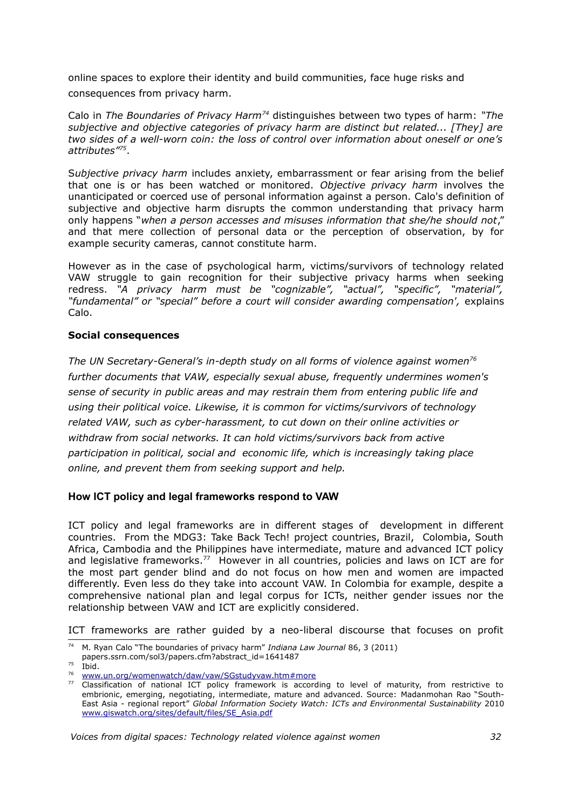online spaces to explore their identity and build communities, face huge risks and consequences from privacy harm.

Calo in *The Boundaries of Privacy Harm[74](#page-31-0)* distinguishes between two types of harm: *"The subjective and objective categories of privacy harm are distinct but related... [They] are two sides of a well-worn coin: the loss of control over information about oneself or one's attributes"[75](#page-31-1)* .

S*ubjective privacy harm* includes anxiety, embarrassment or fear arising from the belief that one is or has been watched or monitored. *Objective privacy harm* involves the unanticipated or coerced use of personal information against a person. Calo's definition of subjective and objective harm disrupts the common understanding that privacy harm only happens "*when a person accesses and misuses information that she/he should not*," and that mere collection of personal data or the perception of observation, by for example security cameras, cannot constitute harm.

However as in the case of psychological harm, victims/survivors of technology related VAW struggle to gain recognition for their subjective privacy harms when seeking redress. *"A privacy harm must be "cognizable", "actual", "specific", "material", "fundamental" or "special" before a court will consider awarding compensation',* explains Calo.

### **Social consequences**

*The UN Secretary-General's in-depth study on all forms of violence against women[76](#page-31-2) further documents that VAW, especially sexual abuse, frequently undermines women's sense of security in public areas and may restrain them from entering public life and using their political voice. Likewise, it is common for victims/survivors of technology related VAW, such as cyber-harassment, to cut down on their online activities or withdraw from social networks. It can hold victims/survivors back from active participation in political, social and economic life, which is increasingly taking place online, and prevent them from seeking support and help.* 

### **How ICT policy and legal frameworks respond to VAW**

ICT policy and legal frameworks are in different stages of development in different countries. From the MDG3: Take Back Tech! project countries, Brazil, Colombia, South Africa, Cambodia and the Philippines have intermediate, mature and advanced ICT policy and legislative frameworks.<sup>[77](#page-31-3)</sup> However in all countries, policies and laws on ICT are for the most part gender blind and do not focus on how men and women are impacted differently. Even less do they take into account VAW. In Colombia for example, despite a comprehensive national plan and legal corpus for ICTs, neither gender issues nor the relationship between VAW and ICT are explicitly considered.

ICT frameworks are rather guided by a neo-liberal discourse that focuses on profit

<span id="page-31-0"></span><sup>74</sup> M. Ryan Calo "The boundaries of privacy harm" *Indiana Law Journal* 86, 3 (2011)

papers.ssrn.com/sol3/papers.cfm?abstract\_id=1641487

<span id="page-31-1"></span> $75$  Ibid.

<span id="page-31-2"></span><sup>&</sup>lt;sup>76</sup> [www.un.org/womenwatch/daw/vaw/SGstudyvaw.htm#more](http://www.un.org/womenwatch/daw/vaw/SGstudyvaw.htm#more)

<span id="page-31-3"></span> $77$  Classification of national ICT policy framework is according to level of maturity, from restrictive to embrionic, emerging, negotiating, intermediate, mature and advanced. Source: Madanmohan Rao "South-East Asia - regional report" *Global Information Society Watch: ICTs and Environmental Sustainability* 2010 [www.giswatch.org/sites/default/files/SE\\_Asia.pdf](http://www.giswatch.org/sites/default/files/SE_Asia.pdf)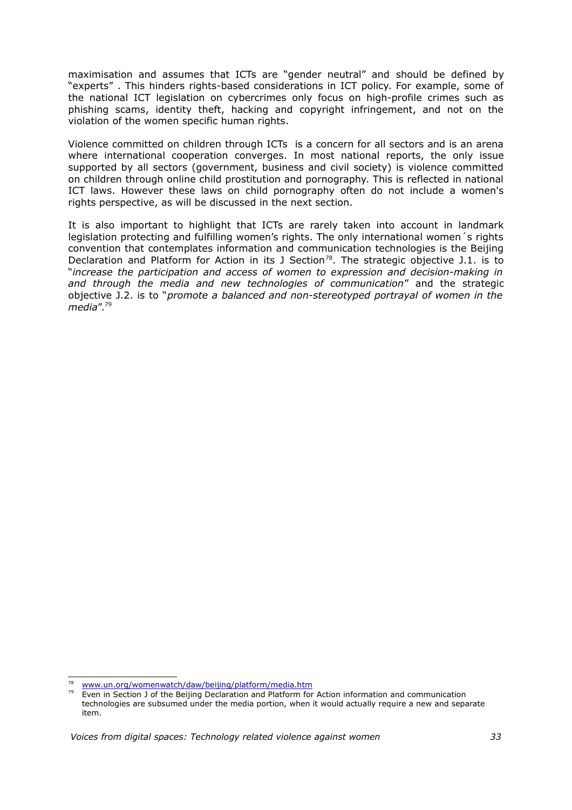maximisation and assumes that ICTs are "gender neutral" and should be defined by "experts" . This hinders rights-based considerations in ICT policy. For example, some of the national ICT legislation on cybercrimes only focus on high-profile crimes such as phishing scams, identity theft, hacking and copyright infringement, and not on the violation of the women specific human rights.

Violence committed on children through ICTs is a concern for all sectors and is an arena where international cooperation converges. In most national reports, the only issue supported by all sectors (government, business and civil society) is violence committed on children through online child prostitution and pornography. This is reflected in national ICT laws. However these laws on child pornography often do not include a women's rights perspective, as will be discussed in the next section.

It is also important to highlight that ICTs are rarely taken into account in landmark legislation protecting and fulfilling women's rights. The only international women´s rights convention that contemplates information and communication technologies is the Beijing Declaration and Platform for Action in its J Section<sup>[78](#page-32-0)</sup>. The strategic objective J.1. is to "*increase the participation and access of women to expression and decision-making in and through the media and new technologies of communication*" and the strategic objective J.2. is to "*promote a balanced and non-stereotyped portrayal of women in the media*".[79](#page-32-1)

<span id="page-32-0"></span><sup>78</sup>  [www.un.org/womenwatch/daw/beijing/platform/media.htm](http://www.un.org/womenwatch/daw/beijing/platform/media.htm)

<span id="page-32-1"></span>Even in Section J of the Beijing Declaration and Platform for Action information and communication technologies are subsumed under the media portion, when it would actually require a new and separate item.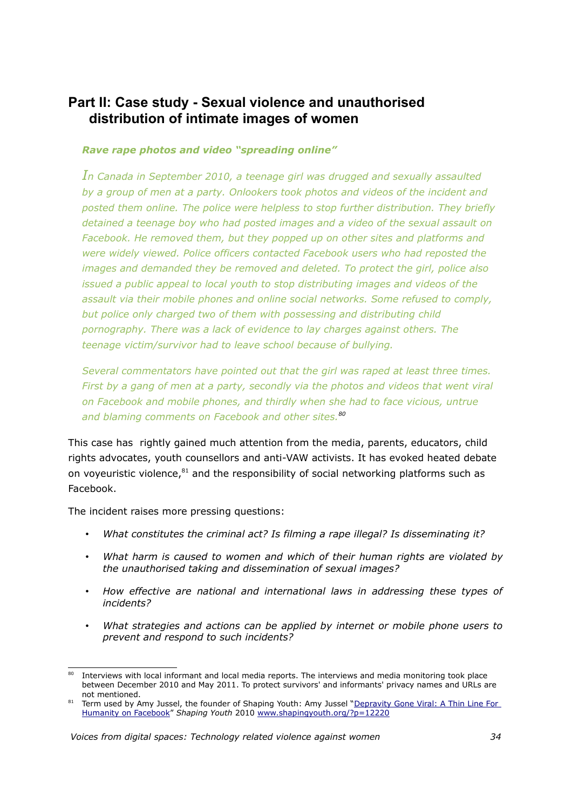# **Part II: Case study - Sexual violence and unauthorised distribution of intimate images of women**

### *Rave rape photos and video "spreading online"*

*In Canada in September 2010, a teenage girl was drugged and sexually assaulted by a group of men at a party. Onlookers took photos and videos of the incident and posted them online. The police were helpless to stop further distribution. They briefly detained a teenage boy who had posted images and a video of the sexual assault on Facebook. He removed them, but they popped up on other sites and platforms and were widely viewed. Police officers contacted Facebook users who had reposted the images and demanded they be removed and deleted. To protect the girl, police also issued a public appeal to local youth to stop distributing images and videos of the assault via their mobile phones and online social networks. Some refused to comply, but police only charged two of them with possessing and distributing child pornography. There was a lack of evidence to lay charges against others. The teenage victim/survivor had to leave school because of bullying.*

*Several commentators have pointed out that the girl was raped at least three times. First by a gang of men at a party, secondly via the photos and videos that went viral on Facebook and mobile phones, and thirdly when she had to face vicious, untrue and blaming comments on Facebook and other sites.[80](#page-33-0)*

This case has rightly gained much attention from the media, parents, educators, child rights advocates, youth counsellors and anti-VAW activists. It has evoked heated debate on voyeuristic violence, $81$  and the responsibility of social networking platforms such as Facebook.

The incident raises more pressing questions:

- *What constitutes the criminal act? Is filming a rape illegal? Is disseminating it?*
- *What harm is caused to women and which of their human rights are violated by the unauthorised taking and dissemination of sexual images?*
- *How effective are national and international laws in addressing these types of incidents?*
- *What strategies and actions can be applied by internet or mobile phone users to prevent and respond to such incidents?*

<span id="page-33-0"></span>Interviews with local informant and local media reports. The interviews and media monitoring took place between December 2010 and May 2011. To protect survivors' and informants' privacy names and URLs are not mentioned.

<span id="page-33-1"></span><sup>81</sup> Term used by Amy Jussel, the founder of Shaping Youth: Amy Jussel ["Depravity Gone Viral: A Thin Line For](http://www.shapingyouth.org/?p=12220) [Humanity on Facebook"](http://www.shapingyouth.org/?p=12220) *Shaping Youth* 2010 [www.shapingyouth.org/?p=12220](http://www.shapingyouth.org/?p=12220)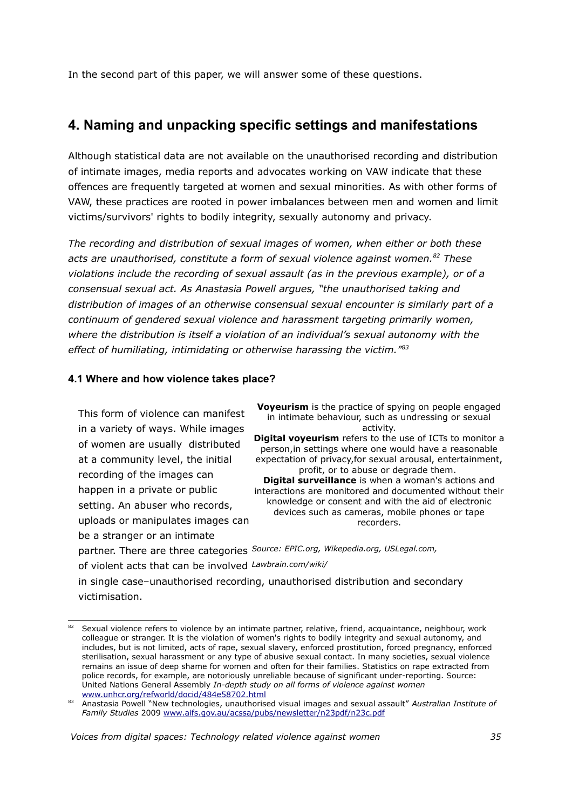In the second part of this paper, we will answer some of these questions.

# **4. Naming and unpacking specific settings and manifestations**

Although statistical data are not available on the unauthorised recording and distribution of intimate images, media reports and advocates working on VAW indicate that these offences are frequently targeted at women and sexual minorities. As with other forms of VAW, these practices are rooted in power imbalances between men and women and limit victims/survivors' rights to bodily integrity, sexually autonomy and privacy.

*The recording and distribution of sexual images of women, when either or both these acts are unauthorised, constitute a form of sexual violence against women.[82](#page-34-0) These violations include the recording of sexual assault (as in the previous example), or of a consensual sexual act. As Anastasia Powell argues, "the unauthorised taking and distribution of images of an otherwise consensual sexual encounter is similarly part of a continuum of gendered sexual violence and harassment targeting primarily women, where the distribution is itself a violation of an individual's sexual autonomy with the effect of humiliating, intimidating or otherwise harassing the victim."[83](#page-34-1)*

### **4.1 Where and how violence takes place?**

This form of violence can manifest in a variety of ways. While images of women are usually distributed at a community level, the initial recording of the images can happen in a private or public setting. An abuser who records, uploads or manipulates images can be a stranger or an intimate

**Voveurism** is the practice of spying on people engaged in intimate behaviour, such as undressing or sexual activity. **Digital voyeurism** refers to the use of ICTs to monitor a person,in settings where one would have a reasonable

expectation of privacy,for sexual arousal, entertainment, profit, or to abuse or degrade them. **Digital surveillance** is when a woman's actions and interactions are monitored and documented without their knowledge or consent and with the aid of electronic devices such as cameras, mobile phones or tape

recorders.

partner. There are three categories *Source: EPIC.org, Wikepedia.org, USLegal.com,* of violent acts that can be involved *Lawbrain.com/wiki/*

in single case–unauthorised recording, unauthorised distribution and secondary victimisation.

<span id="page-34-0"></span><sup>82</sup> Sexual violence refers to violence by an intimate partner, relative, friend, acquaintance, neighbour, work colleague or stranger. It is the violation of women's rights to bodily integrity and sexual autonomy, and includes, but is not limited, acts of rape, sexual slavery, enforced prostitution, forced pregnancy, enforced sterilisation, sexual harassment or any type of abusive sexual contact. In many societies, sexual violence remains an issue of deep shame for women and often for their families. Statistics on rape extracted from police records, for example, are notoriously unreliable because of significant under-reporting. Source: United Nations General Assembly *In-depth study on all forms of violence against women* [www.unhcr.org/refworld/docid/484e58702.html](http://www.unhcr.org/refworld/docid/484e58702.html)

<span id="page-34-1"></span><sup>83</sup> Anastasia Powell "New technologies, unauthorised visual images and sexual assault" *Australian Institute of Family Studies* 2009 [www.aifs.gov.au/acssa/pubs/newsletter/n23pdf/n23c.pdf](http://www.aifs.gov.au/acssa/pubs/newsletter/n23pdf/n23c.pdf)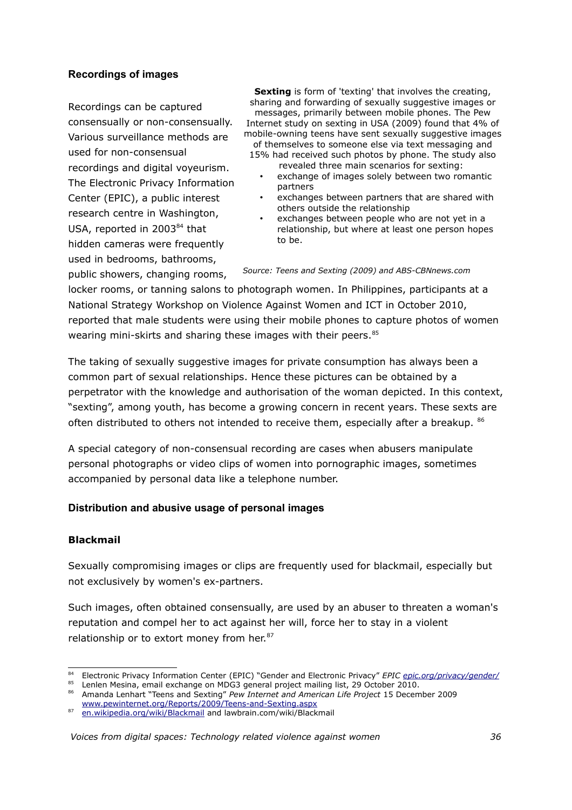# **Recordings of images**

Recordings can be captured consensually or non-consensually. Various surveillance methods are used for non-consensual recordings and digital voyeurism. The Electronic Privacy Information Center (EPIC), a public interest research centre in Washington, USA, reported in 2003<sup>[84](#page-35-0)</sup> that hidden cameras were frequently used in bedrooms, bathrooms,

public showers, changing rooms,

**Sexting** is form of 'texting' that involves the creating, sharing and forwarding of sexually suggestive images or messages, primarily between mobile phones. The Pew Internet study on sexting in USA (2009) found that 4% of mobile-owning teens have sent sexually suggestive images of themselves to someone else via text messaging and

15% had received such photos by phone. The study also revealed three main scenarios for sexting:

- exchange of images solely between two romantic partners
- exchanges between partners that are shared with others outside the relationship
- exchanges between people who are not yet in a relationship, but where at least one person hopes to be.

*Source: Teens and Sexting (2009) and ABS-CBNnews.com*

locker rooms, or tanning salons to photograph women. In Philippines, participants at a National Strategy Workshop on Violence Against Women and ICT in October 2010, reported that male students were using their mobile phones to capture photos of women wearing mini-skirts and sharing these images with their peers.<sup>[85](#page-35-1)</sup>

The taking of sexually suggestive images for private consumption has always been a common part of sexual relationships. Hence these pictures can be obtained by a perpetrator with the knowledge and authorisation of the woman depicted. In this context, "sexting", among youth, has become a growing concern in recent years. These sexts are often distributed to others not intended to receive them, especially after a breakup. <sup>[86](#page-35-2)</sup>

A special category of non-consensual recording are cases when abusers manipulate personal photographs or video clips of women into pornographic images, sometimes accompanied by personal data like a telephone number.

### **Distribution and abusive usage of personal images**

### **Blackmail**

Sexually compromising images or clips are frequently used for blackmail, especially but not exclusively by women's ex-partners.

Such images, often obtained consensually, are used by an abuser to threaten a woman's reputation and compel her to act against her will, force her to stay in a violent relationship or to extort money from her.<sup>[87](#page-35-3)</sup>

<span id="page-35-0"></span><sup>84</sup> Electronic Privacy Information Center (EPIC) "Gender and Electronic Privacy" *EPIC [epic.org/privacy/gender/](http://epic.org/privacy/gender/)*

<span id="page-35-1"></span><sup>85</sup> Lenlen Mesina, email exchange on MDG3 general project mailing list, 29 October 2010.

<span id="page-35-2"></span><sup>86</sup> Amanda Lenhart "Teens and Sexting" *Pew Internet and American Life Project* 15 December 2009 [www.pewinternet.org/Reports/2009/Teens-and-Sexting.aspx](http://www.pewinternet.org/Reports/2009/Teens-and-Sexting.aspx)

<span id="page-35-3"></span><sup>&</sup>lt;sup>87</sup> [en.wikipedia.org/wiki/Blackmail](http://en.wikipedia.org/wiki/Blackmail) and lawbrain.com/wiki/Blackmail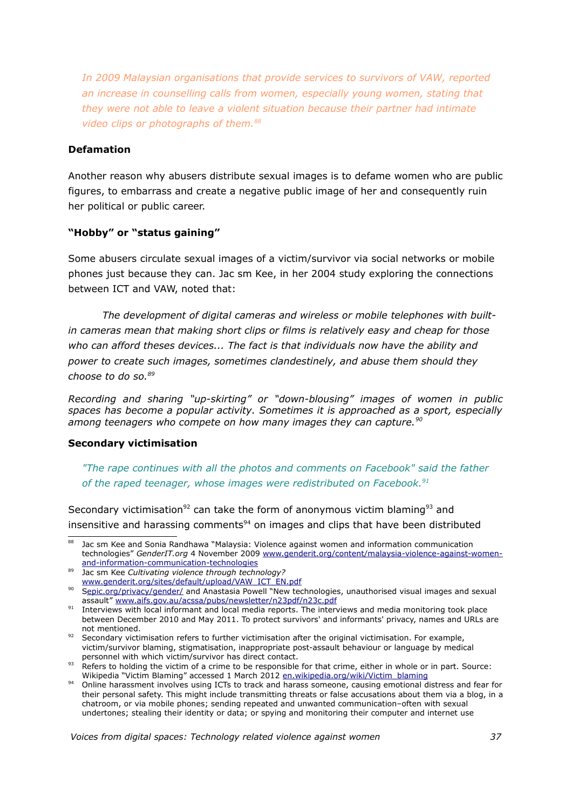*In 2009 Malaysian organisations that provide services to survivors of VAW, reported an increase in counselling calls from women, especially young women, stating that they were not able to leave a violent situation because their partner had intimate video clips or photographs of them.[88](#page-36-0)*

#### **Defamation**

Another reason why abusers distribute sexual images is to defame women who are public figures, to embarrass and create a negative public image of her and consequently ruin her political or public career.

### **"Hobby" or "status gaining"**

Some abusers circulate sexual images of a victim/survivor via social networks or mobile phones just because they can. Jac sm Kee, in her 2004 study exploring the connections between ICT and VAW, noted that:

*The development of digital cameras and wireless or mobile telephones with builtin cameras mean that making short clips or films is relatively easy and cheap for those who can afford theses devices... The fact is that individuals now have the ability and power to create such images, sometimes clandestinely, and abuse them should they choose to do so.[89](#page-36-1)*

*Recording and sharing "up-skirting" or "down-blousing" images of women in public spaces has become a popular activity. Sometimes it is approached as a sport, especially among teenagers who compete on how many images they can capture.[90](#page-36-2)*

#### **Secondary victimisation**

*"The rape continues with all the photos and comments on Facebook" said the father of the raped teenager, whose images were redistributed on Facebook.[91](#page-36-3)*

Secondary victimisation<sup>[92](#page-36-4)</sup> can take the form of anonymous victim blaming<sup>[93](#page-36-5)</sup> and insensitive and harassing comments $94$  on images and clips that have been distributed

<span id="page-36-0"></span><sup>88</sup> Jac sm Kee and Sonia Randhawa "Malaysia: Violence against women and information communication technologies" *GenderIT.org* 4 November 2009 [www.genderit.org/content/malaysia-violence-against-women](http://www.genderit.org/content/malaysia-violence-against-women-and-information-communication-technologies)[and-information-communication-technologies](http://www.genderit.org/content/malaysia-violence-against-women-and-information-communication-technologies)

<span id="page-36-1"></span><sup>89</sup> Jac sm Kee *Cultivating violence through technology?* [www.genderit.org/sites/default/upload/VAW\\_ICT\\_EN.pdf](http://www.genderit.org/sites/default/upload/VAW_ICT_EN.pdf)

<span id="page-36-2"></span><sup>90</sup> [Sepic.org/privacy/gender/](http://epic.org/privacy/gender/) and Anastasia Powell "New technologies, unauthorised visual images and sexual assault" [www.aifs.gov.au/acssa/pubs/newsletter/n23pdf/n23c.pdf](http://www.aifs.gov.au/acssa/pubs/newsletter/n23pdf/n23c.pdf)

<span id="page-36-3"></span><sup>&</sup>lt;sup>91</sup> Interviews with local informant and local media reports. The interviews and media monitoring took place between December 2010 and May 2011. To protect survivors' and informants' privacy, names and URLs are not mentioned.

<span id="page-36-4"></span><sup>92</sup> Secondary victimisation refers to further victimisation after the original victimisation. For example, victim/survivor blaming, stigmatisation, inappropriate post-assault behaviour or language by medical personnel with which victim/survivor has direct contact.

<span id="page-36-5"></span><sup>93</sup> Refers to holding the victim of a crime to be responsible for that crime, either in whole or in part. Source: Wikipedia "Victim Blaming" accessed 1 March 2012 [en.wikipedia.org/wiki/Victim\\_blaming](http://en.wikipedia.org/wiki/Victim_blaming)

<span id="page-36-6"></span><sup>94</sup> Online harassment involves using ICTs to track and harass someone, causing emotional distress and fear for their personal safety. This might include transmitting threats or false accusations about them via a blog, in a chatroom, or via mobile phones; sending repeated and unwanted communication–often with sexual undertones; stealing their identity or data; or spying and monitoring their computer and internet use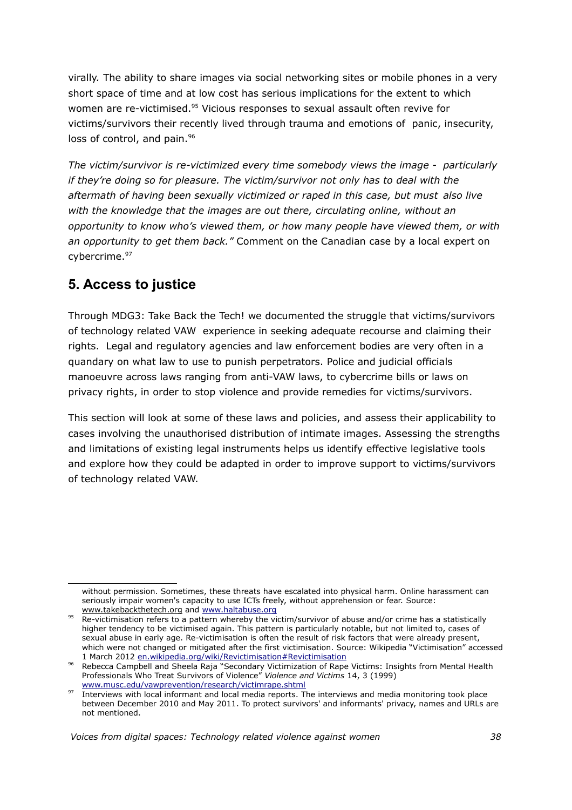virally*.* The ability to share images via social networking sites or mobile phones in a very short space of time and at low cost has serious implications for the extent to which women are re-victimised.<sup>[95](#page-37-0)</sup> Vicious responses to sexual assault often revive for victims/survivors their recently lived through trauma and emotions of panic, insecurity, loss of control, and pain.<sup>[96](#page-37-1)</sup>

*The victim/survivor is re-victimized every time somebody views the image - particularly if they're doing so for pleasure. The victim/survivor not only has to deal with the aftermath of having been sexually victimized or raped in this case, but must also live with the knowledge that the images are out there, circulating online, without an opportunity to know who's viewed them, or how many people have viewed them, or with an opportunity to get them back."* Comment on the Canadian case by a local expert on cybercrime.<sup>[97](#page-37-2)</sup>

# **5. Access to justice**

Through MDG3: Take Back the Tech! we documented the struggle that victims/survivors of technology related VAW experience in seeking adequate recourse and claiming their rights. Legal and regulatory agencies and law enforcement bodies are very often in a quandary on what law to use to punish perpetrators. Police and judicial officials manoeuvre across laws ranging from anti-VAW laws, to cybercrime bills or laws on privacy rights, in order to stop violence and provide remedies for victims/survivors.

This section will look at some of these laws and policies, and assess their applicability to cases involving the unauthorised distribution of intimate images. Assessing the strengths and limitations of existing legal instruments helps us identify effective legislative tools and explore how they could be adapted in order to improve support to victims/survivors of technology related VAW.

without permission. Sometimes, these threats have escalated into physical harm. Online harassment can seriously impair women's capacity to use ICTs freely, without apprehension or fear. Source: [www.takebackthetech.org](http://www.takebackthetech.org/) and [www.haltabuse.org](http://www.haltabuse.org/)

<span id="page-37-0"></span>www.takebacktrictectiony and www.takebacktrictectiony and www.takebacktrictection and or crime has a statistically higher tendency to be victimised again. This pattern is particularly notable, but not limited to, cases of sexual abuse in early age. Re-victimisation is often the result of risk factors that were already present, which were not changed or mitigated after the first victimisation. Source: Wikipedia "Victimisation" accessed 1 March 2012 [en.wikipedia.org/wiki/Revictimisation#Revictimisation](http://en.wikipedia.org/wiki/Revictimisation#Revictimisation)

<span id="page-37-1"></span><sup>96</sup> Rebecca Campbell and Sheela Raja "Secondary Victimization of Rape Victims: Insights from Mental Health Professionals Who Treat Survivors of Violence" *Violence and Victims* 14, 3 (1999) [www.musc.edu/vawprevention/research/victimrape.shtml](http://www.musc.edu/vawprevention/research/victimrape.shtml)

<span id="page-37-2"></span><sup>97</sup> Interviews with local informant and local media reports. The interviews and media monitoring took place between December 2010 and May 2011. To protect survivors' and informants' privacy, names and URLs are not mentioned.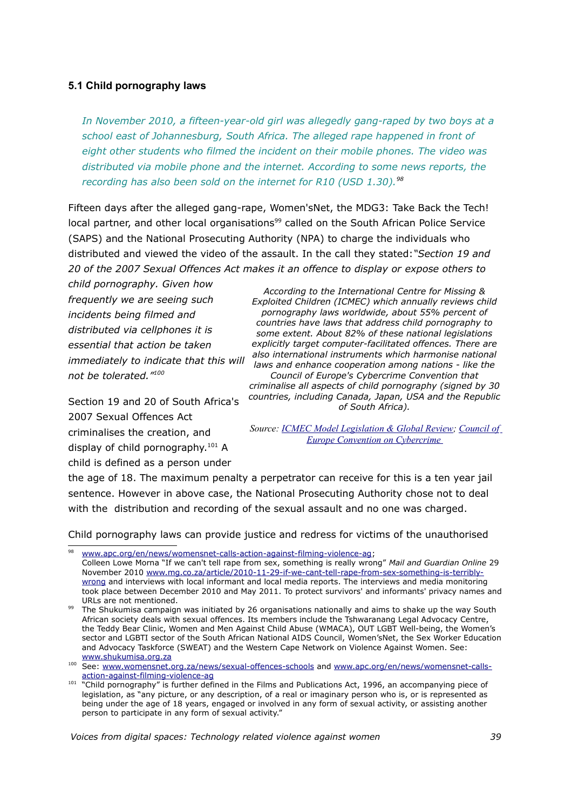#### **5.1 Child pornography laws**

*In November 2010, a fifteen-year-old girl was allegedly gang-raped by two boys at a school east of Johannesburg, South Africa. The alleged rape happened in front of eight other students who filmed the incident on their mobile phones. The video was distributed via mobile phone and the internet. According to some news reports, the recording has also been sold on the internet for R10 (USD 1.30).[98](#page-38-0)*

Fifteen days after the alleged gang-rape, Women'sNet, the MDG3: Take Back the Tech! local partner, and other local organisations<sup>[99](#page-38-1)</sup> called on the South African Police Service (SAPS) and the National Prosecuting Authority (NPA) to charge the individuals who distributed and viewed the video of the assault. In the call they stated:*"Section 19 and 20 of the 2007 Sexual Offences Act makes it an offence to display or expose others to*

*child pornography. Given how frequently we are seeing such incidents being filmed and distributed via cellphones it is essential that action be taken not be tolerated."[100](#page-38-2)*

*immediately to indicate that this will laws and enhance cooperation among nations - like the According to the International Centre for Missing & Exploited Children (ICMEC) which annually reviews child pornography laws worldwide, about 55% percent of countries have laws that address child pornography to some extent. About 82% of these national legislations explicitly target computer-facilitated offences. There are also international instruments which harmonise national Council of Europe's Cybercrime Convention that criminalise all aspects of child pornography (signed by 30 countries, including Canada, Japan, USA and the Republic of South Africa).*

Section 19 and 20 of South Africa's 2007 Sexual Offences Act criminalises the creation, and display of child pornography.<sup>[101](#page-38-3)</sup> A child is defined as a person under

*Source: [ICMEC Model Legislation & Global Review;](http://www.icmec.org/missingkids/servlet/PageServlet?LanguageCountry=en_X1&PageId=4346) [Council of](http://conventions.coe.int/Treaty/Commun/ChercheSig.asp?NT=185&CM=8&DF=28/10/2010&CL=ENG%20%20%20)  [Europe Convention on Cybercrime](http://conventions.coe.int/Treaty/Commun/ChercheSig.asp?NT=185&CM=8&DF=28/10/2010&CL=ENG%20%20%20)*

the age of 18. The maximum penalty a perpetrator can receive for this is a ten year jail sentence. However in above case, the National Prosecuting Authority chose not to deal with the distribution and recording of the sexual assault and no one was charged.

Child pornography laws can provide justice and redress for victims of the unauthorised

<span id="page-38-0"></span><sup>98</sup>  [www.apc.org/en/news/womensnet-calls-action-against-filming-violence-ag;](http://www.apc.org/en/news/womensnet-calls-action-against-filming-violence-ag)

Colleen Lowe Morna "If we can't tell rape from sex, something is really wrong" *Mail and Guardian Online* 29 November 2010 [www.mg.co.za/article/2010-11-29-if-we-cant-tell-rape-from-sex-something-is-terribly](http://www.mg.co.za/article/2010-11-29-if-we-cant-tell-rape-from-sex-something-is-terribly-wrong)[wrong](http://www.mg.co.za/article/2010-11-29-if-we-cant-tell-rape-from-sex-something-is-terribly-wrong) and interviews with local informant and local media reports. The interviews and media monitoring took place between December 2010 and May 2011. To protect survivors' and informants' privacy names and URLs are not mentioned.

<span id="page-38-1"></span><sup>&</sup>lt;sup>99</sup> The Shukumisa campaign was initiated by 26 organisations nationally and aims to shake up the way South African society deals with sexual offences. Its members include the Tshwaranang Legal Advocacy Centre, the Teddy Bear Clinic, Women and Men Against Child Abuse (WMACA), OUT LGBT Well-being, the Women's sector and LGBTI sector of the South African National AIDS Council, Women'sNet, the Sex Worker Education and Advocacy Taskforce (SWEAT) and the Western Cape Network on Violence Against Women. See: [www.shukumisa.org.za](http://www.shukumisa.org.za/)

<span id="page-38-2"></span><sup>100</sup> See: [www.womensnet.org.za/news/sexual-offences-schools](http://www.womensnet.org.za/news/sexual-offences-schools) and [www.apc.org/en/news/womensnet-calls](http://www.apc.org/en/news/womensnet-calls-action-against-filming-violence-ag)[action-against-filming-violence-ag](http://www.apc.org/en/news/womensnet-calls-action-against-filming-violence-ag)

<span id="page-38-3"></span> $101$  "Child pornography" is further defined in the Films and Publications Act, 1996, an accompanying piece of legislation, as "any picture, or any description, of a real or imaginary person who is, or is represented as being under the age of 18 years, engaged or involved in any form of sexual activity, or assisting another person to participate in any form of sexual activity."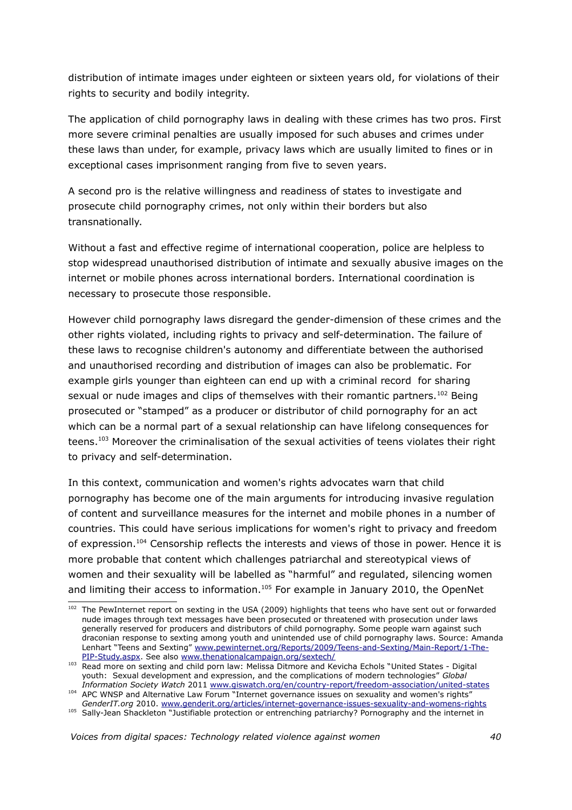distribution of intimate images under eighteen or sixteen years old, for violations of their rights to security and bodily integrity.

The application of child pornography laws in dealing with these crimes has two pros. First more severe criminal penalties are usually imposed for such abuses and crimes under these laws than under, for example, privacy laws which are usually limited to fines or in exceptional cases imprisonment ranging from five to seven years.

A second pro is the relative willingness and readiness of states to investigate and prosecute child pornography crimes, not only within their borders but also transnationally.

Without a fast and effective regime of international cooperation, police are helpless to stop widespread unauthorised distribution of intimate and sexually abusive images on the internet or mobile phones across international borders. International coordination is necessary to prosecute those responsible.

However child pornography laws disregard the gender-dimension of these crimes and the other rights violated, including rights to privacy and self-determination. The failure of these laws to recognise children's autonomy and differentiate between the authorised and unauthorised recording and distribution of images can also be problematic. For example girls younger than eighteen can end up with a criminal record for sharing sexual or nude images and clips of themselves with their romantic partners.<sup>[102](#page-39-0)</sup> Being prosecuted or "stamped" as a producer or distributor of child pornography for an act which can be a normal part of a sexual relationship can have lifelong consequences for teens.<sup>[103](#page-39-1)</sup> Moreover the criminalisation of the sexual activities of teens violates their right to privacy and self-determination.

In this context, communication and women's rights advocates warn that child pornography has become one of the main arguments for introducing invasive regulation of content and surveillance measures for the internet and mobile phones in a number of countries. This could have serious implications for women's right to privacy and freedom of expression.[104](#page-39-2) Censorship reflects the interests and views of those in power. Hence it is more probable that content which challenges patriarchal and stereotypical views of women and their sexuality will be labelled as "harmful" and regulated, silencing women and limiting their access to information.<sup>[105](#page-39-3)</sup> For example in January 2010, the OpenNet

<span id="page-39-0"></span><sup>&</sup>lt;sup>102</sup> The PewInternet report on sexting in the USA (2009) highlights that teens who have sent out or forwarded nude images through text messages have been prosecuted or threatened with prosecution under laws generally reserved for producers and distributors of child pornography. Some people warn against such draconian response to sexting among youth and unintended use of child pornography laws. Source: Amanda Lenhart "Teens and Sexting" [www.pewinternet.org/Reports/2009/Teens-and-Sexting/Main-Report/1-The-](http://www.pewinternet.org/Reports/2009/Teens-and-Sexting/Main-Report/1-The-PIP-Study.aspx)[PIP-Study.aspx.](http://www.pewinternet.org/Reports/2009/Teens-and-Sexting/Main-Report/1-The-PIP-Study.aspx) See also [www.thenationalcampaign.org/sextech/](http://www.thenationalcampaign.org/sextech/)

<span id="page-39-1"></span><sup>103</sup> Read more on sexting and child porn law: Melissa Ditmore and Kevicha Echols "United States - Digital youth: Sexual development and expression, and the complications of modern technologies" *Global Information Society Watch* 2011 [www.giswatch.org/en/country-report/freedom-association/united-states](http://www.giswatch.org/en/country-report/freedom-association/united-states)

<span id="page-39-2"></span><sup>104</sup> APC WNSP and Alternative Law Forum "Internet governance issues on sexuality and women's rights" *GenderIT.org* 2010. [www.genderit.org/articles/internet-governance-issues-sexuality-and-womens-rights](http://www.genderit.org/articles/internet-governance-issues-sexuality-and-womens-rights)

<span id="page-39-3"></span><sup>105</sup> Sally-Jean Shackleton "Justifiable protection or entrenching patriarchy? Pornography and the internet in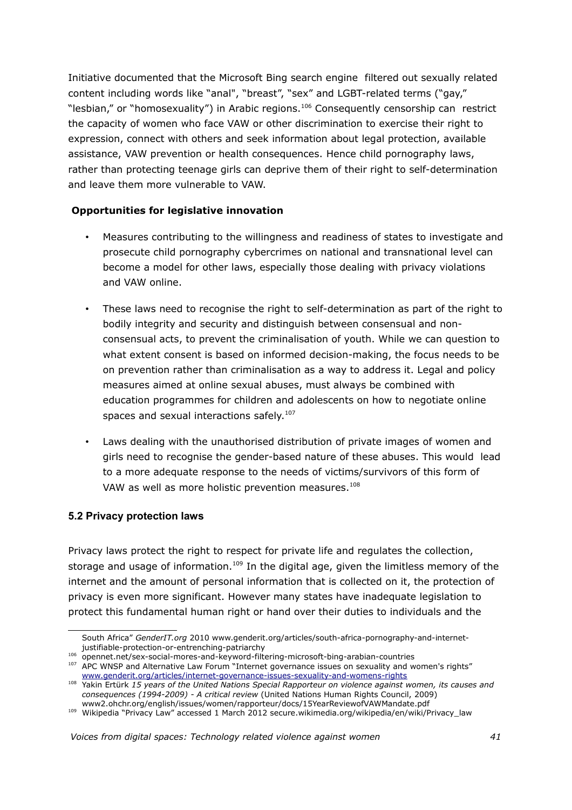Initiative documented that the Microsoft Bing search engine filtered out sexually related content including words like "anal", "breast", "sex" and LGBT-related terms ("gay," "lesbian," or "homosexuality") in Arabic regions.<sup>[106](#page-40-0)</sup> Consequently censorship can restrict the capacity of women who face VAW or other discrimination to exercise their right to expression, connect with others and seek information about legal protection, available assistance, VAW prevention or health consequences. Hence child pornography laws, rather than protecting teenage girls can deprive them of their right to self-determination and leave them more vulnerable to VAW.

### **Opportunities for legislative innovation**

- Measures contributing to the willingness and readiness of states to investigate and prosecute child pornography cybercrimes on national and transnational level can become a model for other laws, especially those dealing with privacy violations and VAW online.
- These laws need to recognise the right to self-determination as part of the right to bodily integrity and security and distinguish between consensual and nonconsensual acts, to prevent the criminalisation of youth. While we can question to what extent consent is based on informed decision-making, the focus needs to be on prevention rather than criminalisation as a way to address it. Legal and policy measures aimed at online sexual abuses, must always be combined with education programmes for children and adolescents on how to negotiate online spaces and sexual interactions safely.<sup>[107](#page-40-1)</sup>
- Laws dealing with the unauthorised distribution of private images of women and girls need to recognise the gender-based nature of these abuses. This would lead to a more adequate response to the needs of victims/survivors of this form of VAW as well as more holistic prevention measures. $^{108}$  $^{108}$  $^{108}$

### **5.2 Privacy protection laws**

Privacy laws protect the right to respect for private life and regulates the collection, storage and usage of information.<sup>[109](#page-40-3)</sup> In the digital age, given the limitless memory of the internet and the amount of personal information that is collected on it, the protection of privacy is even more significant. However many states have inadequate legislation to protect this fundamental human right or hand over their duties to individuals and the

South Africa" *GenderIT.org* 2010 www.genderit.org/articles/south-africa-pornography-and-internetjustifiable-protection-or-entrenching-patriarchy

<span id="page-40-0"></span><sup>106</sup> opennet.net/sex-social-mores-and-keyword-filtering-microsoft-bing-arabian-countries

<span id="page-40-1"></span><sup>&</sup>lt;sup>107</sup> APC WNSP and Alternative Law Forum "Internet governance issues on sexuality and women's rights" [www.genderit.org/articles/internet-governance-issues-sexuality-and-womens-rights](http://www.genderit.org/articles/internet-governance-issues-sexuality-and-womens-rights)

<span id="page-40-2"></span><sup>108</sup> Yakin Ertürk *15 years of the United Nations Special Rapporteur on violence against women, its causes and consequences (1994-2009) - A critical review* (United Nations Human Rights Council, 2009) www2.ohchr.org/english/issues/women/rapporteur/docs/15YearReviewofVAWMandate.pdf

<span id="page-40-3"></span><sup>109</sup> Wikipedia "Privacy Law" accessed 1 March 2012 secure.wikimedia.org/wikipedia/en/wiki/Privacy\_law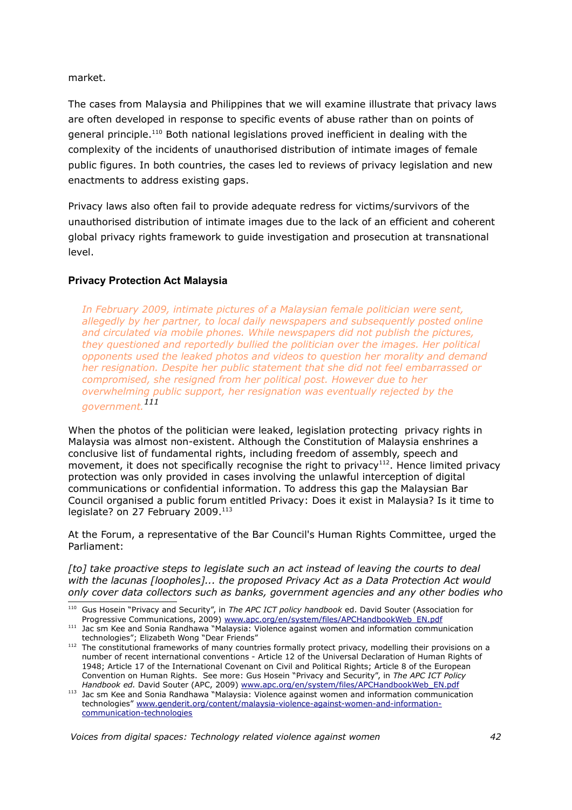market.

The cases from Malaysia and Philippines that we will examine illustrate that privacy laws are often developed in response to specific events of abuse rather than on points of general principle.[110](#page-41-0) Both national legislations proved inefficient in dealing with the complexity of the incidents of unauthorised distribution of intimate images of female public figures. In both countries, the cases led to reviews of privacy legislation and new enactments to address existing gaps.

Privacy laws also often fail to provide adequate redress for victims/survivors of the unauthorised distribution of intimate images due to the lack of an efficient and coherent global privacy rights framework to guide investigation and prosecution at transnational level.

#### **Privacy Protection Act Malaysia**

*In February 2009, intimate pictures of a Malaysian female politician were sent, allegedly by her partner, to local daily newspapers and subsequently posted online and circulated via mobile phones. While newspapers did not publish the pictures, they questioned and reportedly bullied the politician over the images. Her political opponents used the leaked photos and videos to question her morality and demand her resignation. Despite her public statement that she did not feel embarrassed or compromised, she resigned from her political post. However due to her overwhelming public support, her resignation was eventually rejected by the government.[111](#page-41-1)*

When the photos of the politician were leaked, legislation protecting privacy rights in Malaysia was almost non-existent. Although the Constitution of Malaysia enshrines a conclusive list of fundamental rights, including freedom of assembly, speech and movement, it does not specifically recognise the right to privacy<sup>[112](#page-41-2)</sup>. Hence limited privacy protection was only provided in cases involving the unlawful interception of digital communications or confidential information. To address this gap the Malaysian Bar Council organised a public forum entitled Privacy: Does it exist in Malaysia? Is it time to legislate? on 27 February 2009.<sup>[113](#page-41-3)</sup>

At the Forum, a representative of the Bar Council's Human Rights Committee, urged the Parliament:

*[to] take proactive steps to legislate such an act instead of leaving the courts to deal with the lacunas [loopholes]... the proposed Privacy Act as a Data Protection Act would only cover data collectors such as banks, government agencies and any other bodies who*

<span id="page-41-0"></span><sup>110</sup> Gus Hosein "Privacy and Security", in *The APC ICT policy handbook* ed. David Souter (Association for Progressive Communications, 2009) [www.apc.org/en/system/files/APCHandbookWeb\\_EN.pdf](http://www.apc.org/en/system/files/APCHandbookWeb_EN.pdf)

<span id="page-41-1"></span><sup>111</sup> Jac sm Kee and Sonia Randhawa "Malaysia: Violence against women and information communication technologies"; Elizabeth Wong "Dear Friends"

<span id="page-41-2"></span><sup>112</sup> The constitutional frameworks of many countries formally protect privacy, modelling their provisions on a number of recent international conventions - Article 12 of the Universal Declaration of Human Rights of 1948; Article 17 of the International Covenant on Civil and Political Rights; Article 8 of the European Convention on Human Rights. See more: Gus Hosein "Privacy and Security", in *The APC ICT Policy Handbook ed.* David Souter (APC, 2009) [www.apc.org/en/system/files/APCHandbookWeb\\_EN.pdf](http://www.apc.org/en/system/files/APCHandbookWeb_EN.pdf) 

<span id="page-41-3"></span><sup>&</sup>lt;sup>113</sup> Jac sm Kee and Sonia Randhawa "Malaysia: Violence against women and information communication technologies" [www.genderit.org/content/malaysia-violence-against-women-and-information](http://www.genderit.org/content/malaysia-violence-against-women-and-information-communication-technologies)[communication-technologies](http://www.genderit.org/content/malaysia-violence-against-women-and-information-communication-technologies)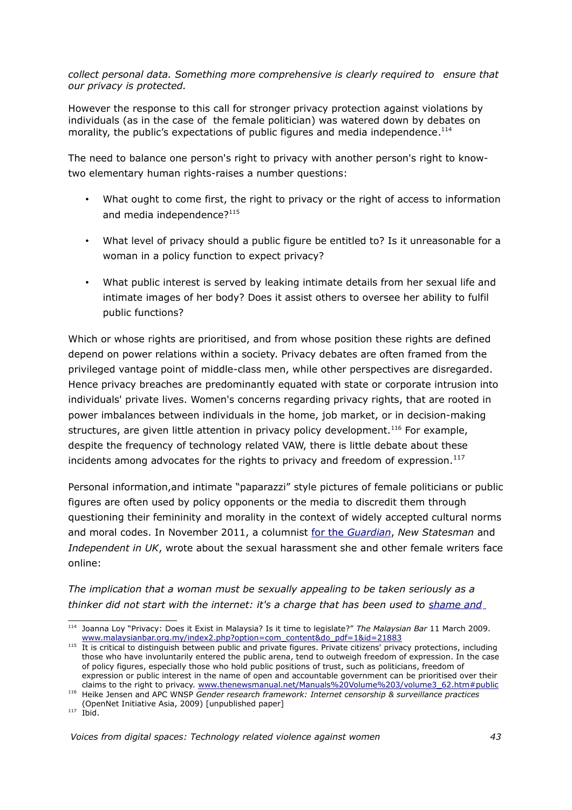*collect personal data. Something more comprehensive is clearly required to ensure that our privacy is protected.* 

However the response to this call for stronger privacy protection against violations by individuals (as in the case of the female politician) was watered down by debates on morality, the public's expectations of public figures and media independence.<sup>[114](#page-42-0)</sup>

The need to balance one person's right to privacy with another person's right to knowtwo elementary human rights-raises a number questions:

- What ought to come first, the right to privacy or the right of access to information and media independence?<sup>[115](#page-42-1)</sup>
- What level of privacy should a public figure be entitled to? Is it unreasonable for a woman in a policy function to expect privacy?
- What public interest is served by leaking intimate details from her sexual life and intimate images of her body? Does it assist others to oversee her ability to fulfil public functions?

Which or whose rights are prioritised, and from whose position these rights are defined depend on power relations within a society. Privacy debates are often framed from the privileged vantage point of middle-class men, while other perspectives are disregarded. Hence privacy breaches are predominantly equated with state or corporate intrusion into individuals' private lives. Women's concerns regarding privacy rights, that are rooted in power imbalances between individuals in the home, job market, or in decision-making structures, are given little attention in privacy policy development.<sup>[116](#page-42-2)</sup> For example, despite the frequency of technology related VAW, there is little debate about these incidents among advocates for the rights to privacy and freedom of expression. $117$ 

Personal information,and intimate "paparazzi" style pictures of female politicians or public figures are often used by policy opponents or the media to discredit them through questioning their femininity and morality in the context of widely accepted cultural norms and moral codes. In November 2011, a columnist [for the](http://www.guardian.co.uk/profile/laurie-penny) *[Guardian](http://www.guardian.co.uk/profile/laurie-penny)*, *New Statesman* and *Independent in UK*, wrote about the sexual harassment she and other female writers face online:

*The implication that a woman must be sexually appealing to be taken seriously as a thinker did not start with the internet: it's a charge that has been used to [shame and](http://www.guardian.co.uk/politics/blog+books/mary-wollstonecraft)*

<span id="page-42-0"></span><sup>114</sup> Joanna Loy "Privacy: Does it Exist in Malaysia? Is it time to legislate?" *The Malaysian Bar* 11 March 2009. [www.malaysianbar.org.my/index2.php?option=com\\_content&do\\_pdf=1&id=21883](http://www.malaysianbar.org.my/index2.php?option=com_content&do_pdf=1&id=21883)

<span id="page-42-1"></span><sup>115</sup> It is critical to distinguish between public and private figures. Private citizens' privacy protections, including those who have involuntarily entered the public arena, tend to outweigh freedom of expression. In the case of policy figures, especially those who hold public positions of trust, such as politicians, freedom of expression or public interest in the name of open and accountable government can be prioritised over their claims to the right to privacy. [www.thenewsmanual.net/Manuals%20Volume%203/volume3\\_62.htm#public](http://www.thenewsmanual.net/Manuals%20Volume%203/volume3_62.htm#public)

<span id="page-42-2"></span><sup>116</sup> Heike Jensen and APC WNSP *Gender research framework: Internet censorship & surveillance practices* (OpenNet Initiative Asia, 2009) [unpublished paper]

<span id="page-42-3"></span> $117$  Ibid.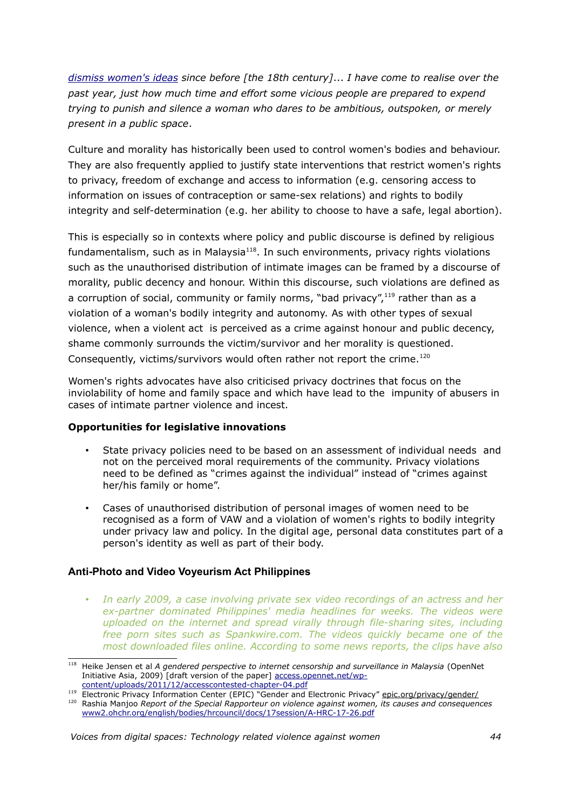*[dismiss women's ideas](http://www.guardian.co.uk/politics/blog+books/mary-wollstonecraft) since before [the 18th century]*... *I have come to realise over the past year, just how much time and effort some vicious people are prepared to expend trying to punish and silence a woman who dares to be ambitious, outspoken, or merely present in a public space*.

Culture and morality has historically been used to control women's bodies and behaviour. They are also frequently applied to justify state interventions that restrict women's rights to privacy, freedom of exchange and access to information (e.g. censoring access to information on issues of contraception or same-sex relations) and rights to bodily integrity and self-determination (e.g. her ability to choose to have a safe, legal abortion).

This is especially so in contexts where policy and public discourse is defined by religious fundamentalism, such as in Malaysia $118$ . In such environments, privacy rights violations such as the unauthorised distribution of intimate images can be framed by a discourse of morality, public decency and honour. Within this discourse, such violations are defined as a corruption of social, community or family norms, "bad privacy", $119$  rather than as a violation of a woman's bodily integrity and autonomy. As with other types of sexual violence, when a violent act is perceived as a crime against honour and public decency, shame commonly surrounds the victim/survivor and her morality is questioned. Consequently, victims/survivors would often rather not report the crime.<sup>[120](#page-43-2)</sup>

Women's rights advocates have also criticised privacy doctrines that focus on the inviolability of home and family space and which have lead to the impunity of abusers in cases of intimate partner violence and incest.

#### **Opportunities for legislative innovations**

- State privacy policies need to be based on an assessment of individual needs and not on the perceived moral requirements of the community. Privacy violations need to be defined as "crimes against the individual" instead of "crimes against her/his family or home".
- Cases of unauthorised distribution of personal images of women need to be recognised as a form of VAW and a violation of women's rights to bodily integrity under privacy law and policy. In the digital age, personal data constitutes part of a person's identity as well as part of their body.

#### **Anti-Photo and Video Voyeurism Act Philippines**

• *In early 2009, a case involving private sex video recordings of an actress and her ex-partner dominated Philippines' media headlines for weeks. The videos were uploaded on the internet and spread virally through file-sharing sites, including free porn sites such as Spankwire.com. The videos quickly became one of the most downloaded files online. According to some news reports, the clips have also*

<span id="page-43-0"></span><sup>118</sup> Heike Jensen et al *A gendered perspective to internet censorship and surveillance in Malaysia* (OpenNet Initiative Asia, 2009) [draft version of the paper] [access.opennet.net/wp](http://access.opennet.net/wp-content/uploads/2011/12/accesscontested-chapter-04.pdf)[content/uploads/2011/12/accesscontested-chapter-04.pdf](http://access.opennet.net/wp-content/uploads/2011/12/accesscontested-chapter-04.pdf)

<span id="page-43-1"></span><sup>119</sup> Electronic Privacy Information Center (EPIC) "Gender and Electronic Privacy" [epic.org/privacy/gender/](http://epic.org/privacy/gender/)

<span id="page-43-2"></span><sup>120</sup> Rashia Manjoo *Report of the Special Rapporteur on violence against women, its causes and consequences* [www2.ohchr.org/english/bodies/hrcouncil/docs/17session/A-HRC-17-26.pdf](http://www2.ohchr.org/english/bodies/hrcouncil/docs/17session/A-HRC-17-26.pdf)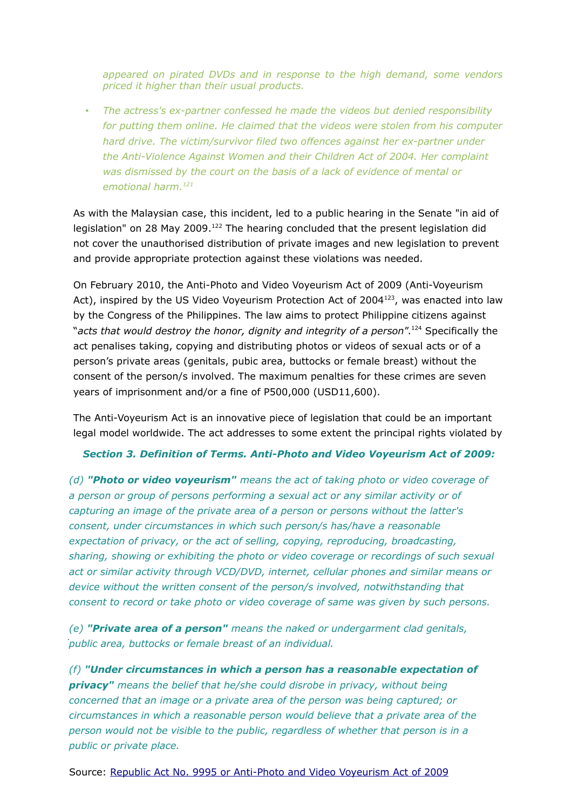*appeared on pirated DVDs and in response to the high demand, some vendors priced it higher than their usual products.* 

• *The actress's ex-partner confessed he made the videos but denied responsibility for putting them online. He claimed that the videos were stolen from his computer hard drive. The victim/survivor filed two offences against her ex-partner under the Anti-Violence Against Women and their Children Act of 2004. Her complaint was dismissed by the court on the basis of a lack of evidence of mental or emotional harm.[121](#page-44-0)*

As with the Malaysian case, this incident, led to a public hearing in the Senate "in aid of legislation" on 28 May 2009.<sup>[122](#page-44-1)</sup> The hearing concluded that the present legislation did not cover the unauthorised distribution of private images and new legislation to prevent and provide appropriate protection against these violations was needed.

On February 2010, the Anti-Photo and Video Voyeurism Act of 2009 (Anti-Voyeurism Act), inspired by the US Video Voyeurism Protection Act of 2004<sup>[123](#page-44-2)</sup>, was enacted into law by the Congress of the Philippines. The law aims to protect Philippine citizens against "*acts that would destroy the honor, dignity and integrity of a person*".[124](#page-44-3) Specifically the act penalises taking, copying and distributing photos or videos of sexual acts or of a person's private areas (genitals, pubic area, buttocks or female breast) without the consent of the person/s involved. The maximum penalties for these crimes are seven years of imprisonment and/or a fine of P500,000 (USD11,600).

The Anti-Voyeurism Act is an innovative piece of legislation that could be an important legal model worldwide. The act addresses to some extent the principal rights violated by

#### *Section 3. Definition of Terms. Anti-Photo and Video Voyeurism Act of 2009:*

*(d) "Photo or video voyeurism" means the act of taking photo or video coverage of a person or group of persons performing a sexual act or any similar activity or of capturing an image of the private area of a person or persons without the latter's consent, under circumstances in which such person/s has/have a reasonable expectation of privacy, or the act of selling, copying, reproducing, broadcasting, sharing, showing or exhibiting the photo or video coverage or recordings of such sexual act or similar activity through VCD/DVD, internet, cellular phones and similar means or device without the written consent of the person/s involved, notwithstanding that consent to record or take photo or video coverage of same was given by such persons.*

<span id="page-44-0"></span>public area, buttocks or female breast of an individual. *(e) "Private area of a person" means the naked or undergarment clad genitals,*

<span id="page-44-3"></span><span id="page-44-2"></span><span id="page-44-1"></span> $n$ llndor cir $n$ *(f)* "Under circumstances in which a person has a reasonable expectation of technologies', *GenderIT.org* 2009 www.genderit.org/resources/philippines-violence-against-women-and-ict *privacy" means the belief that he/she could disrobe in privacy, without being* <sup>123</sup> Wikipedia "Video Voyeurism Act of 2004" accessed 1 March 2012 *concerned that an image or a private area of the person was being captured; or* circumstances in which a reasonable person would believe that a private area of the *Voices from digital spaces: Technology related violence against women 45 person would not be visible to the public, regardless of whether that person is in a public or private place.*

Source: [Republic Act No. 9995 or Anti-Photo and Video Voyeurism Act of 2009](http://www.lawphil.net/statutes/repacts/ra2010/ra_9995_2010.html)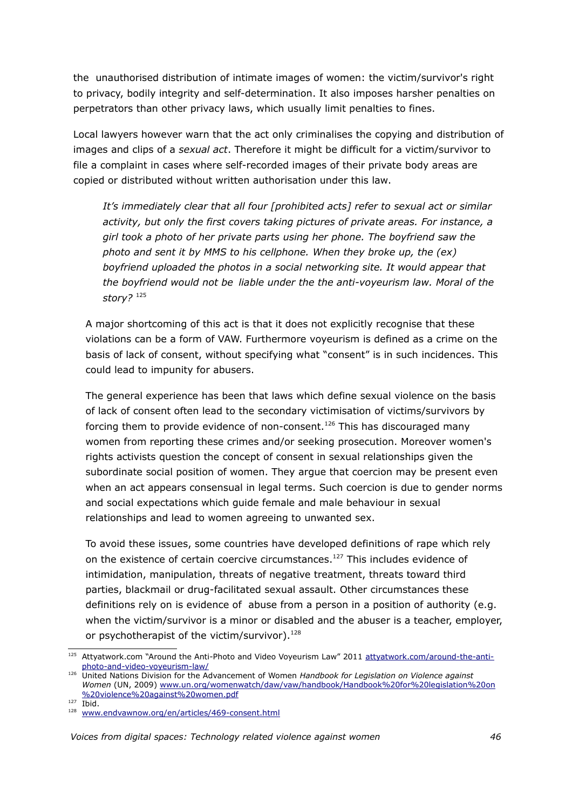the unauthorised distribution of intimate images of women: the victim/survivor's right to privacy, bodily integrity and self-determination. It also imposes harsher penalties on perpetrators than other privacy laws, which usually limit penalties to fines.

Local lawyers however warn that the act only criminalises the copying and distribution of images and clips of a *sexual act*. Therefore it might be difficult for a victim/survivor to file a complaint in cases where self-recorded images of their private body areas are copied or distributed without written authorisation under this law.

*It's immediately clear that all four [prohibited acts] refer to sexual act or similar activity, but only the first covers taking pictures of private areas. For instance, a girl took a photo of her private parts using her phone. The boyfriend saw the photo and sent it by MMS to his cellphone. When they broke up, the (ex) boyfriend uploaded the photos in a social networking site. It would appear that the boyfriend would not be liable under the the anti-voyeurism law. Moral of the story?* [125](#page-45-0)

A major shortcoming of this act is that it does not explicitly recognise that these violations can be a form of VAW. Furthermore voyeurism is defined as a crime on the basis of lack of consent, without specifying what "consent" is in such incidences. This could lead to impunity for abusers.

The general experience has been that laws which define sexual violence on the basis of lack of consent often lead to the secondary victimisation of victims/survivors by forcing them to provide evidence of non-consent.<sup>[126](#page-45-1)</sup> This has discouraged many women from reporting these crimes and/or seeking prosecution. Moreover women's rights activists question the concept of consent in sexual relationships given the subordinate social position of women. They argue that coercion may be present even when an act appears consensual in legal terms. Such coercion is due to gender norms and social expectations which guide female and male behaviour in sexual relationships and lead to women agreeing to unwanted sex.

To avoid these issues, some countries have developed definitions of rape which rely on the existence of certain coercive circumstances.<sup>[127](#page-45-2)</sup> This includes evidence of intimidation, manipulation, threats of negative treatment, threats toward third parties, blackmail or drug-facilitated sexual assault. Other circumstances these definitions rely on is evidence of abuse from a person in a position of authority (e.g. when the victim/survivor is a minor or disabled and the abuser is a teacher, employer, or psychotherapist of the victim/survivor).<sup>[128](#page-45-3)</sup>

<span id="page-45-0"></span><sup>125</sup> Attyatwork.com "Around the Anti-Photo and Video Voyeurism Law" 2011 [attyatwork.com/around-the-anti](http://attyatwork.com/around-the-anti-photo-and-video-voyeurism-law/)[photo-and-video-voyeurism-law/](http://attyatwork.com/around-the-anti-photo-and-video-voyeurism-law/)

<span id="page-45-1"></span><sup>126</sup> United Nations Division for the Advancement of Women *Handbook for Legislation on Violence against Women* (UN, 2009) [www.un.org/womenwatch/daw/vaw/handbook/Handbook%20for%20legislation%20on](http://www.un.org/womenwatch/daw/vaw/handbook/Handbook%20for%20legislation%20on%20violence%20against%20women.pdf) [%20violence%20against%20women.pdf](http://www.un.org/womenwatch/daw/vaw/handbook/Handbook%20for%20legislation%20on%20violence%20against%20women.pdf)

<span id="page-45-2"></span> $127$  Ibid.

<span id="page-45-3"></span><sup>&</sup>lt;sup>128</sup> [www.endvawnow.org/en/articles/469-consent.html](http://www.endvawnow.org/en/articles/469-consent.html)

*Voices from digital spaces: Technology related violence against women 46*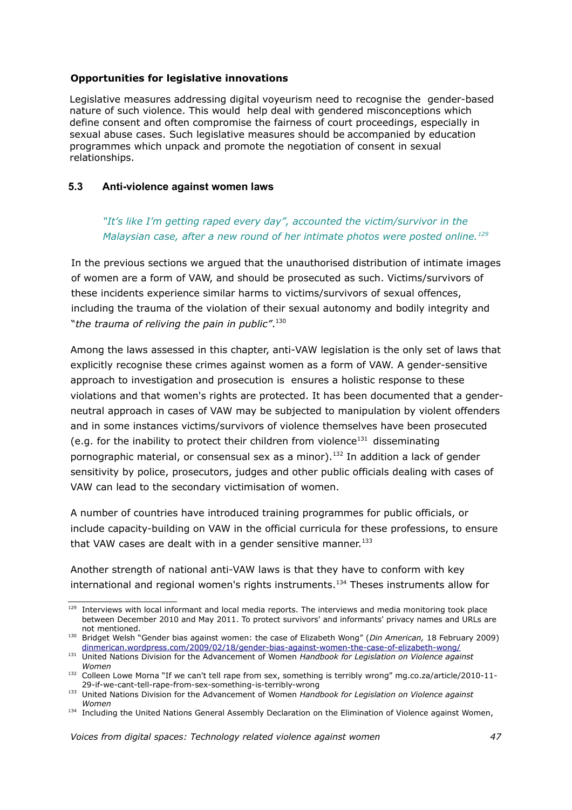#### **Opportunities for legislative innovations**

Legislative measures addressing digital voyeurism need to recognise the gender-based nature of such violence. This would help deal with gendered misconceptions which define consent and often compromise the fairness of court proceedings, especially in sexual abuse cases. Such legislative measures should be accompanied by education programmes which unpack and promote the negotiation of consent in sexual relationships.

#### **5.3 Anti-violence against women laws**

*"It's like I'm getting raped every day", accounted the victim/survivor in the Malaysian case, after a new round of her intimate photos were posted online.[129](#page-46-0)*

In the previous sections we argued that the unauthorised distribution of intimate images of women are a form of VAW, and should be prosecuted as such. Victims/survivors of these incidents experience similar harms to victims/survivors of sexual offences, including the trauma of the violation of their sexual autonomy and bodily integrity and "*the trauma of reliving the pain in public"*. [130](#page-46-1)

Among the laws assessed in this chapter, anti-VAW legislation is the only set of laws that explicitly recognise these crimes against women as a form of VAW. A gender-sensitive approach to investigation and prosecution is ensures a holistic response to these violations and that women's rights are protected. It has been documented that a genderneutral approach in cases of VAW may be subjected to manipulation by violent offenders and in some instances victims/survivors of violence themselves have been prosecuted (e.g. for the inability to protect their children from violence<sup>[131](#page-46-2)</sup> disseminating pornographic material, or consensual sex as a minor).<sup>[132](#page-46-3)</sup> In addition a lack of gender sensitivity by police, prosecutors, judges and other public officials dealing with cases of VAW can lead to the secondary victimisation of women.

A number of countries have introduced training programmes for public officials, or include capacity-building on VAW in the official curricula for these professions, to ensure that VAW cases are dealt with in a gender sensitive manner. $133$ 

Another strength of national anti-VAW laws is that they have to conform with key international and regional women's rights instruments.<sup>[134](#page-46-5)</sup> Theses instruments allow for

<span id="page-46-0"></span><sup>&</sup>lt;sup>129</sup> Interviews with local informant and local media reports. The interviews and media monitoring took place between December 2010 and May 2011. To protect survivors' and informants' privacy names and URLs are not mentioned.

<span id="page-46-1"></span><sup>130</sup> Bridget Welsh "Gender bias against women: the case of Elizabeth Wong" (*Din American,* 18 February 2009) [dinmerican.wordpress.com/2009/02/18/gender-bias-against-women-the-case-of-elizabeth-wong/](http://dinmerican.wordpress.com/2009/02/18/gender-bias-against-women-the-case-of-elizabeth-wong/)

<span id="page-46-2"></span><sup>131</sup> United Nations Division for the Advancement of Women *Handbook for Legislation on Violence against Women*

<span id="page-46-3"></span><sup>132</sup> Colleen Lowe Morna "If we can't tell rape from sex, something is terribly wrong" mg.co.za/article/2010-11-29-if-we-cant-tell-rape-from-sex-something-is-terribly-wrong

<span id="page-46-4"></span><sup>133</sup> United Nations Division for the Advancement of Women *Handbook for Legislation on Violence against Women*

<span id="page-46-5"></span><sup>134</sup> Including the United Nations General Assembly Declaration on the Elimination of Violence against Women,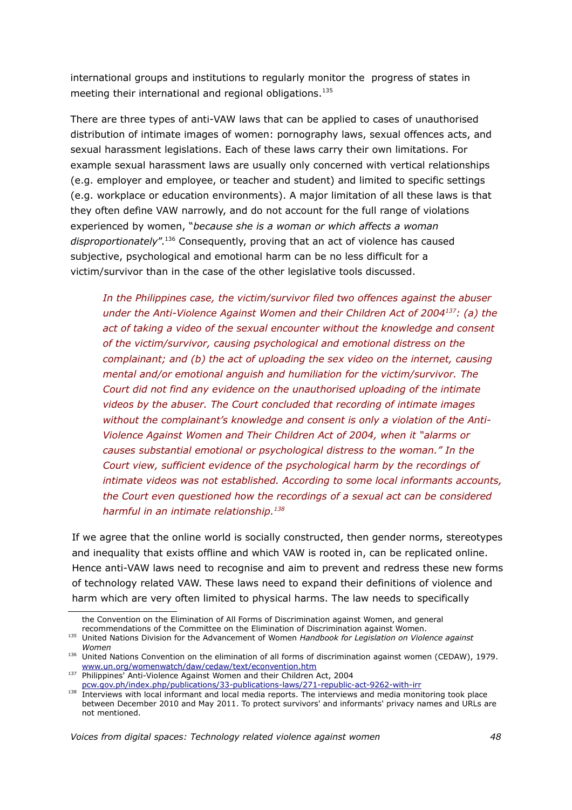international groups and institutions to regularly monitor the progress of states in meeting their international and regional obligations.<sup>[135](#page-47-0)</sup>

There are three types of anti-VAW laws that can be applied to cases of unauthorised distribution of intimate images of women: pornography laws, sexual offences acts, and sexual harassment legislations. Each of these laws carry their own limitations. For example sexual harassment laws are usually only concerned with vertical relationships (e.g. employer and employee, or teacher and student) and limited to specific settings (e.g. workplace or education environments). A major limitation of all these laws is that they often define VAW narrowly, and do not account for the full range of violations experienced by women, "*because she is a woman or which affects a woman* disproportionately".<sup>[136](#page-47-1)</sup> Consequently, proving that an act of violence has caused subjective, psychological and emotional harm can be no less difficult for a victim/survivor than in the case of the other legislative tools discussed.

*In the Philippines case, the victim/survivor filed two offences against the abuser under the Anti-Violence Against Women and their Children Act of 2004[137](#page-47-2): (a) the act of taking a video of the sexual encounter without the knowledge and consent of the victim/survivor, causing psychological and emotional distress on the complainant; and (b) the act of uploading the sex video on the internet, causing mental and/or emotional anguish and humiliation for the victim/survivor. The Court did not find any evidence on the unauthorised uploading of the intimate videos by the abuser. The Court concluded that recording of intimate images without the complainant's knowledge and consent is only a violation of the Anti-Violence Against Women and Their Children Act of 2004, when it "alarms or causes substantial emotional or psychological distress to the woman." In the Court view, sufficient evidence of the psychological harm by the recordings of intimate videos was not established. According to some local informants accounts, the Court even questioned how the recordings of a sexual act can be considered harmful in an intimate relationship.[138](#page-47-3)*

If we agree that the online world is socially constructed, then gender norms, stereotypes and inequality that exists offline and which VAW is rooted in, can be replicated online. Hence anti-VAW laws need to recognise and aim to prevent and redress these new forms of technology related VAW. These laws need to expand their definitions of violence and harm which are very often limited to physical harms. The law needs to specifically

the Convention on the Elimination of All Forms of Discrimination against Women, and general recommendations of the Committee on the Elimination of Discrimination against Women.

<span id="page-47-0"></span><sup>135</sup> United Nations Division for the Advancement of Women *Handbook for Legislation on Violence against Women*

<span id="page-47-1"></span><sup>136</sup> United Nations Convention on the elimination of all forms of discrimination against women (CEDAW), 1979. [www.un.org/womenwatch/daw/cedaw/text/econvention.htm](http://www.un.org/womenwatch/daw/cedaw/text/econvention.htm) 

<span id="page-47-2"></span><sup>137</sup> Philippines' Anti-Violence Against Women and their Children Act, 2004 [pcw.gov.ph/index.php/publications/33-publications-laws/271-republic-act-9262-with-irr](http://pcw.gov.ph/index.php/publications/33-publications-laws/271-republic-act-9262-with-irr)

<span id="page-47-3"></span><sup>138</sup> Interviews with local informant and local media reports. The interviews and media monitoring took place between December 2010 and May 2011. To protect survivors' and informants' privacy names and URLs are not mentioned.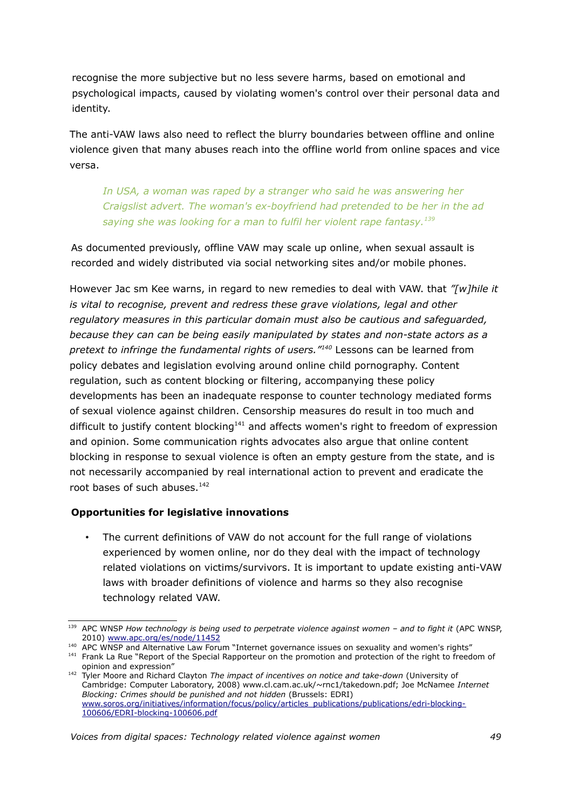recognise the more subjective but no less severe harms, based on emotional and psychological impacts, caused by violating women's control over their personal data and identity.

The anti-VAW laws also need to reflect the blurry boundaries between offline and online violence given that many abuses reach into the offline world from online spaces and vice versa.

*In USA, a woman was raped by a stranger who said he was answering her Craigslist advert. The woman's ex-boyfriend had pretended to be her in the ad saying she was looking for a man to fulfil her violent rape fantasy.[139](#page-48-0)*

As documented previously, offline VAW may scale up online, when sexual assault is recorded and widely distributed via social networking sites and/or mobile phones.

However Jac sm Kee warns, in regard to new remedies to deal with VAW. that *"[w]hile it is vital to recognise, prevent and redress these grave violations, legal and other regulatory measures in this particular domain must also be cautious and safeguarded, because they can can be being easily manipulated by states and non-state actors as a pretext to infringe the fundamental rights of users."[140](#page-48-1)* Lessons can be learned from policy debates and legislation evolving around online child pornography. Content regulation, such as content blocking or filtering, accompanying these policy developments has been an inadequate response to counter technology mediated forms of sexual violence against children. Censorship measures do result in too much and difficult to justify content blocking<sup>[141](#page-48-2)</sup> and affects women's right to freedom of expression and opinion. Some communication rights advocates also argue that online content blocking in response to sexual violence is often an empty gesture from the state, and is not necessarily accompanied by real international action to prevent and eradicate the root bases of such abuses.<sup>[142](#page-48-3)</sup>

#### **Opportunities for legislative innovations**

• The current definitions of VAW do not account for the full range of violations experienced by women online, nor do they deal with the impact of technology related violations on victims/survivors. It is important to update existing anti-VAW laws with broader definitions of violence and harms so they also recognise technology related VAW.

<span id="page-48-0"></span><sup>&</sup>lt;sup>139</sup> APC WNSP *How technology is being used to perpetrate violence against women - and to fight it (APC WNSP,* 2010) [www.apc.org/es/node/11452](http://www.apc.org/es/node/11452) 

<span id="page-48-1"></span><sup>140</sup> APC WNSP and Alternative Law Forum "Internet governance issues on sexuality and women's rights"

<span id="page-48-2"></span><sup>&</sup>lt;sup>141</sup> Frank La Rue "Report of the Special Rapporteur on the promotion and protection of the right to freedom of opinion and expression"

<span id="page-48-3"></span><sup>&</sup>lt;sup>142</sup> Tyler Moore and Richard Clayton *The impact of incentives on notice and take-down* (University of Cambridge: Computer Laboratory, 2008) www.cl.cam.ac.uk/~rnc1/takedown.pdf; Joe McNamee *Internet Blocking: Crimes should be punished and not hidden* (Brussels: EDRI) [www.soros.org/initiatives/information/focus/policy/articles\\_publications/publications/edri-blocking-](http://www.soros.org/initiatives/information/focus/policy/articles_publications/publications/edri-blocking-100606/EDRI-blocking-100606.pdf)[100606/EDRI-blocking-100606.pdf](http://www.soros.org/initiatives/information/focus/policy/articles_publications/publications/edri-blocking-100606/EDRI-blocking-100606.pdf)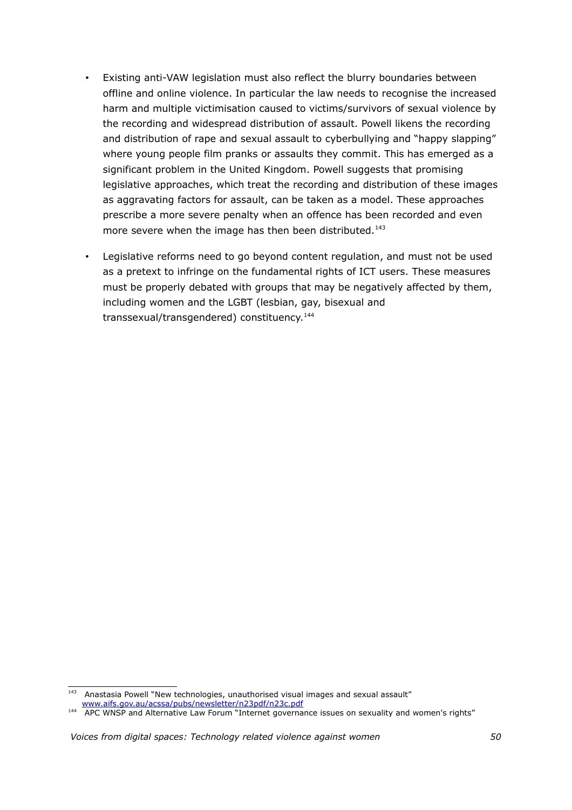- Existing anti-VAW legislation must also reflect the blurry boundaries between offline and online violence. In particular the law needs to recognise the increased harm and multiple victimisation caused to victims/survivors of sexual violence by the recording and widespread distribution of assault. Powell likens the recording and distribution of rape and sexual assault to cyberbullying and "happy slapping" where young people film pranks or assaults they commit. This has emerged as a significant problem in the United Kingdom. Powell suggests that promising legislative approaches, which treat the recording and distribution of these images as aggravating factors for assault, can be taken as a model. These approaches prescribe a more severe penalty when an offence has been recorded and even more severe when the image has then been distributed.<sup>[143](#page-49-0)</sup>
- Legislative reforms need to go beyond content regulation, and must not be used as a pretext to infringe on the fundamental rights of ICT users. These measures must be properly debated with groups that may be negatively affected by them, including women and the LGBT (lesbian, gay, bisexual and transsexual/transgendered) constituency.<sup>[144](#page-49-1)</sup>

<span id="page-49-0"></span><sup>&</sup>lt;sup>143</sup> Anastasia Powell "New technologies, unauthorised visual images and sexual assault" [www.aifs.gov.au/acssa/pubs/newsletter/n23pdf/n23c.pdf](http://www.aifs.gov.au/acssa/pubs/newsletter/n23pdf/n23c.pdf)

<span id="page-49-1"></span><sup>144</sup> APC WNSP and Alternative Law Forum "Internet governance issues on sexuality and women's rights"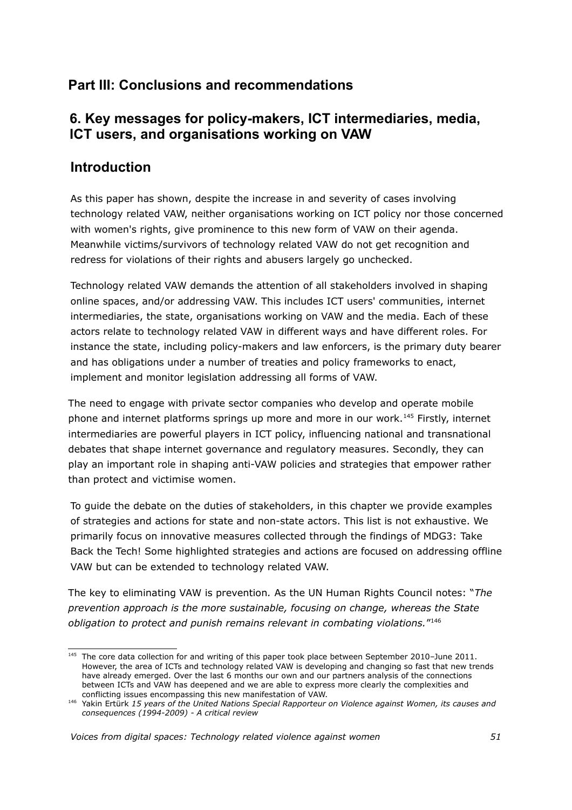# **Part III: Conclusions and recommendations**

# **6. Key messages for policy-makers, ICT intermediaries, media, ICT users, and organisations working on VAW**

## **Introduction**

As this paper has shown, despite the increase in and severity of cases involving technology related VAW, neither organisations working on ICT policy nor those concerned with women's rights, give prominence to this new form of VAW on their agenda. Meanwhile victims/survivors of technology related VAW do not get recognition and redress for violations of their rights and abusers largely go unchecked.

Technology related VAW demands the attention of all stakeholders involved in shaping online spaces, and/or addressing VAW. This includes ICT users' communities, internet intermediaries, the state, organisations working on VAW and the media. Each of these actors relate to technology related VAW in different ways and have different roles. For instance the state, including policy-makers and law enforcers, is the primary duty bearer and has obligations under a number of treaties and policy frameworks to enact, implement and monitor legislation addressing all forms of VAW.

The need to engage with private sector companies who develop and operate mobile phone and internet platforms springs up more and more in our work.[145](#page-50-0) Firstly, internet intermediaries are powerful players in ICT policy, influencing national and transnational debates that shape internet governance and regulatory measures. Secondly, they can play an important role in shaping anti-VAW policies and strategies that empower rather than protect and victimise women.

To guide the debate on the duties of stakeholders, in this chapter we provide examples of strategies and actions for state and non-state actors. This list is not exhaustive. We primarily focus on innovative measures collected through the findings of MDG3: Take Back the Tech! Some highlighted strategies and actions are focused on addressing offline VAW but can be extended to technology related VAW.

The key to eliminating VAW is prevention*.* As the UN Human Rights Council notes: "*The prevention approach is the more sustainable, focusing on change, whereas the State obligation to protect and punish remains relevant in combating violations.*" [146](#page-50-1)

<span id="page-50-0"></span><sup>&</sup>lt;sup>145</sup> The core data collection for and writing of this paper took place between September 2010-June 2011. However, the area of ICTs and technology related VAW is developing and changing so fast that new trends have already emerged. Over the last 6 months our own and our partners analysis of the connections between ICTs and VAW has deepened and we are able to express more clearly the complexities and conflicting issues encompassing this new manifestation of VAW.

<span id="page-50-1"></span><sup>146</sup> Yakin Ertürk *15 years of the United Nations Special Rapporteur on Violence against Women, its causes and consequences (1994-2009) - A critical review*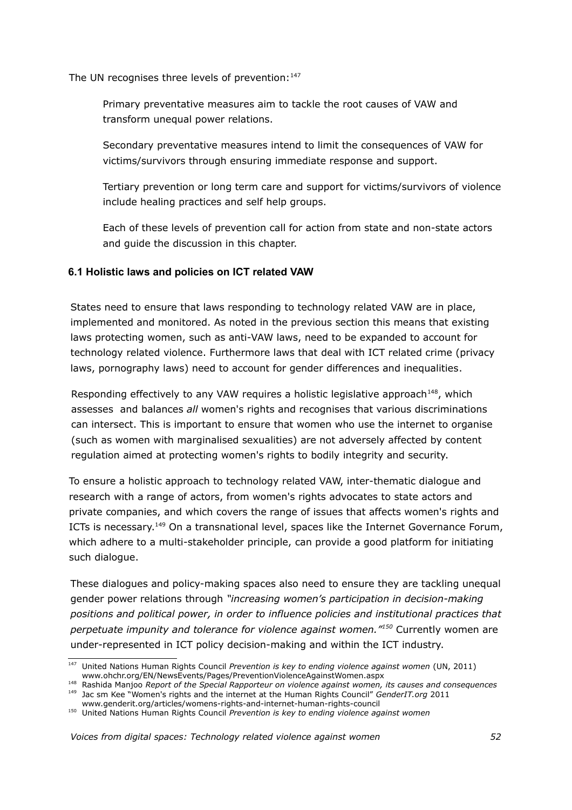The UN recognises three levels of prevention: $147$ 

Primary preventative measures aim to tackle the root causes of VAW and transform unequal power relations.

Secondary preventative measures intend to limit the consequences of VAW for victims/survivors through ensuring immediate response and support.

Tertiary prevention or long term care and support for victims/survivors of violence include healing practices and self help groups.

Each of these levels of prevention call for action from state and non-state actors and guide the discussion in this chapter.

#### **6.1 Holistic laws and policies on ICT related VAW**

States need to ensure that laws responding to technology related VAW are in place, implemented and monitored. As noted in the previous section this means that existing laws protecting women, such as anti-VAW laws, need to be expanded to account for technology related violence. Furthermore laws that deal with ICT related crime (privacy laws, pornography laws) need to account for gender differences and inequalities.

Responding effectively to any VAW requires a holistic legislative approach<sup>[148](#page-51-1)</sup>, which assesses and balances *all* women's rights and recognises that various discriminations can intersect. This is important to ensure that women who use the internet to organise (such as women with marginalised sexualities) are not adversely affected by content regulation aimed at protecting women's rights to bodily integrity and security.

To ensure a holistic approach to technology related VAW, inter-thematic dialogue and research with a range of actors, from women's rights advocates to state actors and private companies, and which covers the range of issues that affects women's rights and ICTs is necessary.<sup>[149](#page-51-2)</sup> On a transnational level, spaces like the Internet Governance Forum, which adhere to a multi-stakeholder principle, can provide a good platform for initiating such dialogue.

These dialogues and policy-making spaces also need to ensure they are tackling unequal gender power relations through *"increasing women's participation in decision-making positions and political power, in order to influence policies and institutional practices that perpetuate impunity and tolerance for violence against women."[150](#page-51-3)* Currently women are under-represented in ICT policy decision-making and within the ICT industry.

<span id="page-51-0"></span><sup>147</sup> United Nations Human Rights Council *Prevention is key to ending violence against women* (UN, 2011) www.ohchr.org/EN/NewsEvents/Pages/PreventionViolenceAgainstWomen.aspx

<span id="page-51-2"></span><span id="page-51-1"></span><sup>148</sup> Rashida Manjoo *Report of the Special Rapporteur on violence against women, its causes and consequences* <sup>149</sup> Jac sm Kee "Women's rights and the internet at the Human Rights Council" *GenderIT.org* 2011

<span id="page-51-3"></span>www.genderit.org/articles/womens-rights-and-internet-human-rights-council <sup>150</sup> United Nations Human Rights Council *Prevention is key to ending violence against women*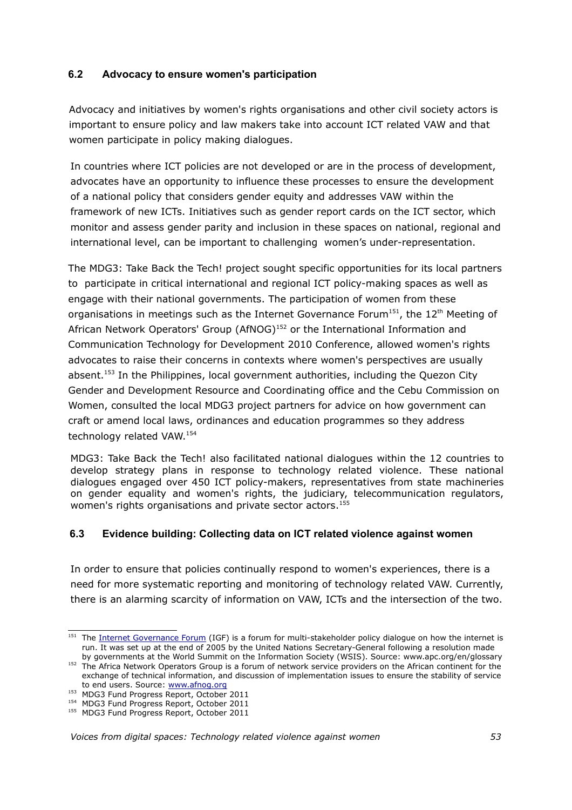### **6.2 Advocacy to ensure women's participation**

Advocacy and initiatives by women's rights organisations and other civil society actors is important to ensure policy and law makers take into account ICT related VAW and that women participate in policy making dialogues.

In countries where ICT policies are not developed or are in the process of development, advocates have an opportunity to influence these processes to ensure the development of a national policy that considers gender equity and addresses VAW within the framework of new ICTs. Initiatives such as gender report cards on the ICT sector, which monitor and assess gender parity and inclusion in these spaces on national, regional and international level, can be important to challenging women's under-representation.

The MDG3: Take Back the Tech! project sought specific opportunities for its local partners to participate in critical international and regional ICT policy-making spaces as well as engage with their national governments. The participation of women from these organisations in meetings such as the Internet Governance Forum<sup>[151](#page-52-0)</sup>, the  $12<sup>th</sup>$  Meeting of African Network Operators' Group (AfNOG)<sup>[152](#page-52-1)</sup> or the International Information and Communication Technology for Development 2010 Conference, allowed women's rights advocates to raise their concerns in contexts where women's perspectives are usually absent.<sup>[153](#page-52-2)</sup> In the Philippines, local government authorities, including the Quezon City Gender and Development Resource and Coordinating office and the Cebu Commission on Women, consulted the local MDG3 project partners for advice on how government can craft or amend local laws, ordinances and education programmes so they address technology related VAW.<sup>[154](#page-52-3)</sup>

MDG3: Take Back the Tech! also facilitated national dialogues within the 12 countries to develop strategy plans in response to technology related violence. These national dialogues engaged over 450 ICT policy-makers, representatives from state machineries on gender equality and women's rights, the judiciary, telecommunication regulators, women's rights organisations and private sector actors.<sup>[155](#page-52-4)</sup>

#### **6.3 Evidence building: Collecting data on ICT related violence against women**

In order to ensure that policies continually respond to women's experiences, there is a need for more systematic reporting and monitoring of technology related VAW. Currently, there is an alarming scarcity of information on VAW, ICTs and the intersection of the two.

<span id="page-52-0"></span><sup>&</sup>lt;sup>151</sup> The [Internet Governance Forum](http://www.intgovforum.org/) (IGF) is a forum for multi-stakeholder policy dialogue on how the internet is run. It was set up at the end of 2005 by the United Nations Secretary-General following a resolution made

<span id="page-52-1"></span>by governments at the World Summit on the Information Society (WSIS). Source: www.apc.org/en/glossary <sup>152</sup> The Africa Network Operators Group is a forum of network service providers on the African continent for the exchange of technical information, and discussion of implementation issues to ensure the stability of service to end users. Source: [www.afnog.org](http://www.afnog.org/)

<span id="page-52-2"></span><sup>153</sup> MDG3 Fund Progress Report, October 2011

<span id="page-52-3"></span><sup>154</sup> MDG3 Fund Progress Report, October 2011

<span id="page-52-4"></span><sup>&</sup>lt;sup>155</sup> MDG3 Fund Progress Report, October 2011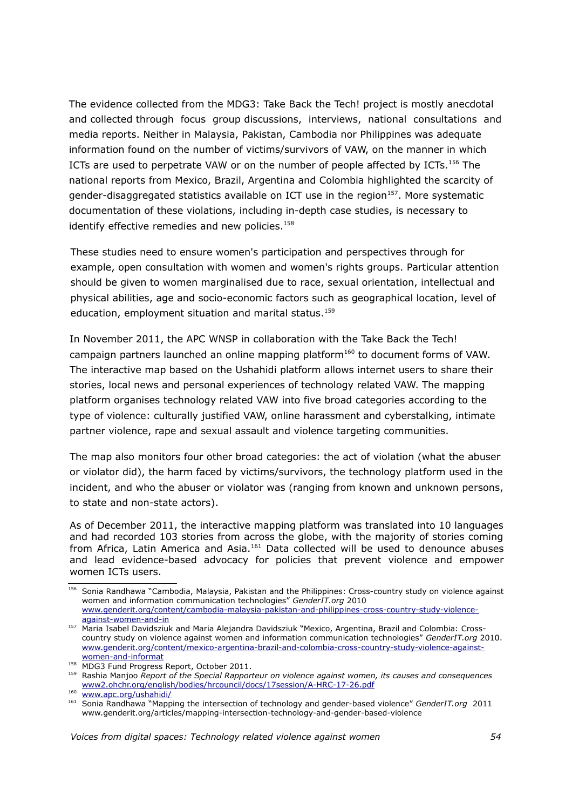The evidence collected from the MDG3: Take Back the Tech! project is mostly anecdotal and collected through focus group discussions, interviews, national consultations and media reports. Neither in Malaysia, Pakistan, Cambodia nor Philippines was adequate information found on the number of victims/survivors of VAW, on the manner in which ICTs are used to perpetrate VAW or on the number of people affected by ICTs.[156](#page-53-0) The national reports from Mexico, Brazil, Argentina and Colombia highlighted the scarcity of gender-disaggregated statistics available on ICT use in the region $157$ . More systematic documentation of these violations, including in-depth case studies, is necessary to identify effective remedies and new policies.<sup>[158](#page-53-2)</sup>

These studies need to ensure women's participation and perspectives through for example, open consultation with women and women's rights groups. Particular attention should be given to women marginalised due to race, sexual orientation, intellectual and physical abilities, age and socio-economic factors such as geographical location, level of education, employment situation and marital status.<sup>[159](#page-53-3)</sup>

In November 2011, the APC WNSP in collaboration with the Take Back the Tech! campaign partners launched an online mapping platform<sup>[160](#page-53-4)</sup> to document forms of VAW. The interactive map based on the Ushahidi platform allows internet users to share their stories, local news and personal experiences of technology related VAW. The mapping platform organises technology related VAW into five broad categories according to the type of violence: culturally justified VAW, online harassment and cyberstalking, intimate partner violence, rape and sexual assault and violence targeting communities.

The map also monitors four other broad categories: the act of violation (what the abuser or violator did), the harm faced by victims/survivors, the technology platform used in the incident, and who the abuser or violator was (ranging from known and unknown persons, to state and non-state actors).

As of December 2011, the interactive mapping platform was translated into 10 languages and had recorded 103 stories from across the globe, with the majority of stories coming from Africa, Latin America and Asia.<sup>[161](#page-53-5)</sup> Data collected will be used to denounce abuses and lead evidence-based advocacy for policies that prevent violence and empower women ICTs users.

<span id="page-53-0"></span><sup>156</sup> Sonia Randhawa "Cambodia, Malaysia, Pakistan and the Philippines: Cross-country study on violence against women and information communication technologies" *GenderIT.org* 2010 [www.genderit.org/content/cambodia-malaysia-pakistan-and-philippines-cross-country-study-violence](http://www.genderit.org/content/cambodia-malaysia-pakistan-and-philippines-cross-country-study-violence-against-women-and-in)[against-women-and-in](http://www.genderit.org/content/cambodia-malaysia-pakistan-and-philippines-cross-country-study-violence-against-women-and-in)

<span id="page-53-1"></span><sup>&</sup>lt;sup>157</sup> Maria Isabel Davidsziuk and Maria Alejandra Davidsziuk "Mexico, Argentina, Brazil and Colombia: Crosscountry study on violence against women and information communication technologies" *GenderIT.org* 2010. [www.genderit.org/content/mexico-argentina-brazil-and-colombia-cross-country-study-violence-against](http://www.genderit.org/content/mexico-argentina-brazil-and-colombia-cross-country-study-violence-against-women-and-informat)[women-and-informat](http://www.genderit.org/content/mexico-argentina-brazil-and-colombia-cross-country-study-violence-against-women-and-informat)

<span id="page-53-2"></span><sup>158</sup> MDG3 Fund Progress Report, October 2011.

<span id="page-53-3"></span><sup>159</sup> Rashia Manjoo *Report of the Special Rapporteur on violence against women, its causes and consequences* [www2.ohchr.org/english/bodies/hrcouncil/docs/17session/A-HRC-17-26.pdf](http://www2.ohchr.org/english/bodies/hrcouncil/docs/17session/A-HRC-17-26.pdf)

<span id="page-53-4"></span><sup>&</sup>lt;sup>160</sup> [www.apc.org/ushahidi/](https://www.apc.org/ushahidi/)

<span id="page-53-5"></span><sup>161</sup> Sonia Randhawa "Mapping the intersection of technology and gender-based violence" *GenderIT.org* 2011 www.genderit.org/articles/mapping-intersection-technology-and-gender-based-violence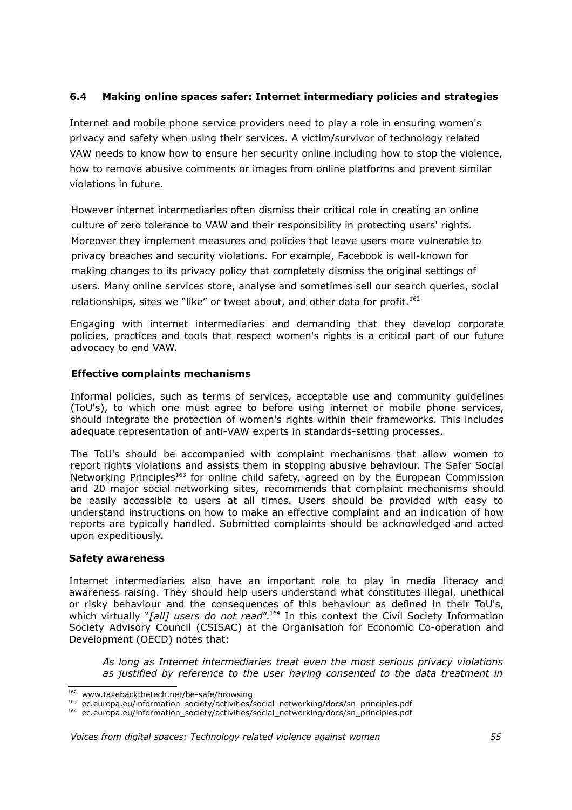### **6.4 Making online spaces safer: Internet intermediary policies and strategies**

Internet and mobile phone service providers need to play a role in ensuring women's privacy and safety when using their services. A victim/survivor of technology related VAW needs to know how to ensure her security online including how to stop the violence, how to remove abusive comments or images from online platforms and prevent similar violations in future.

However internet intermediaries often dismiss their critical role in creating an online culture of zero tolerance to VAW and their responsibility in protecting users' rights. Moreover they implement measures and policies that leave users more vulnerable to privacy breaches and security violations. For example, Facebook is well-known for making changes to its privacy policy that completely dismiss the original settings of users. Many online services store, analyse and sometimes sell our search queries, social relationships, sites we "like" or tweet about, and other data for profit.<sup>[162](#page-54-0)</sup>

Engaging with internet intermediaries and demanding that they develop corporate policies, practices and tools that respect women's rights is a critical part of our future advocacy to end VAW.

#### **Effective complaints mechanisms**

Informal policies, such as terms of services, acceptable use and community guidelines (ToU's), to which one must agree to before using internet or mobile phone services, should integrate the protection of women's rights within their frameworks. This includes adequate representation of anti-VAW experts in standards-setting processes.

The ToU's should be accompanied with complaint mechanisms that allow women to report rights violations and assists them in stopping abusive behaviour. The Safer Social Networking Principles<sup>[163](#page-54-1)</sup> for online child safety, agreed on by the European Commission and 20 major social networking sites, recommends that complaint mechanisms should be easily accessible to users at all times. Users should be provided with easy to understand instructions on how to make an effective complaint and an indication of how reports are typically handled. Submitted complaints should be acknowledged and acted upon expeditiously.

#### **Safety awareness**

Internet intermediaries also have an important role to play in media literacy and awareness raising. They should help users understand what constitutes illegal, unethical or risky behaviour and the consequences of this behaviour as defined in their ToU's, which virtually "*[all] users do not read*".<sup>[164](#page-54-2)</sup> In this context the Civil Society Information Society Advisory Council (CSISAC) at the Organisation for Economic Co-operation and Development (OECD) notes that:

*As long as Internet intermediaries treat even the most serious privacy violations as justified by reference to the user having consented to the data treatment in*

<span id="page-54-0"></span><sup>162</sup> www.takebackthetech.net/be-safe/browsing

<span id="page-54-1"></span><sup>163</sup> ec.europa.eu/information\_society/activities/social\_networking/docs/sn\_principles.pdf

<span id="page-54-2"></span><sup>164</sup> ec.europa.eu/information\_society/activities/social\_networking/docs/sn\_principles.pdf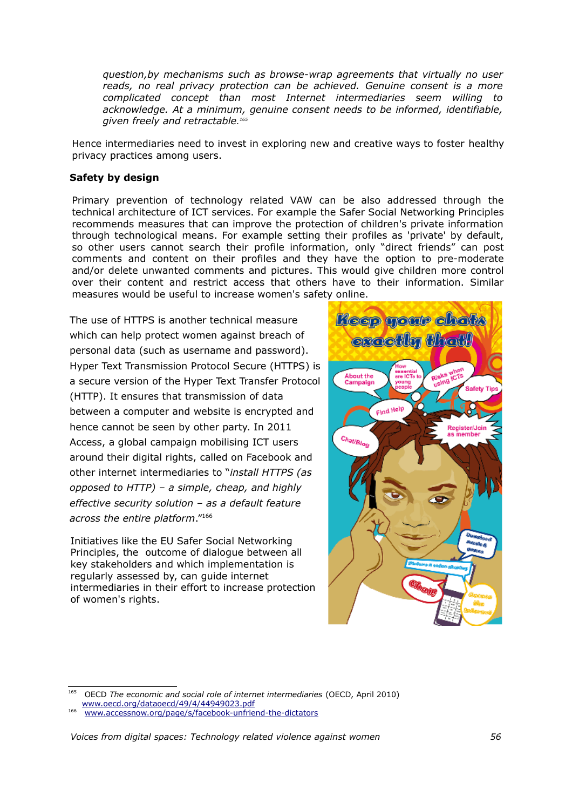*question,by mechanisms such as browse-wrap agreements that virtually no user reads, no real privacy protection can be achieved. Genuine consent is a more complicated concept than most Internet intermediaries seem willing to acknowledge. At a minimum, genuine consent needs to be informed, identifiable, given freely and retractable. [165](#page-55-0)*

Hence intermediaries need to invest in exploring new and creative ways to foster healthy privacy practices among users.

#### **Safety by design**

Primary prevention of technology related VAW can be also addressed through the technical architecture of ICT services. For example the Safer Social Networking Principles recommends measures that can improve the protection of children's private information through technological means. For example setting their profiles as 'private' by default, so other users cannot search their profile information, only "direct friends" can post comments and content on their profiles and they have the option to pre-moderate and/or delete unwanted comments and pictures. This would give children more control over their content and restrict access that others have to their information. Similar measures would be useful to increase women's safety online.

The use of HTTPS is another technical measure which can help protect women against breach of personal data (such as username and password). Hyper Text Transmission Protocol Secure (HTTPS) is a secure version of the Hyper Text Transfer Protocol (HTTP). It ensures that transmission of data between a computer and website is encrypted and hence cannot be seen by other party. In 2011 Access, a global campaign mobilising ICT users around their digital rights, called on Facebook and other internet intermediaries to "*install HTTPS (as opposed to HTTP) – a simple, cheap, and highly effective security solution – as a default feature across the entire platform*."[166](#page-55-1)

Initiatives like the EU Safer Social Networking Principles, the outcome of dialogue between all key stakeholders and which implementation is regularly assessed by, can guide internet intermediaries in their effort to increase protection of women's rights.



<span id="page-55-0"></span><sup>165</sup> OECD *The economic and social role of internet intermediaries* (OECD, April 2010) [www.oecd.org/dataoecd/49/4/44949023.pdf](http://www.oecd.org/dataoecd/49/4/44949023.pdf)

<span id="page-55-1"></span><sup>166</sup> [www.accessnow.org/page/s/facebook-unfriend-the-dictators](http://www.accessnow.org/page/s/facebook-unfriend-the-dictators)

*Voices from digital spaces: Technology related violence against women 56*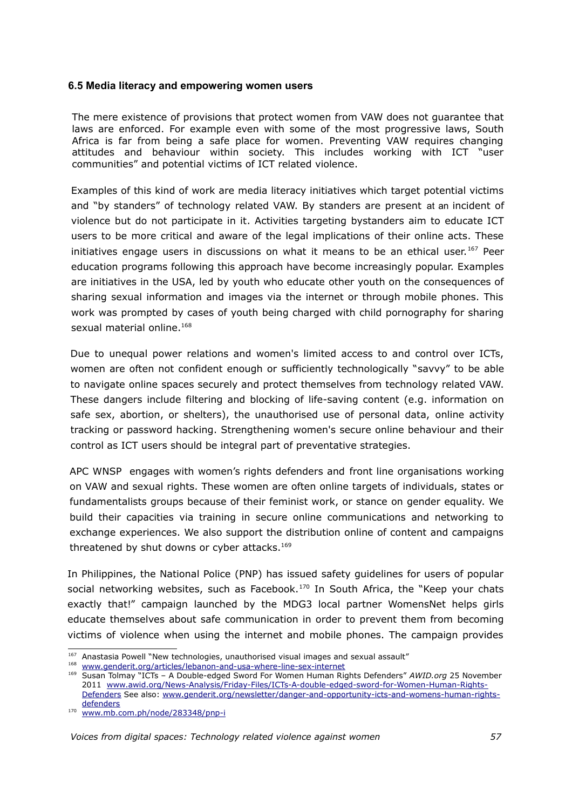#### **6.5 Media literacy and empowering women users**

The mere existence of provisions that protect women from VAW does not guarantee that laws are enforced. For example even with some of the most progressive laws, South Africa is far from being a safe place for women. Preventing VAW requires changing attitudes and behaviour within society. This includes working with ICT "user communities" and potential victims of ICT related violence.

Examples of this kind of work are media literacy initiatives which target potential victims and "by standers" of technology related VAW. By standers are present at an incident of violence but do not participate in it. Activities targeting bystanders aim to educate ICT users to be more critical and aware of the legal implications of their online acts. These initiatives engage users in discussions on what it means to be an ethical user.<sup>[167](#page-56-0)</sup> Peer education programs following this approach have become increasingly popular. Examples are initiatives in the USA, led by youth who educate other youth on the consequences of sharing sexual information and images via the internet or through mobile phones. This work was prompted by cases of youth being charged with child pornography for sharing sexual material online.<sup>[168](#page-56-1)</sup>

Due to unequal power relations and women's limited access to and control over ICTs, women are often not confident enough or sufficiently technologically "savvy" to be able to navigate online spaces securely and protect themselves from technology related VAW. These dangers include filtering and blocking of life-saving content (e.g. information on safe sex, abortion, or shelters), the unauthorised use of personal data, online activity tracking or password hacking. Strengthening women's secure online behaviour and their control as ICT users should be integral part of preventative strategies.

APC WNSP engages with women's rights defenders and front line organisations working on VAW and sexual rights. These women are often online targets of individuals, states or fundamentalists groups because of their feminist work, or stance on gender equality. We build their capacities via training in secure online communications and networking to exchange experiences. We also support the distribution online of content and campaigns threatened by shut downs or cyber attacks.<sup>[169](#page-56-2)</sup>

In Philippines, the National Police (PNP) has issued safety guidelines for users of popular social networking websites, such as Facebook. $170$  In South Africa, the "Keep your chats exactly that!" campaign launched by the MDG3 local partner WomensNet helps girls educate themselves about safe communication in order to prevent them from becoming victims of violence when using the internet and mobile phones. The campaign provides

<span id="page-56-0"></span><sup>167</sup> Anastasia Powell "New technologies, unauthorised visual images and sexual assault"

<span id="page-56-1"></span><sup>&</sup>lt;sup>168</sup> [www.genderit.org/articles/lebanon-and-usa-where-line-sex-internet](http://www.genderit.org/articles/lebanon-and-usa-where-line-sex-internet)

<span id="page-56-2"></span><sup>169</sup> Susan Tolmay "ICTs – A Double-edged Sword For Women Human Rights Defenders" *AWID.org* 25 November 2011 [www.awid.org/News-Analysis/Friday-Files/ICTs-A-double-edged-sword-for-Women-Human-Rights-](http://www.awid.org/News-Analysis/Friday-Files/ICTs-A-double-edged-sword-for-Women-Human-Rights-Defenders)[Defenders](http://www.awid.org/News-Analysis/Friday-Files/ICTs-A-double-edged-sword-for-Women-Human-Rights-Defenders) See also: [www.genderit.org/newsletter/danger-and-opportunity-icts-and-womens-human-rights](http://www.genderit.org/newsletter/danger-and-opportunity-icts-and-womens-human-rights-defenders)[defenders](http://www.genderit.org/newsletter/danger-and-opportunity-icts-and-womens-human-rights-defenders)

<span id="page-56-3"></span><sup>&</sup>lt;sup>170</sup> [www.mb.com.ph/node/283348/pnp-i](http://www.mb.com.ph/node/283348/pnp-i)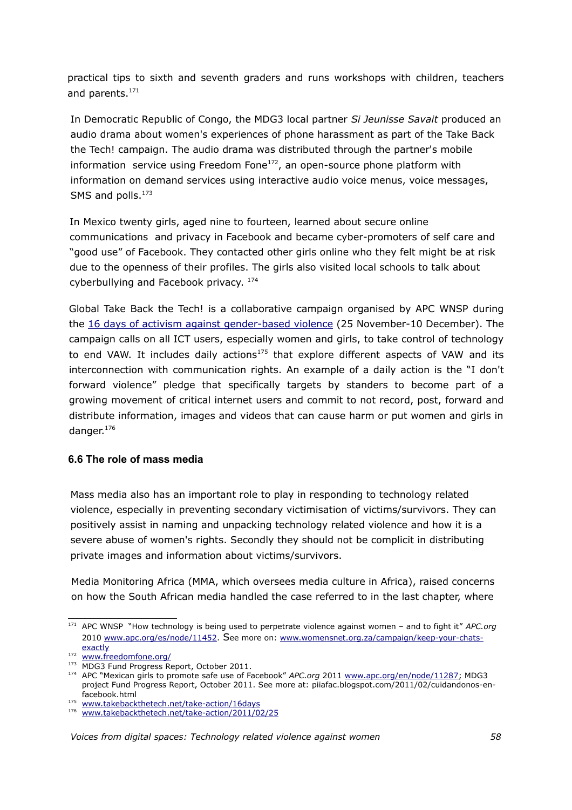practical tips to sixth and seventh graders and runs workshops with children, teachers and parents.<sup>[171](#page-57-0)</sup>

In Democratic Republic of Congo, the MDG3 local partner *Si Jeunisse Savait* produced an audio drama about women's experiences of phone harassment as part of the Take Back the Tech! campaign. The audio drama was distributed through the partner's mobile information service using Freedom Fone $172$ , an open-source phone platform with information on demand services using interactive audio voice menus, voice messages, SMS and polls.<sup>[173](#page-57-2)</sup>

In Mexico twenty girls, aged nine to fourteen, learned about secure online communications and privacy in Facebook and became cyber-promoters of self care and "good use" of Facebook. They contacted other girls online who they felt might be at risk due to the openness of their profiles. The girls also visited local schools to talk about cyberbullying and Facebook privacy. <sup>[174](#page-57-3)</sup>

Global Take Back the Tech! is a collaborative campaign organised by APC WNSP during the 16 days of activism against gender-based violence (25 November-10 December). The campaign calls on all ICT users, especially women and girls, to take control of technology to end VAW. It includes daily actions<sup>[175](#page-57-4)</sup> that explore different aspects of VAW and its interconnection with communication rights. An example of a daily action is the "I don't forward violence" pledge that specifically targets by standers to become part of a growing movement of critical internet users and commit to not record, post, forward and distribute information, images and videos that can cause harm or put women and girls in danger.[176](#page-57-5)

#### **6.6 The role of mass media**

Mass media also has an important role to play in responding to technology related violence, especially in preventing secondary victimisation of victims/survivors. They can positively assist in naming and unpacking technology related violence and how it is a severe abuse of women's rights. Secondly they should not be complicit in distributing private images and information about victims/survivors.

Media Monitoring Africa (MMA, which oversees media culture in Africa), raised concerns on how the South African media handled the case referred to in the last chapter, where

<span id="page-57-0"></span><sup>171</sup> APC WNSP "How technology is being used to perpetrate violence against women – and to fight it" *APC.org* 2010 [www.apc.org/es/node/11452.](http://www.apc.org/es/node/11452) See more on: [www.womensnet.org.za/campaign/keep-your-chats](http://www.womensnet.org.za/campaign/keep-your-chats-exactly)[exactly](http://www.womensnet.org.za/campaign/keep-your-chats-exactly)

<span id="page-57-1"></span><sup>&</sup>lt;sup>172</sup> [www.freedomfone.org/](http://www.freedomfone.org/)

<span id="page-57-2"></span><sup>173</sup> MDG3 Fund Progress Report, October 2011.

<span id="page-57-3"></span><sup>&</sup>lt;sup>174</sup> APC "Mexican girls to promote safe use of Facebook" APC.org 2011 [www.apc.org/en/node/11287;](http://www.apc.org/en/node/11287) MDG3 project Fund Progress Report, October 2011. See more at: piiafac.blogspot.com/2011/02/cuidandonos-enfacebook.html

<span id="page-57-4"></span><sup>&</sup>lt;sup>175</sup> [www.takebackthetech.net/take-action/16days](http://www.takebackthetech.net/take-action/16days)

<span id="page-57-5"></span><sup>176</sup> [www.takebackthetech.net/take-action/2011/02/25](http://www.takebackthetech.net/take-action/2011/02/25)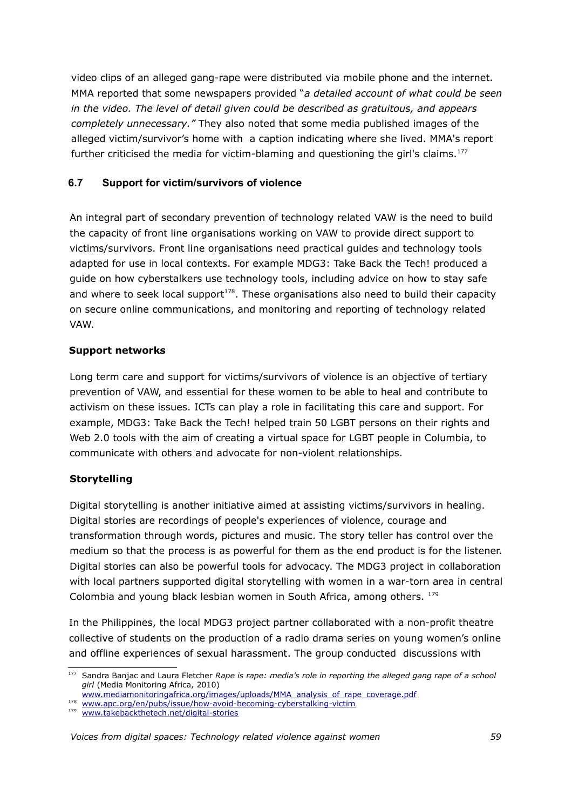video clips of an alleged gang-rape were distributed via mobile phone and the internet. MMA reported that some newspapers provided "*a detailed account of what could be seen in the video. The level of detail given could be described as gratuitous, and appears completely unnecessary."* They also noted that some media published images of the alleged victim/survivor's home with a caption indicating where she lived. MMA's report further criticised the media for victim-blaming and questioning the girl's claims.<sup>[177](#page-58-0)</sup>

### **6.7 Support for victim/survivors of violence**

An integral part of secondary prevention of technology related VAW is the need to build the capacity of front line organisations working on VAW to provide direct support to victims/survivors. Front line organisations need practical guides and technology tools adapted for use in local contexts. For example MDG3: Take Back the Tech! produced a guide on how cyberstalkers use technology tools, including advice on how to stay safe and where to seek local support $178$ . These organisations also need to build their capacity on secure online communications, and monitoring and reporting of technology related VAW.

### **Support networks**

Long term care and support for victims/survivors of violence is an objective of tertiary prevention of VAW, and essential for these women to be able to heal and contribute to activism on these issues. ICTs can play a role in facilitating this care and support. For example, MDG3: Take Back the Tech! helped train 50 LGBT persons on their rights and Web 2.0 tools with the aim of creating a virtual space for LGBT people in Columbia, to communicate with others and advocate for non-violent relationships.

### **Storytelling**

Digital storytelling is another initiative aimed at assisting victims/survivors in healing. Digital stories are recordings of people's experiences of violence, courage and transformation through words, pictures and music. The story teller has control over the medium so that the process is as powerful for them as the end product is for the listener. Digital stories can also be powerful tools for advocacy. The MDG3 project in collaboration with local partners supported digital storytelling with women in a war-torn area in central Colombia and young black lesbian women in South Africa, among others. [179](#page-58-2)

In the Philippines, the local MDG3 project partner collaborated with a non-profit theatre collective of students on the production of a radio drama series on young women's online and offline experiences of sexual harassment. The group conducted discussions with

<span id="page-58-0"></span><sup>177</sup> Sandra Banjac and Laura Fletcher *Rape is rape: media's role in reporting the alleged gang rape of a school girl* (Media Monitoring Africa, 2010)

[www.mediamonitoringafrica.org/images/uploads/MMA\\_analysis\\_of\\_rape\\_coverage.pdf](http://www.mediamonitoringafrica.org/images/uploads/MMA_analysis_of_rape_coverage.pdf) 178  [www.apc.org/en/pubs/issue/how-avoid-becoming-cyberstalking-victim](http://www.apc.org/en/pubs/issue/how-avoid-becoming-cyberstalking-victim)

<span id="page-58-1"></span>

<span id="page-58-2"></span><sup>179</sup> [www.takebackthetech.net/digital-stories](http://www.takebackthetech.net/digital-stories)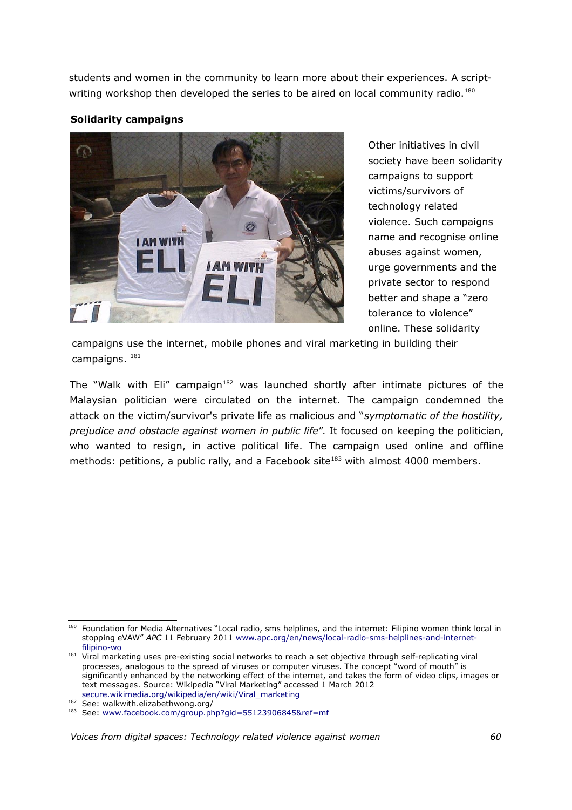students and women in the community to learn more about their experiences. A script-writing workshop then developed the series to be aired on local community radio.<sup>[180](#page-59-0)</sup>

#### **Solidarity campaigns**



Other initiatives in civil society have been solidarity campaigns to support victims/survivors of technology related violence. Such campaigns name and recognise online abuses against women, urge governments and the private sector to respond better and shape a "zero tolerance to violence" online. These solidarity

campaigns use the internet, mobile phones and viral marketing in building their campaigns. [181](#page-59-1)

The "Walk with Eli" campaign<sup>[182](#page-59-2)</sup> was launched shortly after intimate pictures of the Malaysian politician were circulated on the internet. The campaign condemned the attack on the victim/survivor's private life as malicious and "*symptomatic of the hostility, prejudice and obstacle against women in public life*". It focused on keeping the politician, who wanted to resign, in active political life. The campaign used online and offline methods: petitions, a public rally, and a Facebook site<sup>[183](#page-59-3)</sup> with almost 4000 members.

<span id="page-59-0"></span><sup>180</sup> Foundation for Media Alternatives "Local radio, sms helplines, and the internet: Filipino women think local in stopping eVAW" *APC* 11 February 2011 [www.apc.org/en/news/local-radio-sms-helplines-and-internet](http://www.apc.org/en/news/local-radio-sms-helplines-and-internet-filipino-wo)[filipino-wo](http://www.apc.org/en/news/local-radio-sms-helplines-and-internet-filipino-wo)

<span id="page-59-1"></span><sup>&</sup>lt;sup>181</sup> Viral marketing uses pre-existing social networks to reach a set objective through self-replicating viral processes, analogous to the spread of viruses or computer viruses. The concept "word of mouth" is significantly enhanced by the networking effect of the internet, and takes the form of video clips, images or text messages. Source: Wikipedia "Viral Marketing" accessed 1 March 2012 [secure.wikimedia.org/wikipedia/en/wiki/Viral\\_marketing](https://secure.wikimedia.org/wikipedia/en/wiki/Viral_marketing)

<span id="page-59-2"></span><sup>182</sup> See: walkwith.elizabethwong.org/

<span id="page-59-3"></span><sup>183</sup> See: [www.facebook.com/group.php?gid=55123906845&ref=mf](http://www.facebook.com/group.php?gid=55123906845&ref=mf)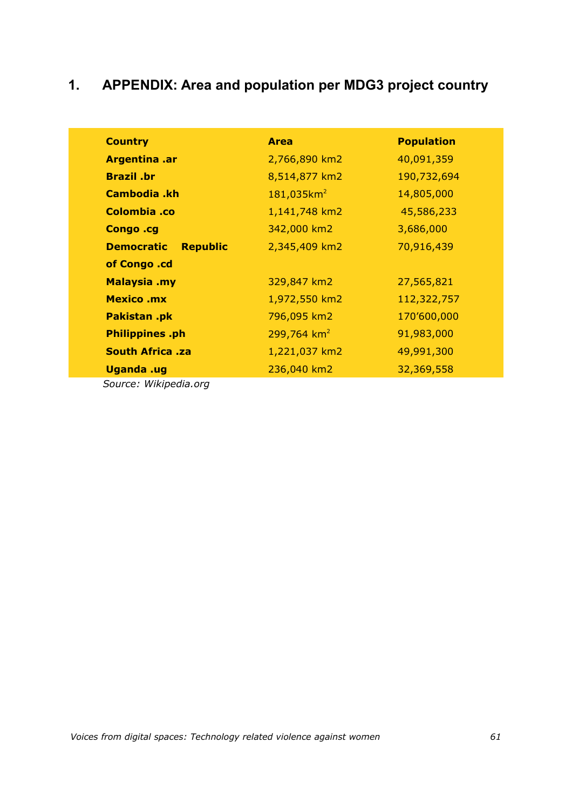# **1. APPENDIX: Area and population per MDG3 project country**

| <b>Country</b>                       | <b>Area</b>               | <b>Population</b> |
|--------------------------------------|---------------------------|-------------------|
| <b>Argentina .ar</b>                 | 2,766,890 km2             | 40,091,359        |
| <b>Brazil</b> br                     | 8,514,877 km2             | 190,732,694       |
| Cambodia .kh                         | $181,035km^2$             | 14,805,000        |
| Colombia .co                         | 1,141,748 km2             | 45,586,233        |
| Congo .cg                            | 342,000 km2               | 3,686,000         |
| <b>Republic</b><br><b>Democratic</b> | 2,345,409 km2             | 70,916,439        |
| of Congo .cd                         |                           |                   |
| <b>Malaysia .my</b>                  | 329,847 km2               | 27,565,821        |
| <b>Mexico .mx</b>                    | 1,972,550 km2             | 112,322,757       |
| Pakistan .pk                         | 796,095 km2               | 170'600,000       |
| <b>Philippines</b> .ph               | $299,764$ km <sup>2</sup> | 91,983,000        |
| <b>South Africa .za</b>              | 1,221,037 km2             | 49,991,300        |
| <b>Uganda</b> .ug                    | 236,040 km2               | 32,369,558        |

*Source: Wikipedia.org*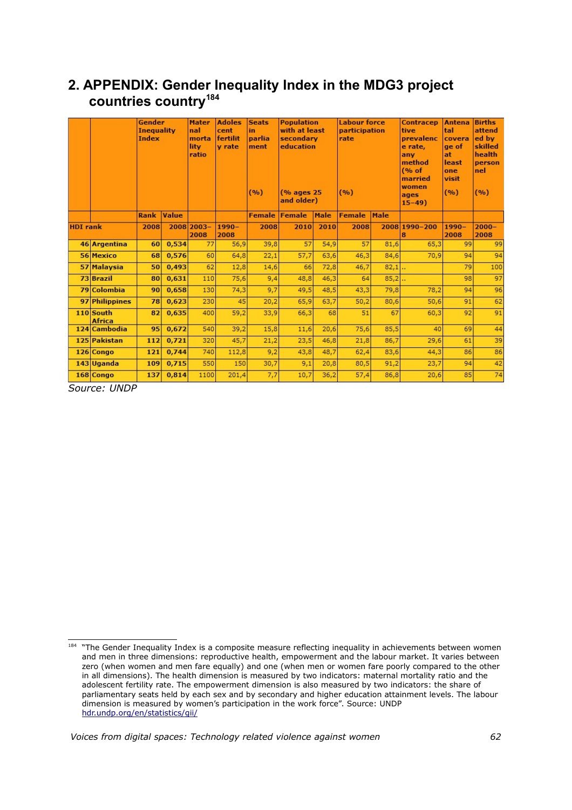# **2. APPENDIX: Gender Inequality Index in the MDG3 project countries country[184](#page-61-0)**

|                 |                            | Gender<br><b>Inequality</b><br>Index |              | <b>Mater</b><br>nal<br>morta<br>lity<br>ratio | <b>Adoles</b><br>cent<br>fertilit<br><b>v</b> rate | <b>Seats</b><br>in<br>parlia<br>ment<br>(9/6) | <b>Population</b><br>with at least<br>secondary<br>education<br>(% ages 25)<br>and older) |      | <b>Labour force</b><br>participation<br>rate<br>(9/6) |      | <b>Contracep</b><br>tive<br>prevalenc<br>e rate,<br>anv<br>method<br>(% of<br>married<br>women<br>ages<br>$15 - 49$ | <b>Antena</b><br>tal<br>covera<br>ge of<br>at<br>least<br>one<br>visit<br>(9/6) | <b>Births</b><br>attend<br>ed by<br>skilled<br>health<br>person<br>nel<br>(%) |
|-----------------|----------------------------|--------------------------------------|--------------|-----------------------------------------------|----------------------------------------------------|-----------------------------------------------|-------------------------------------------------------------------------------------------|------|-------------------------------------------------------|------|---------------------------------------------------------------------------------------------------------------------|---------------------------------------------------------------------------------|-------------------------------------------------------------------------------|
|                 |                            | <b>Rank</b>                          | <b>Value</b> |                                               |                                                    | <b>Female</b>                                 | Female                                                                                    | Male | <b>Female</b>                                         | Male |                                                                                                                     |                                                                                 |                                                                               |
| <b>HDI</b> rank |                            | 2008                                 |              | 2008 2003-<br>2008                            | $1990 -$<br>2008                                   | 2008                                          | 2010                                                                                      | 2010 | 2008                                                  |      | 2008 1990-200                                                                                                       | $1990 -$<br>2008                                                                | $2000 -$<br>2008                                                              |
|                 | 46 Argentina               | 60                                   | 0,534        | 77                                            | 56,9                                               | 39,8                                          | 57                                                                                        | 54,9 | 57                                                    | 81,6 | 65,3                                                                                                                | 99                                                                              | 99                                                                            |
|                 | 56 Mexico                  | 68                                   | 0.576        | 60                                            | 64,8                                               | 22,1                                          | 57,7                                                                                      | 63,6 | 46.3                                                  | 84,6 | 70,9                                                                                                                | 94                                                                              | 94                                                                            |
|                 | 57 Malaysia                | 50                                   | 0.493        | 62                                            | 12,8                                               | 14,6                                          | 66                                                                                        | 72,8 | 46,7                                                  | 82,1 |                                                                                                                     | 79                                                                              | 100                                                                           |
|                 | 73 Brazil                  | 80                                   | 0,631        | 110                                           | 75,6                                               | 9,4                                           | 48,8                                                                                      | 46,3 | 64                                                    | 85,2 |                                                                                                                     | 98                                                                              | 97                                                                            |
|                 | 79 Colombia                | 90                                   | 0.658        | 130                                           | 74,3                                               | 9,7                                           | 49,5                                                                                      | 48,5 | 43,3                                                  | 79,8 | 78,2                                                                                                                | 94                                                                              | 96                                                                            |
|                 | 97 Philippines             | 78                                   | 0,623        | 230                                           | 45                                                 | 20,2                                          | 65,9                                                                                      | 63,7 | 50,2                                                  | 80,6 | 50,6                                                                                                                | 91                                                                              | 62                                                                            |
|                 | 110 South<br><b>Africa</b> | 82                                   | 0,635        | 400                                           | 59,2                                               | 33,9                                          | 66,3                                                                                      | 68   | 51                                                    | 67   | 60,3                                                                                                                | 92                                                                              | 91                                                                            |
|                 | 124 Cambodia               | 95                                   | 0,672        | 540                                           | 39,2                                               | 15,8                                          | 11,6                                                                                      | 20,6 | 75,6                                                  | 85,5 | 40                                                                                                                  | 69                                                                              | 44                                                                            |
|                 | 125 Pakistan               | 112                                  | 0,721        | 320                                           | 45,7                                               | 21,2                                          | 23,5                                                                                      | 46,8 | 21,8                                                  | 86,7 | 29,6                                                                                                                | 61                                                                              | 39                                                                            |
|                 | 126 Congo                  | 121                                  | 0,744        | 740                                           | 112,8                                              | 9,2                                           | 43,8                                                                                      | 48,7 | 62,4                                                  | 83,6 | 44,3                                                                                                                | 86                                                                              | 86                                                                            |
|                 | 143 Uganda                 | 109                                  | 0,715        | 550                                           | 150                                                | 30,7                                          | 9,1                                                                                       | 20,8 | 80,5                                                  | 91,2 | 23,7                                                                                                                | 94                                                                              | 42                                                                            |
|                 | 168 Congo                  | 137                                  | 0.814        | 1100                                          | 201,4                                              | 7,7                                           | 10,7                                                                                      | 36,2 | 57,4                                                  | 86,8 | 20,6                                                                                                                | 85                                                                              | 74                                                                            |

*Source: UNDP*

<span id="page-61-0"></span><sup>&</sup>lt;sup>184</sup> "The Gender Inequality Index is a composite measure reflecting inequality in achievements between women and men in three dimensions: reproductive health, empowerment and the labour market. It varies between zero (when women and men fare equally) and one (when men or women fare poorly compared to the other in all dimensions). The health dimension is measured by two indicators: maternal mortality ratio and the adolescent fertility rate. The empowerment dimension is also measured by two indicators: the share of parliamentary seats held by each sex and by secondary and higher education attainment levels. The labour dimension is measured by women's participation in the work force". Source: UNDP [hdr.undp.org/en/statistics/gii/](http://hdr.undp.org/en/statistics/gii/)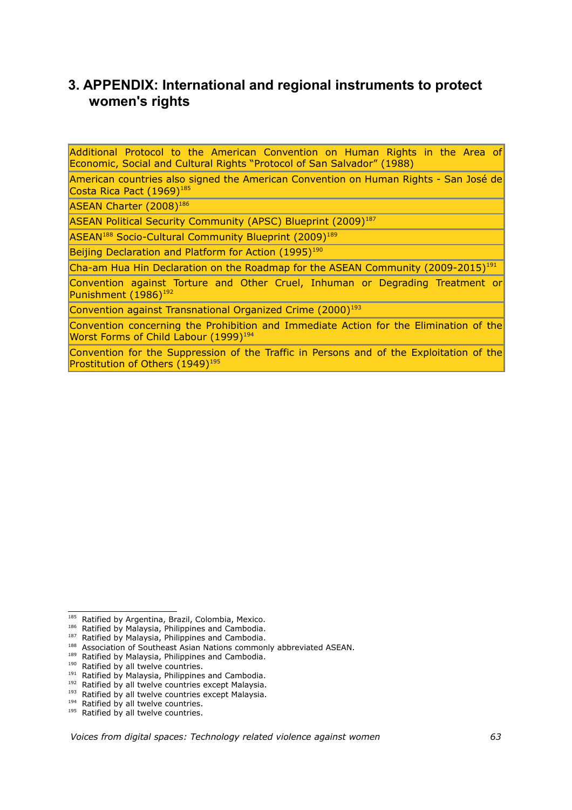# **3. APPENDIX: International and regional instruments to protect women's rights**

Additional Protocol to the American Convention on Human Rights in the Area of Economic, Social and Cultural Rights "Protocol of San Salvador" (1988)

American countries also signed the American Convention on Human Rights - San José de Costa Rica Pact (1969)<sup>[185](#page-62-0)</sup>

ASEAN Charter (2008)<sup>[186](#page-62-1)</sup>

ASEAN Political Security Community (APSC) Blueprint (2009)<sup>[187](#page-62-2)</sup>

ASEAN<sup>[188](#page-62-3)</sup> Socio-Cultural Community Blueprint (2009)<sup>[189](#page-62-4)</sup>

Beijing Declaration and Platform for Action (1995)<sup>[190](#page-62-5)</sup>

Cha-am Hua Hin Declaration on the Roadmap for the ASEAN Community  $(2009-2015)^{191}$  $(2009-2015)^{191}$  $(2009-2015)^{191}$ 

Convention against Torture and Other Cruel, Inhuman or Degrading Treatment or Punishment (1986)<sup>[192](#page-62-7)</sup>

Convention against Transnational Organized Crime (2000)<sup>[193](#page-62-8)</sup>

Convention concerning the Prohibition and Immediate Action for the Elimination of the Worst Forms of Child Labour (1999)<sup>[194](#page-62-9)</sup>

Convention for the Suppression of the Traffic in Persons and of the Exploitation of the Prostitution of Others (1949)<sup>[195](#page-62-10)</sup>

<span id="page-62-0"></span><sup>&</sup>lt;sup>185</sup> Ratified by Argentina, Brazil, Colombia, Mexico.

<span id="page-62-1"></span><sup>186</sup> Ratified by Malaysia, Philippines and Cambodia.

<span id="page-62-2"></span><sup>&</sup>lt;sup>187</sup> Ratified by Malaysia, Philippines and Cambodia.

<span id="page-62-3"></span><sup>188</sup> Association of Southeast Asian Nations commonly abbreviated ASEAN.

<span id="page-62-4"></span><sup>&</sup>lt;sup>189</sup> Ratified by Malaysia, Philippines and Cambodia.

<span id="page-62-5"></span><sup>&</sup>lt;sup>190</sup> Ratified by all twelve countries.

<span id="page-62-6"></span><sup>&</sup>lt;sup>191</sup> Ratified by Malaysia, Philippines and Cambodia.

<span id="page-62-7"></span><sup>&</sup>lt;sup>192</sup> Ratified by all twelve countries except Malaysia.

<span id="page-62-8"></span><sup>&</sup>lt;sup>193</sup> Ratified by all twelve countries except Malaysia.

<span id="page-62-9"></span><sup>&</sup>lt;sup>194</sup> Ratified by all twelve countries.

<span id="page-62-10"></span><sup>&</sup>lt;sup>195</sup> Ratified by all twelve countries.

*Voices from digital spaces: Technology related violence against women 63*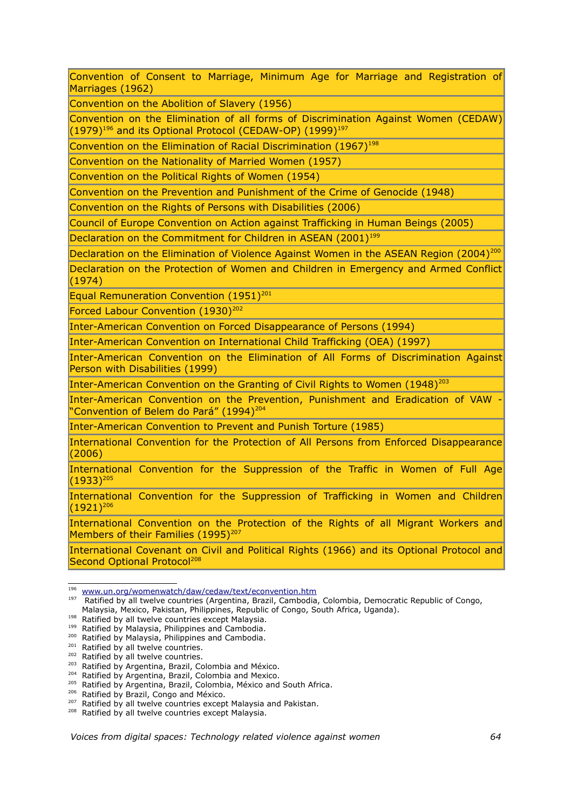Convention of Consent to Marriage, Minimum Age for Marriage and Registration of Marriages (1962)

Convention on the Abolition of Slavery (1956)

Convention on the Elimination of all forms of Discrimination Against Women (CEDAW)  $(1979)^{196}$  $(1979)^{196}$  $(1979)^{196}$  and its Optional Protocol (CEDAW-OP) (1999)<sup>[197](#page-63-1)</sup>

Convention on the Elimination of Racial Discrimination (1967)<sup>[198](#page-63-2)</sup>

Convention on the Nationality of Married Women (1957)

Convention on the Political Rights of Women (1954)

Convention on the Prevention and Punishment of the Crime of Genocide (1948)

Convention on the Rights of Persons with Disabilities (2006)

Council of Europe Convention on Action against Trafficking in Human Beings (2005)

Declaration on the Commitment for Children in ASEAN (2001)<sup>[199](#page-63-3)</sup>

Declaration on the Elimination of Violence Against Women in the ASEAN Region ([200](#page-63-4)4)<sup>200</sup>

Declaration on the Protection of Women and Children in Emergency and Armed Conflict (1974)

Equal Remuneration Convention (1951)<sup>[201](#page-63-5)</sup>

Forced Labour Convention (1930)<sup>[202](#page-63-6)</sup>

Inter-American Convention on Forced Disappearance of Persons (1994)

Inter-American Convention on International Child Trafficking (OEA) (1997)

Inter-American Convention on the Elimination of All Forms of Discrimination Against Person with Disabilities (1999)

Inter-American Convention on the Granting of Civil Rights to Women (1948)<sup>[203](#page-63-7)</sup>

Inter-American Convention on the Prevention, Punishment and Eradication of VAW - "Convention of Belem do Pará" (1994)<sup>[204](#page-63-8)</sup>

Inter-American Convention to Prevent and Punish Torture (1985)

International Convention for the Protection of All Persons from Enforced Disappearance (2006)

International Convention for the Suppression of the Traffic in Women of Full Age  $(1933)^{205}$  $(1933)^{205}$  $(1933)^{205}$ 

International Convention for the Suppression of Trafficking in Women and Children  $(1921)^{206}$  $(1921)^{206}$  $(1921)^{206}$ 

International Convention on the Protection of the Rights of all Migrant Workers and Members of their Families (1995)<sup>[207](#page-63-11)</sup>

International Covenant on Civil and Political Rights (1966) and its Optional Protocol and Second Optional Protocol<sup>[208](#page-63-12)</sup>

<span id="page-63-0"></span><sup>196</sup>  [www.un.org/womenwatch/daw/cedaw/text/econvention.htm](http://www.un.org/womenwatch/daw/cedaw/text/econvention.htm)

<span id="page-63-1"></span><sup>&</sup>lt;sup>197</sup> Ratified by all twelve countries (Argentina, Brazil, Cambodia, Colombia, Democratic Republic of Congo, Malaysia, Mexico, Pakistan, Philippines, Republic of Congo, South Africa, Uganda).

<span id="page-63-2"></span><sup>&</sup>lt;sup>198</sup> Ratified by all twelve countries except Malaysia.

<span id="page-63-3"></span><sup>199</sup> Ratified by Malaysia, Philippines and Cambodia.

<span id="page-63-4"></span><sup>&</sup>lt;sup>200</sup> Ratified by Malaysia, Philippines and Cambodia.

<span id="page-63-5"></span><sup>&</sup>lt;sup>201</sup> Ratified by all twelve countries.

<span id="page-63-6"></span><sup>&</sup>lt;sup>202</sup> Ratified by all twelve countries.

<span id="page-63-7"></span><sup>&</sup>lt;sup>203</sup> Ratified by Argentina, Brazil, Colombia and México.

<span id="page-63-8"></span><sup>&</sup>lt;sup>204</sup> Ratified by Argentina, Brazil, Colombia and Mexico.

<span id="page-63-9"></span><sup>205</sup> Ratified by Argentina, Brazil, Colombia, México and South Africa.

<span id="page-63-10"></span><sup>&</sup>lt;sup>206</sup> Ratified by Brazil, Congo and México.

<span id="page-63-11"></span><sup>&</sup>lt;sup>207</sup> Ratified by all twelve countries except Malaysia and Pakistan.

<span id="page-63-12"></span><sup>&</sup>lt;sup>208</sup> Ratified by all twelve countries except Malaysia.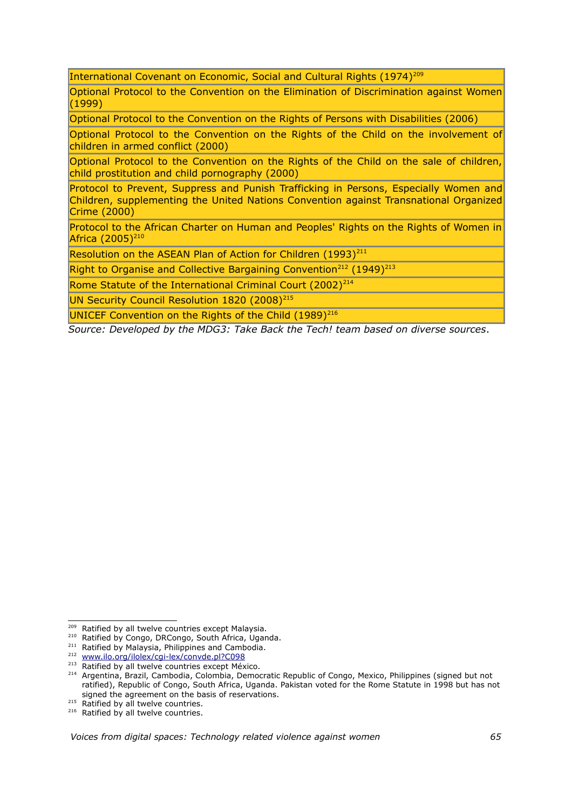International Covenant on Economic, Social and Cultural Rights (1974)<sup>[209](#page-64-0)</sup>

Optional Protocol to the Convention on the Elimination of Discrimination against Women (1999)

Optional Protocol to the Convention on the Rights of Persons with Disabilities (2006)

Optional Protocol to the Convention on the Rights of the Child on the involvement of children in armed conflict (2000)

Optional Protocol to the Convention on the Rights of the Child on the sale of children, child prostitution and child pornography (2000)

Protocol to Prevent, Suppress and Punish Trafficking in Persons, Especially Women and Children, supplementing the United Nations Convention against Transnational Organized Crime (2000)

Protocol to the African Charter on Human and Peoples' Rights on the Rights of Women in Africa (2005)<sup>[210](#page-64-1)</sup>

Resolution on the ASEAN Plan of Action for Children (1993)<sup>[211](#page-64-2)</sup>

Right to Organise and Collective Bargaining Convention<sup>[212](#page-64-3)</sup> (1949)<sup>[213](#page-64-4)</sup>

Rome Statute of the International Criminal Court (2002)<sup>[214](#page-64-5)</sup>

UN Security Council Resolution 1820 (2008)<sup>[215](#page-64-6)</sup>

UNICEF Convention on the Rights of the Child (1989)<sup>[216](#page-64-7)</sup>

*Source: Developed by the MDG3: Take Back the Tech! team based on diverse sources*.

<span id="page-64-0"></span><sup>&</sup>lt;sup>209</sup> Ratified by all twelve countries except Malaysia.

<span id="page-64-1"></span><sup>&</sup>lt;sup>210</sup> Ratified by Congo, DRCongo, South Africa, Uganda.

<span id="page-64-2"></span><sup>&</sup>lt;sup>211</sup> Ratified by Malaysia, Philippines and Cambodia.

<span id="page-64-3"></span><sup>212</sup>  [www.ilo.org/ilolex/cgi-lex/convde.pl?C098](http://www.ilo.org/ilolex/cgi-lex/convde.pl?C098)

<span id="page-64-4"></span><sup>&</sup>lt;sup>213</sup> Ratified by all twelve countries except México.

<span id="page-64-5"></span><sup>&</sup>lt;sup>214</sup> Argentina, Brazil, Cambodia, Colombia, Democratic Republic of Congo, Mexico, Philippines (signed but not ratified), Republic of Congo, South Africa, Uganda. Pakistan voted for the Rome Statute in 1998 but has not signed the agreement on the basis of reservations.

<span id="page-64-6"></span><sup>&</sup>lt;sup>215</sup> Ratified by all twelve countries.

<span id="page-64-7"></span> $216$  Ratified by all twelve countries.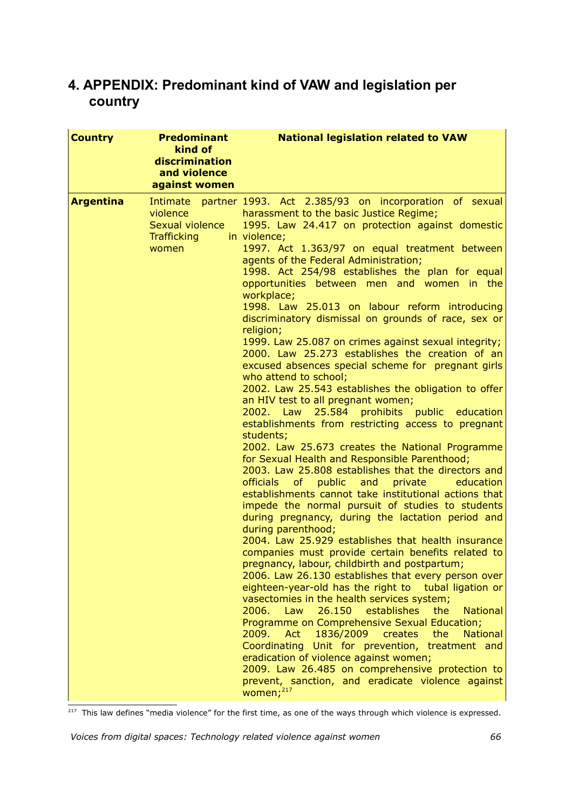# **4. APPENDIX: Predominant kind of VAW and legislation per country**

| <b>Country</b>   | <b>Predominant</b><br>kind of<br>discrimination<br>and violence<br>against women | <b>National legislation related to VAW</b>                                                                                                                                                                                                                                                                                                                                                                                                                                                                                                                                                                                                                                                                                                                                                                                                                                                                                                                                                                                                                                                                                                                                                                                                                                                                                                                                                                                                                                                                                                                                                                                                                                                                                                                                                                                                                                                                                                                                                                                                                              |
|------------------|----------------------------------------------------------------------------------|-------------------------------------------------------------------------------------------------------------------------------------------------------------------------------------------------------------------------------------------------------------------------------------------------------------------------------------------------------------------------------------------------------------------------------------------------------------------------------------------------------------------------------------------------------------------------------------------------------------------------------------------------------------------------------------------------------------------------------------------------------------------------------------------------------------------------------------------------------------------------------------------------------------------------------------------------------------------------------------------------------------------------------------------------------------------------------------------------------------------------------------------------------------------------------------------------------------------------------------------------------------------------------------------------------------------------------------------------------------------------------------------------------------------------------------------------------------------------------------------------------------------------------------------------------------------------------------------------------------------------------------------------------------------------------------------------------------------------------------------------------------------------------------------------------------------------------------------------------------------------------------------------------------------------------------------------------------------------------------------------------------------------------------------------------------------------|
| <b>Argentina</b> | violence<br>Sexual violence<br>Trafficking<br>women                              | Intimate partner 1993. Act 2.385/93 on incorporation of sexual<br>harassment to the basic Justice Regime;<br>1995. Law 24.417 on protection against domestic<br>in violence;<br>1997. Act 1.363/97 on equal treatment between<br>agents of the Federal Administration;<br>1998. Act 254/98 establishes the plan for equal<br>opportunities between men and women in the<br>workplace;<br>1998. Law 25.013 on labour reform introducing<br>discriminatory dismissal on grounds of race, sex or<br>religion;<br>1999. Law 25.087 on crimes against sexual integrity;<br>2000. Law 25.273 establishes the creation of an<br>excused absences special scheme for pregnant girls<br>who attend to school;<br>2002. Law 25.543 establishes the obligation to offer<br>an HIV test to all pregnant women;<br>2002. Law 25.584 prohibits public education<br>establishments from restricting access to pregnant<br>students;<br>2002. Law 25.673 creates the National Programme<br>for Sexual Health and Responsible Parenthood;<br>2003. Law 25.808 establishes that the directors and<br>officials of public and<br>private<br>education<br>establishments cannot take institutional actions that<br>impede the normal pursuit of studies to students<br>during pregnancy, during the lactation period and<br>during parenthood;<br>2004. Law 25.929 establishes that health insurance<br>companies must provide certain benefits related to<br>pregnancy, labour, childbirth and postpartum;<br>2006. Law 26.130 establishes that every person over<br>eighteen-year-old has the right to tubal ligation or<br>vasectomies in the health services system;<br>2006.<br>26.150<br>establishes<br><b>National</b><br>Law<br>the<br>Programme on Comprehensive Sexual Education;<br>2009.<br>Act<br>1836/2009<br>creates<br>the<br><b>National</b><br>Coordinating Unit for prevention, treatment and<br>eradication of violence against women;<br>2009. Law 26.485 on comprehensive protection to<br>prevent, sanction, and eradicate violence against<br>women; <sup>217</sup> |

<span id="page-65-0"></span> $\frac{1}{217}$  This law defines "media violence" for the first time, as one of the ways through which violence is expressed.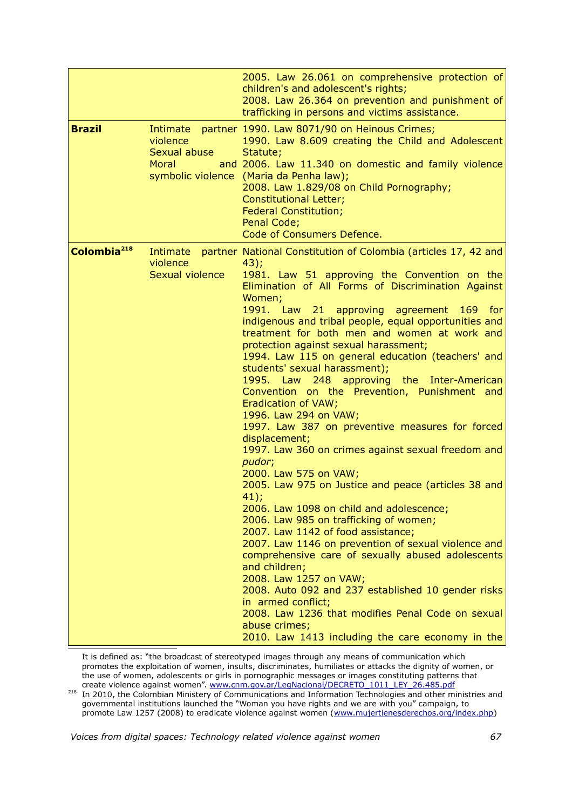|                         |                                                      | 2005. Law 26.061 on comprehensive protection of<br>children's and adolescent's rights;<br>2008. Law 26.364 on prevention and punishment of<br>trafficking in persons and victims assistance.                                                                                                                                                                                                                                                                                                                                                                                                                                                                                                                                                                                                                                                                                                                                                                                                                                                                                                                                                                                                                                                                                                                                                             |
|-------------------------|------------------------------------------------------|----------------------------------------------------------------------------------------------------------------------------------------------------------------------------------------------------------------------------------------------------------------------------------------------------------------------------------------------------------------------------------------------------------------------------------------------------------------------------------------------------------------------------------------------------------------------------------------------------------------------------------------------------------------------------------------------------------------------------------------------------------------------------------------------------------------------------------------------------------------------------------------------------------------------------------------------------------------------------------------------------------------------------------------------------------------------------------------------------------------------------------------------------------------------------------------------------------------------------------------------------------------------------------------------------------------------------------------------------------|
| <b>Brazil</b>           | Intimate<br>violence<br>Sexual abuse<br><b>Moral</b> | partner 1990. Law 8071/90 on Heinous Crimes;<br>1990. Law 8.609 creating the Child and Adolescent<br>Statute;<br>and 2006. Law 11.340 on domestic and family violence<br>symbolic violence (Maria da Penha law);<br>2008. Law 1.829/08 on Child Pornography;<br><b>Constitutional Letter;</b><br><b>Federal Constitution;</b><br>Penal Code;<br>Code of Consumers Defence.                                                                                                                                                                                                                                                                                                                                                                                                                                                                                                                                                                                                                                                                                                                                                                                                                                                                                                                                                                               |
| Colombia <sup>218</sup> | violence<br>Sexual violence                          | Intimate partner National Constitution of Colombia (articles 17, 42 and<br>43);<br>1981. Law 51 approving the Convention on the<br>Elimination of All Forms of Discrimination Against<br>Women;<br>1991. Law 21 approving agreement 169 for<br>indigenous and tribal people, equal opportunities and<br>treatment for both men and women at work and<br>protection against sexual harassment;<br>1994. Law 115 on general education (teachers' and<br>students' sexual harassment);<br>1995. Law 248 approving the Inter-American<br>Convention on the Prevention, Punishment and<br>Eradication of VAW;<br>1996. Law 294 on VAW;<br>1997. Law 387 on preventive measures for forced<br>displacement;<br>1997. Law 360 on crimes against sexual freedom and<br>pudor;<br>2000. Law 575 on VAW;<br>2005. Law 975 on Justice and peace (articles 38 and<br>$41$ :<br>2006. Law 1098 on child and adolescence;<br>2006. Law 985 on trafficking of women;<br>2007. Law 1142 of food assistance;<br>2007. Law 1146 on prevention of sexual violence and<br>comprehensive care of sexually abused adolescents<br>and children;<br>2008. Law 1257 on VAW;<br>2008. Auto 092 and 237 established 10 gender risks<br>in armed conflict;<br>2008. Law 1236 that modifies Penal Code on sexual<br>abuse crimes;<br>2010. Law 1413 including the care economy in the |

It is defined as: "the broadcast of stereotyped images through any means of communication which promotes the exploitation of women, insults, discriminates, humiliates or attacks the dignity of women, or the use of women, adolescents or girls in pornographic messages or images constituting patterns that create violence against women". [www.cnm.gov.ar/LegNacional/DECRETO\\_1011\\_LEY\\_26.485.pdf](http://www.cnm.gov.ar/LegNacional/DECRETO_1011_LEY_26.485.pdf) 

<span id="page-66-0"></span>218 In 2010, the Colombian Ministery of Communications and Information Technologies and other ministries and governmental institutions launched the "Woman you have rights and we are with you" campaign, to promote Law 1257 (2008) to eradicate violence against women [\(www.mujertienesderechos.org/index.php\)](http://www.mujertienesderechos.org/index.php)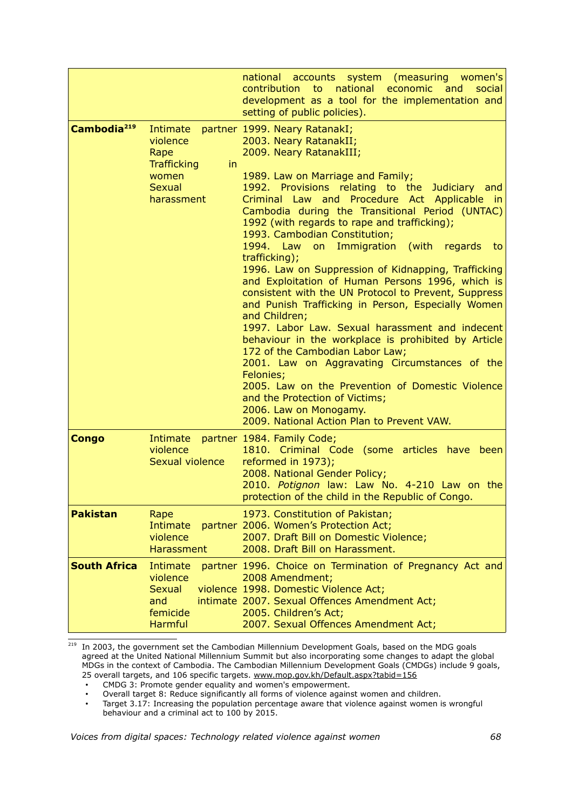|                         |                                                                                                  | national accounts system (measuring women's<br>contribution to national economic<br>and<br>social<br>development as a tool for the implementation and<br>setting of public policies).                                                                                                                                                                                                                                                                                                                                                                                                                                                                                                                                                                                                                                                                                                                                                                                                                                                                      |
|-------------------------|--------------------------------------------------------------------------------------------------|------------------------------------------------------------------------------------------------------------------------------------------------------------------------------------------------------------------------------------------------------------------------------------------------------------------------------------------------------------------------------------------------------------------------------------------------------------------------------------------------------------------------------------------------------------------------------------------------------------------------------------------------------------------------------------------------------------------------------------------------------------------------------------------------------------------------------------------------------------------------------------------------------------------------------------------------------------------------------------------------------------------------------------------------------------|
| Cambodia <sup>219</sup> | Intimate<br>violence<br>Rape<br><b>Trafficking</b><br>in<br>women<br><b>Sexual</b><br>harassment | partner 1999. Neary RatanakI;<br>2003. Neary RatanakII;<br>2009. Neary RatanakIII;<br>1989. Law on Marriage and Family;<br>1992. Provisions relating to the Judiciary and<br>Criminal Law and Procedure Act Applicable in<br>Cambodia during the Transitional Period (UNTAC)<br>1992 (with regards to rape and trafficking);<br>1993. Cambodian Constitution;<br>1994. Law<br>Immigration (with<br>on<br>regards<br>to<br>trafficking);<br>1996. Law on Suppression of Kidnapping, Trafficking<br>and Exploitation of Human Persons 1996, which is<br>consistent with the UN Protocol to Prevent, Suppress<br>and Punish Trafficking in Person, Especially Women<br>and Children;<br>1997. Labor Law. Sexual harassment and indecent<br>behaviour in the workplace is prohibited by Article<br>172 of the Cambodian Labor Law;<br>2001. Law on Aggravating Circumstances of the<br>Felonies;<br>2005. Law on the Prevention of Domestic Violence<br>and the Protection of Victims;<br>2006. Law on Monogamy.<br>2009. National Action Plan to Prevent VAW. |
| <b>Congo</b>            | Intimate<br>violence<br>Sexual violence                                                          | partner 1984. Family Code;<br>1810. Criminal Code (some articles have been<br>reformed in 1973);<br>2008. National Gender Policy;<br>2010. Potignon law: Law No. 4-210 Law on the<br>protection of the child in the Republic of Congo.                                                                                                                                                                                                                                                                                                                                                                                                                                                                                                                                                                                                                                                                                                                                                                                                                     |
| <b>Pakistan</b>         | Rape<br>Intimate<br>violence<br><b>Harassment</b>                                                | 1973. Constitution of Pakistan;<br>partner 2006. Women's Protection Act;<br>2007. Draft Bill on Domestic Violence;<br>2008. Draft Bill on Harassment.                                                                                                                                                                                                                                                                                                                                                                                                                                                                                                                                                                                                                                                                                                                                                                                                                                                                                                      |
| <b>South Africa</b>     | Intimate<br>violence<br><b>Sexual</b><br>and<br>femicide<br><b>Harmful</b>                       | partner 1996. Choice on Termination of Pregnancy Act and<br>2008 Amendment;<br>violence 1998. Domestic Violence Act;<br>intimate 2007. Sexual Offences Amendment Act;<br>2005. Children's Act;<br>2007. Sexual Offences Amendment Act;                                                                                                                                                                                                                                                                                                                                                                                                                                                                                                                                                                                                                                                                                                                                                                                                                     |

<span id="page-67-0"></span><sup>219</sup> In 2003, the government set the Cambodian Millennium Development Goals, based on the MDG goals agreed at the United National Millennium Summit but also incorporating some changes to adapt the global MDGs in the context of Cambodia. The Cambodian Millennium Development Goals (CMDGs) include 9 goals, 25 overall targets, and 106 specific targets. [www.mop.gov.kh/Default.aspx?tabid=156](http://www.mop.gov.kh/Default.aspx?tabid=156)

• CMDG 3: Promote gender equality and women's empowerment.

• Overall target 8: Reduce significantly all forms of violence against women and children.

• Target 3.17: Increasing the population percentage aware that violence against women is wrongful behaviour and a criminal act to 100 by 2015.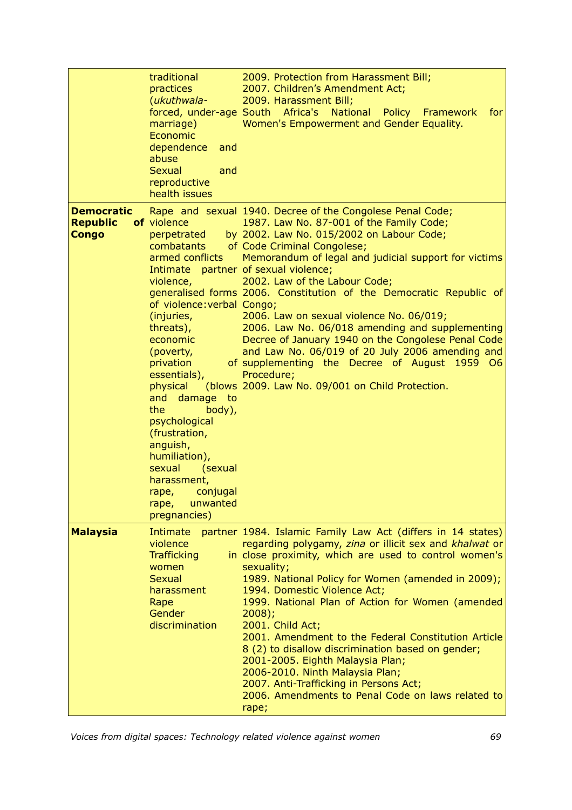|                                                      | traditional<br>practices<br>(ukuthwala-<br>forced, under-age South Africa's<br>marriage)<br>Economic<br>dependence<br>and<br>abuse<br>Sexual<br>and<br>reproductive<br>health issues                                                                                                                                                                                                                  | 2009. Protection from Harassment Bill;<br>2007. Children's Amendment Act;<br>2009. Harassment Bill;<br><b>National</b><br>Policy Framework<br>for<br>Women's Empowerment and Gender Equality.                                                                                                                                                                                                                                                                                                                                                                                                                                                                                                                       |
|------------------------------------------------------|-------------------------------------------------------------------------------------------------------------------------------------------------------------------------------------------------------------------------------------------------------------------------------------------------------------------------------------------------------------------------------------------------------|---------------------------------------------------------------------------------------------------------------------------------------------------------------------------------------------------------------------------------------------------------------------------------------------------------------------------------------------------------------------------------------------------------------------------------------------------------------------------------------------------------------------------------------------------------------------------------------------------------------------------------------------------------------------------------------------------------------------|
| <b>Democratic</b><br><b>Republic</b><br><b>Congo</b> | of violence<br>perpetrated<br>combatants<br>armed conflicts<br>violence,<br>of violence: verbal Congo;<br>(injuries,<br>threats),<br>economic<br>(poverty,<br>privation<br>essentials),<br>physical<br>damage to<br>and<br>the<br>body),<br>psychological<br>(frustration,<br>anguish,<br>humiliation),<br>sexual<br>(sexual<br>harassment,<br>conjugal<br>rape,<br>unwanted<br>rape,<br>pregnancies) | Rape and sexual 1940. Decree of the Congolese Penal Code;<br>1987. Law No. 87-001 of the Family Code;<br>by 2002. Law No. 015/2002 on Labour Code;<br>of Code Criminal Congolese;<br>Memorandum of legal and judicial support for victims<br>Intimate partner of sexual violence;<br>2002. Law of the Labour Code;<br>generalised forms 2006. Constitution of the Democratic Republic of<br>2006. Law on sexual violence No. 06/019;<br>2006. Law No. 06/018 amending and supplementing<br>Decree of January 1940 on the Congolese Penal Code<br>and Law No. 06/019 of 20 July 2006 amending and<br>of supplementing the Decree of August 1959 O6<br>Procedure;<br>(blows 2009. Law No. 09/001 on Child Protection. |
| <b>Malaysia</b>                                      | Intimate<br>violence<br><b>Trafficking</b><br>women<br><b>Sexual</b><br>harassment<br>Rape<br><b>Gender</b><br>discrimination                                                                                                                                                                                                                                                                         | partner 1984. Islamic Family Law Act (differs in 14 states)<br>regarding polygamy, zina or illicit sex and khalwat or<br>in close proximity, which are used to control women's<br>sexuality;<br>1989. National Policy for Women (amended in 2009);<br>1994. Domestic Violence Act;<br>1999. National Plan of Action for Women (amended<br>$2008$ ;<br>2001. Child Act;<br>2001. Amendment to the Federal Constitution Article<br>8 (2) to disallow discrimination based on gender;<br>2001-2005. Eighth Malaysia Plan;<br>2006-2010. Ninth Malaysia Plan;<br>2007. Anti-Trafficking in Persons Act;<br>2006. Amendments to Penal Code on laws related to<br>rape;                                                   |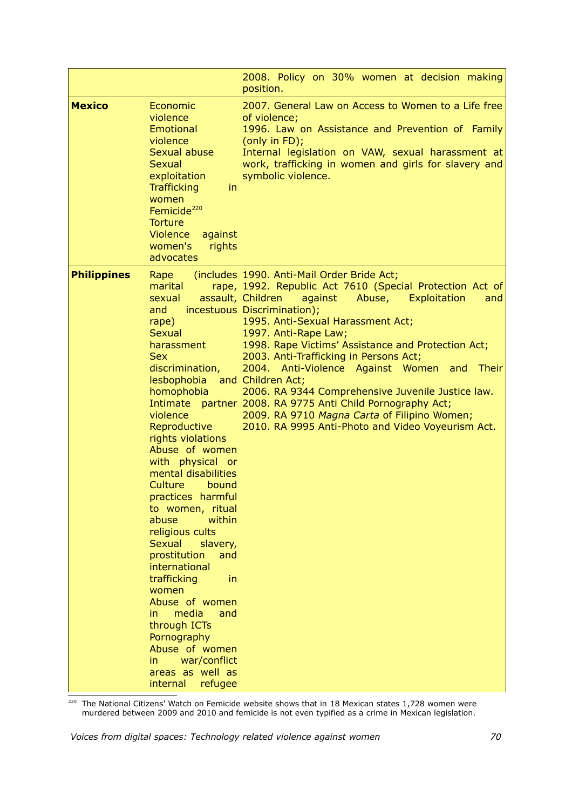|                    |                                                                                                                                                                                                                                                                                                                                                                                                                                                                                                                                                                                                                                         | 2008. Policy on 30% women at decision making<br>position.                                                                                                                                                                                                                                                                                                                                                                                                                                                                                                                                                                                     |
|--------------------|-----------------------------------------------------------------------------------------------------------------------------------------------------------------------------------------------------------------------------------------------------------------------------------------------------------------------------------------------------------------------------------------------------------------------------------------------------------------------------------------------------------------------------------------------------------------------------------------------------------------------------------------|-----------------------------------------------------------------------------------------------------------------------------------------------------------------------------------------------------------------------------------------------------------------------------------------------------------------------------------------------------------------------------------------------------------------------------------------------------------------------------------------------------------------------------------------------------------------------------------------------------------------------------------------------|
| <b>Mexico</b>      | Economic<br>violence<br><b>Emotional</b><br>violence<br>Sexual abuse<br><b>Sexual</b><br>exploitation<br><b>Trafficking</b><br>in.<br>women<br>Femicide <sup>220</sup><br><b>Torture</b><br><b>Violence</b><br>against<br>women's<br>rights<br>advocates                                                                                                                                                                                                                                                                                                                                                                                | 2007. General Law on Access to Women to a Life free<br>of violence;<br>1996. Law on Assistance and Prevention of Family<br>(only in FD);<br>Internal legislation on VAW, sexual harassment at<br>work, trafficking in women and girls for slavery and<br>symbolic violence.                                                                                                                                                                                                                                                                                                                                                                   |
| <b>Philippines</b> | Rape<br>marital<br>sexual<br>and<br>rape)<br><b>Sexual</b><br>harassment<br><b>Sex</b><br>discrimination,<br>lesbophobia and Children Act;<br>homophobia<br>violence<br>Reproductive<br>rights violations<br>Abuse of women<br>with physical or<br>mental disabilities<br>Culture<br>bound<br>practices harmful<br>to women, ritual<br>within<br>abuse<br>religious cults<br><b>Sexual</b><br>slavery,<br>prostitution<br>and<br>international<br>trafficking<br>in<br>women<br>Abuse of women<br>media<br>in.<br>and<br>through ICTs<br>Pornography<br>Abuse of women<br>war/conflict<br>in<br>areas as well as<br>internal<br>refugee | (includes 1990. Anti-Mail Order Bride Act;<br>rape, 1992. Republic Act 7610 (Special Protection Act of<br>assault, Children<br>against<br>Abuse,<br>Exploitation<br>and<br>incestuous Discrimination);<br>1995. Anti-Sexual Harassment Act;<br>1997. Anti-Rape Law;<br>1998. Rape Victims' Assistance and Protection Act;<br>2003. Anti-Trafficking in Persons Act;<br>2004. Anti-Violence Against Women and<br>Their<br>2006. RA 9344 Comprehensive Juvenile Justice law.<br>Intimate partner 2008. RA 9775 Anti Child Pornography Act;<br>2009. RA 9710 Magna Carta of Filipino Women;<br>2010. RA 9995 Anti-Photo and Video Voyeurism Act. |

<span id="page-69-0"></span> $220$  The National Citizens' Watch on Femicide website shows that in 18 Mexican states 1,728 women were murdered between 2009 and 2010 and femicide is not even typified as a crime in Mexican legislation.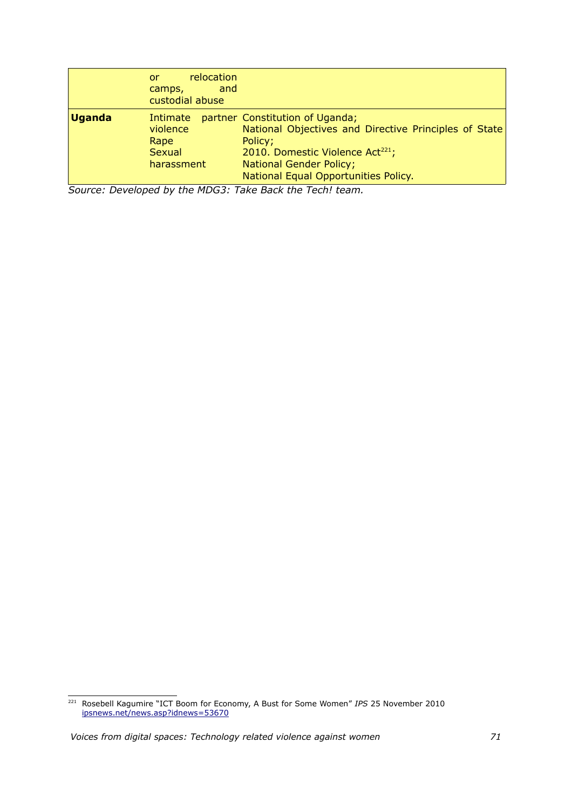|               | relocation<br>or<br>and<br>camps,<br>custodial abuse |                                                                                                                                                                                                                               |
|---------------|------------------------------------------------------|-------------------------------------------------------------------------------------------------------------------------------------------------------------------------------------------------------------------------------|
| <b>Uganda</b> | Intimate<br>violence<br>Rape<br>Sexual<br>harassment | partner Constitution of Uganda;<br>National Objectives and Directive Principles of State<br>Policy;<br>2010. Domestic Violence Act <sup>221</sup> ;<br><b>National Gender Policy;</b><br>National Equal Opportunities Policy. |

*Source: Developed by the MDG3: Take Back the Tech! team.*

<span id="page-70-0"></span><sup>221</sup> Rosebell Kagumire "ICT Boom for Economy, A Bust for Some Women" *IPS* 25 November 2010 [ipsnews.net/news.asp?idnews=53670](http://ipsnews.net/news.asp?idnews=53670)

*Voices from digital spaces: Technology related violence against women 71*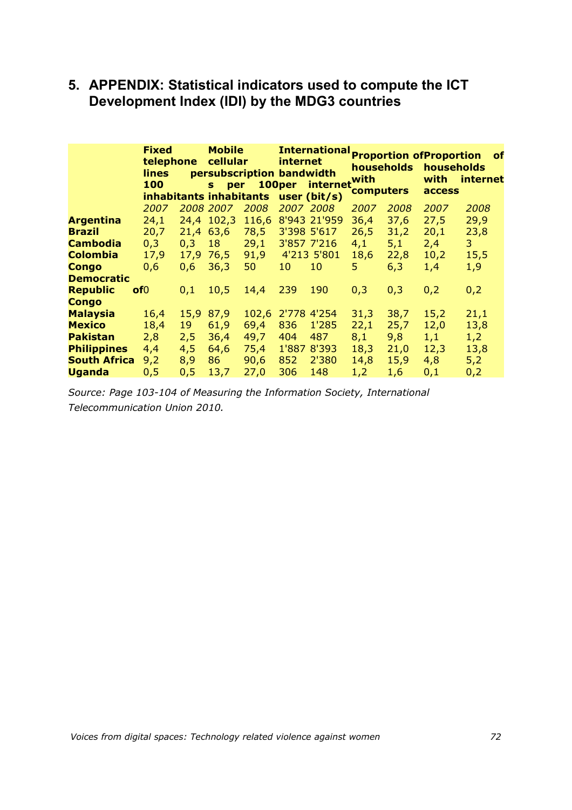# **5. APPENDIX: Statistical indicators used to compute the ICT Development Index (IDI) by the MDG3 countries**

|                     | <b>Fixed</b><br>telephone<br>lines<br>100 |      | <b>Mobile</b><br>cellular<br>persubscription bandwidth<br>per<br>S.<br>inhabitants inhabitants |       | <i>internet</i><br>100per | <b>International</b><br>internet<br>user $(bit/s)$ | <b>households</b><br>with<br><b>computers</b> |      | <b>Proportion ofProportion</b><br>households<br>with<br>access | <b>of</b><br>internet |
|---------------------|-------------------------------------------|------|------------------------------------------------------------------------------------------------|-------|---------------------------|----------------------------------------------------|-----------------------------------------------|------|----------------------------------------------------------------|-----------------------|
|                     | 2007                                      |      | 2008 2007                                                                                      | 2008  | 2007 2008                 |                                                    | 2007                                          | 2008 | 2007                                                           | 2008                  |
| <b>Argentina</b>    | 24,1                                      |      | 24,4 102,3                                                                                     | 116,6 |                           | 8'943 21'959                                       | 36,4                                          | 37,6 | 27,5                                                           | 29,9                  |
| <b>Brazil</b>       | 20,7                                      | 21,4 | 63,6                                                                                           | 78,5  | 3'398 5'617               |                                                    | 26,5                                          | 31,2 | 20,1                                                           | 23,8                  |
| <b>Cambodia</b>     | 0,3                                       | 0,3  | 18                                                                                             | 29,1  |                           | 3'857 7'216                                        | 4,1                                           | 5,1  | 2,4                                                            | 3                     |
| <b>Colombia</b>     | 17,9                                      | 17,9 | 76,5                                                                                           | 91,9  |                           | 4'213 5'801                                        | 18,6                                          | 22,8 | 10,2                                                           | 15,5                  |
| <b>Congo</b>        | 0,6                                       | 0,6  | 36,3                                                                                           | 50    | 10                        | 10                                                 | 5                                             | 6,3  | 1,4                                                            | 1,9                   |
| <b>Democratic</b>   |                                           |      |                                                                                                |       |                           |                                                    |                                               |      |                                                                |                       |
| <b>Republic</b>     | of <sub>0</sub>                           | 0,1  | 10,5                                                                                           | 14,4  | 239                       | 190                                                | 0,3                                           | 0,3  | 0,2                                                            | 0,2                   |
| <b>Congo</b>        |                                           |      |                                                                                                |       |                           |                                                    |                                               |      |                                                                |                       |
| <b>Malaysia</b>     | 16,4                                      | 15,9 | 87,9                                                                                           | 102,6 | 2'778 4'254               |                                                    | 31,3                                          | 38,7 | 15,2                                                           | 21,1                  |
| <b>Mexico</b>       | 18,4                                      | 19   | 61,9                                                                                           | 69,4  | 836                       | 1'285                                              | 22,1                                          | 25,7 | 12,0                                                           | 13,8                  |
| <b>Pakistan</b>     | 2,8                                       | 2,5  | 36,4                                                                                           | 49,7  | 404                       | 487                                                | 8,1                                           | 9,8  | 1,1                                                            | 1,2                   |
| <b>Philippines</b>  | 4,4                                       | 4,5  | 64,6                                                                                           | 75,4  | 1'887                     | 8'393                                              | 18,3                                          | 21,0 | 12,3                                                           | 13,8                  |
| <b>South Africa</b> | 9,2                                       | 8,9  | 86                                                                                             | 90,6  | 852                       | 2'380                                              | 14,8                                          | 15,9 | 4,8                                                            | 5,2                   |
| <b>Uganda</b>       | 0,5                                       | 0,5  | 13,7                                                                                           | 27,0  | 306                       | 148                                                | 1,2                                           | 1,6  | 0,1                                                            | 0,2                   |

*Source: Page 103-104 of Measuring the Information Society, International Telecommunication Union 2010.*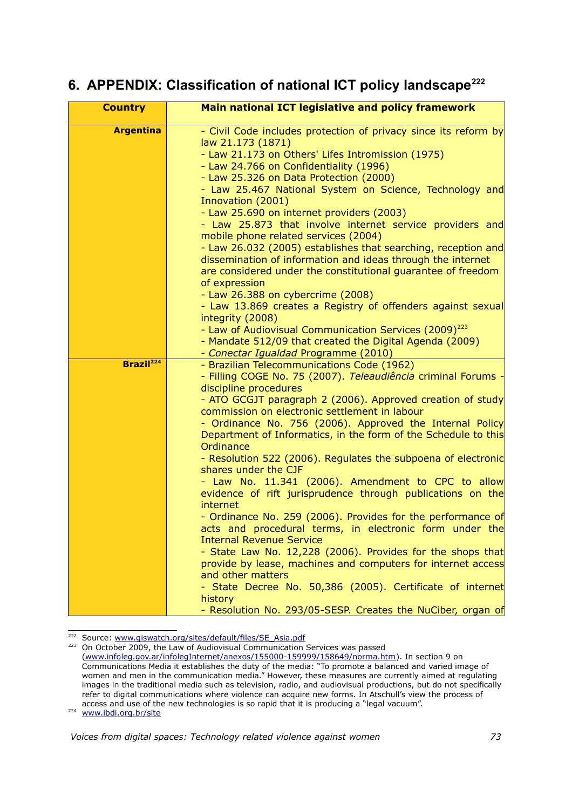## **6. APPENDIX: Classification of national ICT policy landscape[222](#page-72-0)**

| <b>Country</b>        | Main national ICT legislative and policy framework                                                                                                                                                                                                                                                                                                                                                                                                                                                                                                                                                                                                                                                                                                                                                                                                                                                                                                                                                                                                                             |
|-----------------------|--------------------------------------------------------------------------------------------------------------------------------------------------------------------------------------------------------------------------------------------------------------------------------------------------------------------------------------------------------------------------------------------------------------------------------------------------------------------------------------------------------------------------------------------------------------------------------------------------------------------------------------------------------------------------------------------------------------------------------------------------------------------------------------------------------------------------------------------------------------------------------------------------------------------------------------------------------------------------------------------------------------------------------------------------------------------------------|
| <b>Argentina</b>      | - Civil Code includes protection of privacy since its reform by<br>law 21.173 (1871)<br>- Law 21.173 on Others' Lifes Intromission (1975)<br>- Law 24.766 on Confidentiality (1996)<br>- Law 25.326 on Data Protection (2000)<br>- Law 25.467 National System on Science, Technology and<br>Innovation (2001)<br>- Law 25.690 on internet providers (2003)<br>- Law 25.873 that involve internet service providers and<br>mobile phone related services (2004)<br>- Law 26.032 (2005) establishes that searching, reception and<br>dissemination of information and ideas through the internet<br>are considered under the constitutional guarantee of freedom<br>of expression<br>- Law 26.388 on cybercrime (2008)<br>- Law 13.869 creates a Registry of offenders against sexual<br>integrity (2008)<br>- Law of Audiovisual Communication Services (2009) <sup>223</sup><br>- Mandate 512/09 that created the Digital Agenda (2009)<br>- Conectar Igualdad Programme (2010)                                                                                                |
| Brazil <sup>224</sup> | - Brazilian Telecommunications Code (1962)<br>- Filling COGE No. 75 (2007). Teleaudiência criminal Forums -<br>discipline procedures<br>- ATO GCGJT paragraph 2 (2006). Approved creation of study<br>commission on electronic settlement in labour<br>- Ordinance No. 756 (2006). Approved the Internal Policy<br>Department of Informatics, in the form of the Schedule to this<br>Ordinance<br>- Resolution 522 (2006). Regulates the subpoena of electronic<br>shares under the CJF<br>- Law No. 11.341 (2006). Amendment to CPC to allow<br>evidence of rift jurisprudence through publications on the<br>internet<br>- Ordinance No. 259 (2006). Provides for the performance of<br>acts and procedural terms, in electronic form under the<br><b>Internal Revenue Service</b><br>- State Law No. 12,228 (2006). Provides for the shops that<br>provide by lease, machines and computers for internet access<br>and other matters<br>- State Decree No. 50,386 (2005). Certificate of internet<br>history<br>- Resolution No. 293/05-SESP. Creates the NuCiber, organ of |

<span id="page-72-0"></span><sup>&</sup>lt;sup>222</sup> Source: [www.giswatch.org/sites/default/files/SE\\_Asia.pdf](http://www.giswatch.org/sites/default/files/SE_Asia.pdf)

<span id="page-72-2"></span><span id="page-72-1"></span><sup>223</sup> On October 2009, the Law of Audiovisual Communication Services was passed [\(www.infoleg.gov.ar/infolegInternet/anexos/155000-159999/158649/norma.htm\)](http://www.infoleg.gov.ar/infolegInternet/anexos/155000-159999/158649/norma.htm). In section 9 on Communications Media it establishes the duty of the media: "To promote a balanced and varied image of women and men in the communication media." However, these measures are currently aimed at regulating images in the traditional media such as television, radio, and audiovisual productions, but do not specifically refer to digital communications where violence can acquire new forms. In Atschull's view the process of access and use of the new technologies is so rapid that it is producing a "legal vacuum".<br><sup>224</sup> [www.ibdi.org.br/site](http://www.ibdi.org.br/site)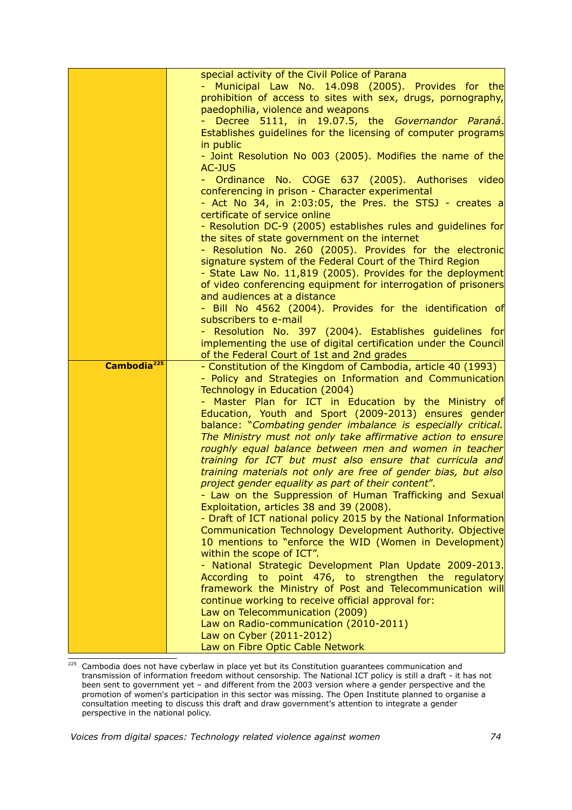|                         | special activity of the Civil Police of Parana                                                            |
|-------------------------|-----------------------------------------------------------------------------------------------------------|
|                         | Municipal Law No. 14.098 (2005). Provides for the                                                         |
|                         | prohibition of access to sites with sex, drugs, pornography,                                              |
|                         | paedophilia, violence and weapons                                                                         |
|                         | Decree 5111, in 19.07.5, the Governandor Paraná.                                                          |
|                         | Establishes guidelines for the licensing of computer programs                                             |
|                         | in public                                                                                                 |
|                         | - Joint Resolution No 003 (2005). Modifies the name of the                                                |
|                         | AC-JUS                                                                                                    |
|                         | - Ordinance No. COGE 637 (2005). Authorises video                                                         |
|                         | conferencing in prison - Character experimental                                                           |
|                         | - Act No 34, in 2:03:05, the Pres. the STSJ - creates a                                                   |
|                         | certificate of service online                                                                             |
|                         | - Resolution DC-9 (2005) establishes rules and guidelines for                                             |
|                         | the sites of state government on the internet<br>- Resolution No. 260 (2005). Provides for the electronic |
|                         | signature system of the Federal Court of the Third Region                                                 |
|                         | - State Law No. 11,819 (2005). Provides for the deployment                                                |
|                         | of video conferencing equipment for interrogation of prisoners                                            |
|                         | and audiences at a distance                                                                               |
|                         | - Bill No 4562 (2004). Provides for the identification of                                                 |
|                         | subscribers to e-mail                                                                                     |
|                         | - Resolution No. 397 (2004). Establishes guidelines for                                                   |
|                         | implementing the use of digital certification under the Council                                           |
|                         | of the Federal Court of 1st and 2nd grades                                                                |
|                         |                                                                                                           |
| Cambodia <sup>225</sup> | - Constitution of the Kingdom of Cambodia, article 40 (1993)                                              |
|                         | - Policy and Strategies on Information and Communication                                                  |
|                         | Technology in Education (2004)                                                                            |
|                         | - Master Plan for ICT in Education by the Ministry of                                                     |
|                         | Education, Youth and Sport (2009-2013) ensures gender                                                     |
|                         | balance: "Combating gender imbalance is especially critical.                                              |
|                         | The Ministry must not only take affirmative action to ensure                                              |
|                         | roughly equal balance between men and women in teacher                                                    |
|                         | training for ICT but must also ensure that curricula and                                                  |
|                         | training materials not only are free of gender bias, but also                                             |
|                         | project gender equality as part of their content".                                                        |
|                         | - Law on the Suppression of Human Trafficking and Sexual                                                  |
|                         | Exploitation, articles 38 and 39 (2008).                                                                  |
|                         | - Draft of ICT national policy 2015 by the National Information                                           |
|                         | Communication Technology Development Authority. Objective                                                 |
|                         | 10 mentions to "enforce the WID (Women in Development)<br>within the scope of ICT".                       |
|                         | - National Strategic Development Plan Update 2009-2013.                                                   |
|                         | According to point 476, to strengthen the regulatory                                                      |
|                         | framework the Ministry of Post and Telecommunication will                                                 |
|                         | continue working to receive official approval for:                                                        |
|                         | Law on Telecommunication (2009)                                                                           |
|                         | Law on Radio-communication (2010-2011)                                                                    |
|                         | Law on Cyber (2011-2012)<br>Law on Fibre Optic Cable Network                                              |

<span id="page-73-0"></span><sup>&</sup>lt;sup>225</sup> Cambodia does not have cyberlaw in place yet but its Constitution guarantees communication and transmission of information freedom without censorship. The National ICT policy is still a draft - it has not been sent to government yet – and different from the 2003 version where a gender perspective and the promotion of women's participation in this sector was missing. The Open Institute planned to organise a consultation meeting to discuss this draft and draw government's attention to integrate a gender perspective in the national policy.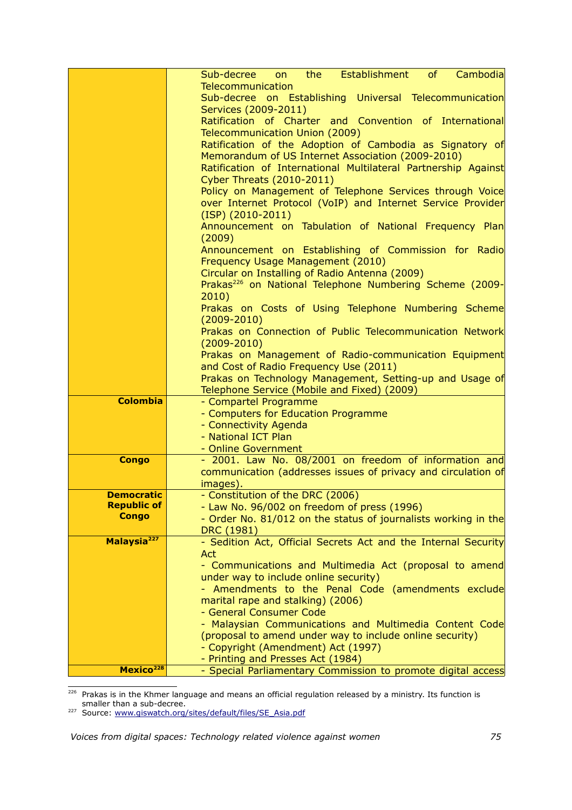|                                         | Cambodia<br>the the the set of the set of the set of the set of the set of the set of the set of the set of the set of the<br>Establishment<br>of<br>Sub-decree<br>on |
|-----------------------------------------|-----------------------------------------------------------------------------------------------------------------------------------------------------------------------|
|                                         | Telecommunication                                                                                                                                                     |
|                                         | Sub-decree on Establishing Universal Telecommunication                                                                                                                |
|                                         | Services (2009-2011)                                                                                                                                                  |
|                                         | Ratification of Charter and Convention of International                                                                                                               |
|                                         | Telecommunication Union (2009)                                                                                                                                        |
|                                         | Ratification of the Adoption of Cambodia as Signatory of                                                                                                              |
|                                         | Memorandum of US Internet Association (2009-2010)                                                                                                                     |
|                                         | Ratification of International Multilateral Partnership Against                                                                                                        |
|                                         | <b>Cyber Threats (2010-2011)</b>                                                                                                                                      |
|                                         | Policy on Management of Telephone Services through Voice                                                                                                              |
|                                         | over Internet Protocol (VoIP) and Internet Service Provider                                                                                                           |
|                                         | $(ISP)$ $(2010-2011)$                                                                                                                                                 |
|                                         | Announcement on Tabulation of National Frequency Plan<br>(2009)                                                                                                       |
|                                         | Announcement on Establishing of Commission for Radio                                                                                                                  |
|                                         | Frequency Usage Management (2010)                                                                                                                                     |
|                                         | Circular on Installing of Radio Antenna (2009)                                                                                                                        |
|                                         | Prakas <sup>226</sup> on National Telephone Numbering Scheme (2009-                                                                                                   |
|                                         | 2010)                                                                                                                                                                 |
|                                         | Prakas on Costs of Using Telephone Numbering Scheme                                                                                                                   |
|                                         | $(2009 - 2010)$                                                                                                                                                       |
|                                         | Prakas on Connection of Public Telecommunication Network<br>$(2009 - 2010)$                                                                                           |
|                                         | Prakas on Management of Radio-communication Equipment                                                                                                                 |
|                                         | and Cost of Radio Frequency Use (2011)                                                                                                                                |
|                                         | Prakas on Technology Management, Setting-up and Usage of                                                                                                              |
|                                         | Telephone Service (Mobile and Fixed) (2009)                                                                                                                           |
| <b>Colombia</b>                         | - Compartel Programme                                                                                                                                                 |
|                                         | - Computers for Education Programme                                                                                                                                   |
|                                         | - Connectivity Agenda                                                                                                                                                 |
|                                         | - National ICT Plan                                                                                                                                                   |
|                                         | - Online Government                                                                                                                                                   |
| <b>Congo</b>                            | - 2001. Law No. 08/2001 on freedom of information and                                                                                                                 |
|                                         | communication (addresses issues of privacy and circulation of                                                                                                         |
|                                         | images).                                                                                                                                                              |
| <b>Democratic</b><br><b>Republic of</b> | - Constitution of the DRC (2006)                                                                                                                                      |
| <b>Congo</b>                            | - Law No. 96/002 on freedom of press (1996)<br>- Order No. 81/012 on the status of journalists working in the                                                         |
|                                         | DRC (1981)                                                                                                                                                            |
| Malaysia <sup>227</sup>                 | - Sedition Act, Official Secrets Act and the Internal Security                                                                                                        |
|                                         | Act                                                                                                                                                                   |
|                                         | - Communications and Multimedia Act (proposal to amend                                                                                                                |
|                                         | under way to include online security)                                                                                                                                 |
|                                         | - Amendments to the Penal Code (amendments exclude                                                                                                                    |
|                                         | marital rape and stalking) (2006)                                                                                                                                     |
|                                         | - General Consumer Code                                                                                                                                               |
|                                         | - Malaysian Communications and Multimedia Content Code                                                                                                                |
|                                         | (proposal to amend under way to include online security)                                                                                                              |
|                                         | - Copyright (Amendment) Act (1997)                                                                                                                                    |
|                                         | - Printing and Presses Act (1984)                                                                                                                                     |
| Mexico <sup>228</sup>                   | - Special Parliamentary Commission to promote digital access                                                                                                          |

<span id="page-74-0"></span> $226$  Prakas is in the Khmer language and means an official regulation released by a ministry. Its function is smaller than a sub-decree.

<span id="page-74-1"></span><sup>227</sup> Source: [www.giswatch.org/sites/default/files/SE\\_Asia.pdf](http://www.giswatch.org/sites/default/files/SE_Asia.pdf)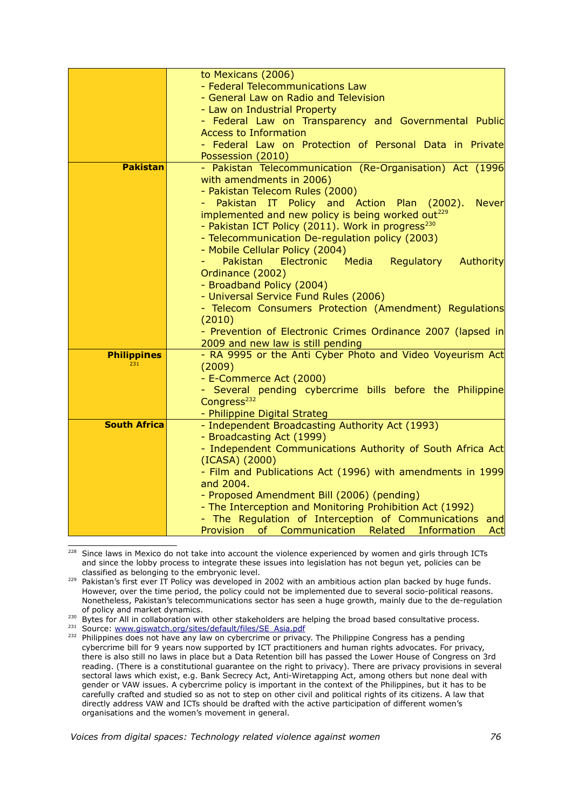|                     | to Mexicans (2006)                                            |
|---------------------|---------------------------------------------------------------|
|                     | - Federal Telecommunications Law                              |
|                     | - General Law on Radio and Television                         |
|                     | - Law on Industrial Property                                  |
|                     | - Federal Law on Transparency and Governmental Public         |
|                     | <b>Access to Information</b>                                  |
|                     | - Federal Law on Protection of Personal Data in Private       |
|                     | Possession (2010)                                             |
| <b>Pakistan</b>     | - Pakistan Telecommunication (Re-Organisation) Act (1996      |
|                     | with amendments in 2006)                                      |
|                     | - Pakistan Telecom Rules (2000)                               |
|                     | Pakistan IT Policy and Action Plan (2002).<br><b>Never</b>    |
|                     | implemented and new policy is being worked out <sup>229</sup> |
|                     | - Pakistan ICT Policy (2011). Work in progress <sup>230</sup> |
|                     | - Telecommunication De-regulation policy (2003)               |
|                     | - Mobile Cellular Policy (2004)                               |
|                     | Pakistan<br>Electronic Media<br>Regulatory<br>Authority       |
|                     | Ordinance (2002)                                              |
|                     | - Broadband Policy (2004)                                     |
|                     | - Universal Service Fund Rules (2006)                         |
|                     | - Telecom Consumers Protection (Amendment) Regulations        |
|                     | (2010)                                                        |
|                     | - Prevention of Electronic Crimes Ordinance 2007 (lapsed in   |
|                     | 2009 and new law is still pending                             |
| <b>Philippines</b>  | - RA 9995 or the Anti Cyber Photo and Video Voyeurism Act     |
| 231                 | (2009)                                                        |
|                     | - E-Commerce Act (2000)                                       |
|                     | - Several pending cybercrime bills before the Philippine      |
|                     | Congress <sup>232</sup>                                       |
|                     | - Philippine Digital Strateg                                  |
| <b>South Africa</b> | - Independent Broadcasting Authority Act (1993)               |
|                     | - Broadcasting Act (1999)                                     |
|                     | - Independent Communications Authority of South Africa Act    |
|                     | (ICASA) (2000)                                                |
|                     | - Film and Publications Act (1996) with amendments in 1999    |
|                     | and 2004.                                                     |
|                     | - Proposed Amendment Bill (2006) (pending)                    |
|                     | - The Interception and Monitoring Prohibition Act (1992)      |
|                     | - The Regulation of Interception of Communications<br>and     |
|                     | Related<br>Information<br>Provision of Communication<br>Act   |

<span id="page-75-0"></span><sup>228</sup> Since laws in Mexico do not take into account the violence experienced by women and girls through ICTs and since the lobby process to integrate these issues into legislation has not begun yet, policies can be classified as belonging to the embryonic level.

<span id="page-75-2"></span>230 Bytes for All in collaboration with other stakeholders are helping the broad based consultative process.

<span id="page-75-3"></span><sup>231</sup> Source: [www.giswatch.org/sites/default/files/SE\\_Asia.pdf](http://www.giswatch.org/sites/default/files/SE_Asia.pdf)

<span id="page-75-1"></span><sup>229</sup> Pakistan's first ever IT Policy was developed in 2002 with an ambitious action plan backed by huge funds. However, over the time period, the policy could not be implemented due to several socio-political reasons. Nonetheless, Pakistan's telecommunications sector has seen a huge growth, mainly due to the de-regulation of policy and market dynamics.

<span id="page-75-4"></span><sup>&</sup>lt;sup>232</sup> Philippines does not have any law on cybercrime or privacy. The Philippine Congress has a pending cybercrime bill for 9 years now supported by ICT practitioners and human rights advocates. For privacy, there is also still no laws in place but a Data Retention bill has passed the Lower House of Congress on 3rd reading. (There is a constitutional guarantee on the right to privacy). There are privacy provisions in several sectoral laws which exist, e.g. Bank Secrecy Act, Anti-Wiretapping Act, among others but none deal with gender or VAW issues. A cybercrime policy is important in the context of the Philippines, but it has to be carefully crafted and studied so as not to step on other civil and political rights of its citizens. A law that directly address VAW and ICTs should be drafted with the active participation of different women's organisations and the women's movement in general.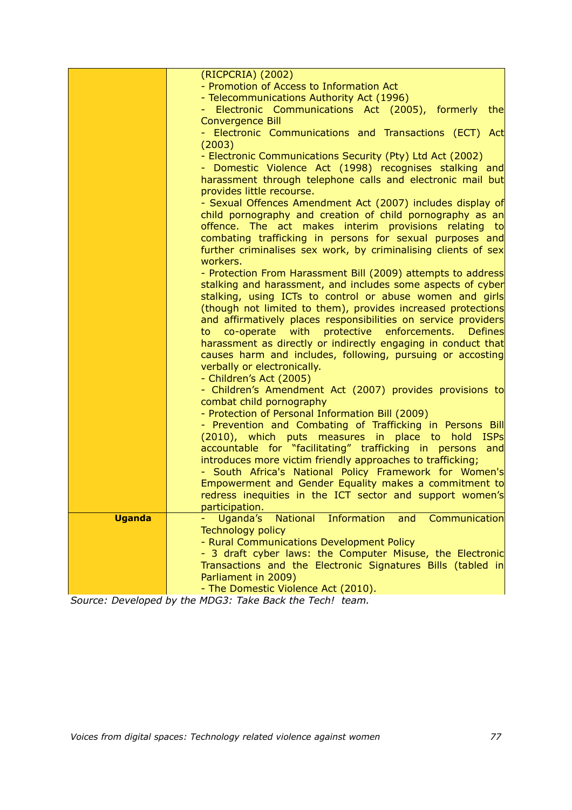|               | (RICPCRIA) (2002)                                                                                                        |
|---------------|--------------------------------------------------------------------------------------------------------------------------|
|               | - Promotion of Access to Information Act                                                                                 |
|               | - Telecommunications Authority Act (1996)                                                                                |
|               | - Electronic Communications Act (2005), formerly<br>the                                                                  |
|               | <b>Convergence Bill</b>                                                                                                  |
|               | - Electronic Communications and Transactions (ECT) Act                                                                   |
|               | (2003)                                                                                                                   |
|               |                                                                                                                          |
|               | - Electronic Communications Security (Pty) Ltd Act (2002)                                                                |
|               | - Domestic Violence Act (1998) recognises stalking and                                                                   |
|               | harassment through telephone calls and electronic mail but<br>provides little recourse.                                  |
|               |                                                                                                                          |
|               | - Sexual Offences Amendment Act (2007) includes display of                                                               |
|               | child pornography and creation of child pornography as an                                                                |
|               | offence. The act makes interim provisions relating to                                                                    |
|               | combating trafficking in persons for sexual purposes and                                                                 |
|               | further criminalises sex work, by criminalising clients of sex                                                           |
|               | workers.                                                                                                                 |
|               | - Protection From Harassment Bill (2009) attempts to address                                                             |
|               | stalking and harassment, and includes some aspects of cyber                                                              |
|               | stalking, using ICTs to control or abuse women and girls<br>(though not limited to them), provides increased protections |
|               | and affirmatively places responsibilities on service providers                                                           |
|               | to co-operate with protective enforcements. Defines                                                                      |
|               | harassment as directly or indirectly engaging in conduct that                                                            |
|               | causes harm and includes, following, pursuing or accosting                                                               |
|               | verbally or electronically.                                                                                              |
|               | - Children's Act (2005)                                                                                                  |
|               | - Children's Amendment Act (2007) provides provisions to                                                                 |
|               | combat child pornography                                                                                                 |
|               | - Protection of Personal Information Bill (2009)                                                                         |
|               | - Prevention and Combating of Trafficking in Persons Bill                                                                |
|               | (2010), which puts measures in place to hold<br><b>ISPS</b>                                                              |
|               | accountable for "facilitating" trafficking in persons and                                                                |
|               | introduces more victim friendly approaches to trafficking;                                                               |
|               | - South Africa's National Policy Framework for Women's                                                                   |
|               | Empowerment and Gender Equality makes a commitment to                                                                    |
|               | redress inequities in the ICT sector and support women's                                                                 |
|               | participation.                                                                                                           |
| <b>Uganda</b> | Uganda's<br><b>Information</b><br><b>National</b><br>and<br>Communication                                                |
|               | <b>Technology policy</b>                                                                                                 |
|               | - Rural Communications Development Policy                                                                                |
|               | - 3 draft cyber laws: the Computer Misuse, the Electronic                                                                |
|               | Transactions and the Electronic Signatures Bills (tabled in                                                              |
|               | Parliament in 2009)                                                                                                      |
|               | - The Domestic Violence Act (2010).                                                                                      |

*Source: Developed by the MDG3: Take Back the Tech! team.*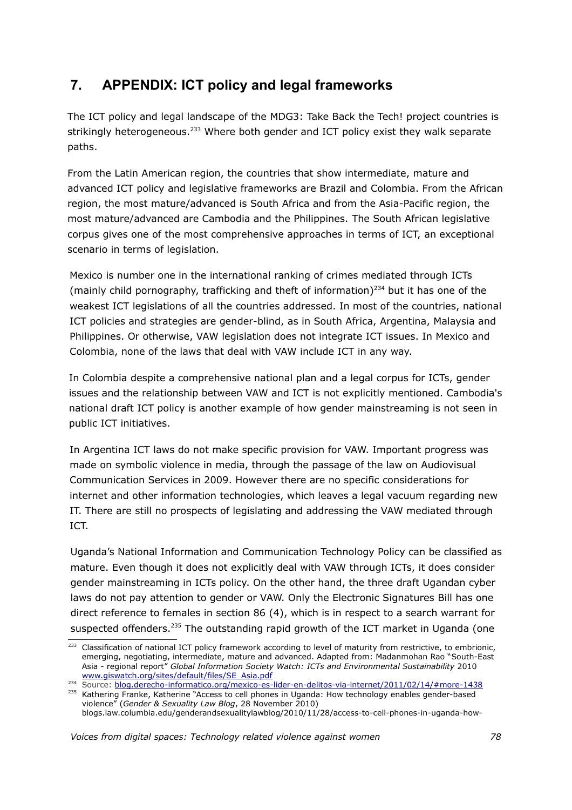## **7. APPENDIX: ICT policy and legal frameworks**

The ICT policy and legal landscape of the MDG3: Take Back the Tech! project countries is strikingly heterogeneous.<sup>[233](#page-77-0)</sup> Where both gender and ICT policy exist they walk separate paths.

From the Latin American region, the countries that show intermediate, mature and advanced ICT policy and legislative frameworks are Brazil and Colombia. From the African region, the most mature/advanced is South Africa and from the Asia-Pacific region, the most mature/advanced are Cambodia and the Philippines. The South African legislative corpus gives one of the most comprehensive approaches in terms of ICT, an exceptional scenario in terms of legislation.

Mexico is number one in the international ranking of crimes mediated through ICTs (mainly child pornography, trafficking and theft of information)<sup>[234](#page-77-1)</sup> but it has one of the weakest ICT legislations of all the countries addressed. In most of the countries, national ICT policies and strategies are gender-blind, as in South Africa, Argentina, Malaysia and Philippines. Or otherwise, VAW legislation does not integrate ICT issues. In Mexico and Colombia, none of the laws that deal with VAW include ICT in any way.

In Colombia despite a comprehensive national plan and a legal corpus for ICTs, gender issues and the relationship between VAW and ICT is not explicitly mentioned. Cambodia's national draft ICT policy is another example of how gender mainstreaming is not seen in public ICT initiatives.

In Argentina ICT laws do not make specific provision for VAW. Important progress was made on symbolic violence in media, through the passage of the law on Audiovisual Communication Services in 2009. However there are no specific considerations for internet and other information technologies, which leaves a legal vacuum regarding new IT. There are still no prospects of legislating and addressing the VAW mediated through ICT.

Uganda's National Information and Communication Technology Policy can be classified as mature. Even though it does not explicitly deal with VAW through ICTs, it does consider gender mainstreaming in ICTs policy. On the other hand, the three draft Ugandan cyber laws do not pay attention to gender or VAW. Only the Electronic Signatures Bill has one direct reference to females in section 86 (4), which is in respect to a search warrant for suspected offenders.<sup>[235](#page-77-2)</sup> The outstanding rapid growth of the ICT market in Uganda (one

<span id="page-77-0"></span><sup>&</sup>lt;sup>233</sup> Classification of national ICT policy framework according to level of maturity from restrictive, to embrionic, emerging, negotiating, intermediate, mature and advanced. Adapted from: Madanmohan Rao "South-East Asia - regional report" *Global Information Society Watch: ICTs and Environmental Sustainability* 2010 [www.giswatch.org/sites/default/files/SE\\_Asia.pdf](http://www.giswatch.org/sites/default/files/SE_Asia.pdf)

<span id="page-77-1"></span><sup>234</sup> Source: [blog.derecho-informatico.org/mexico-es-lider-en-delitos-via-internet/2011/02/14/#more-1438](http://blog.derecho-informatico.org/mexico-es-lider-en-delitos-via-internet/2011/02/14/#more-1438)

<span id="page-77-2"></span><sup>&</sup>lt;sup>235</sup> Kathering Franke, Katherine "Access to cell phones in Uganda: How technology enables gender-based violence" (*Gender & Sexuality Law Blog*, 28 November 2010) blogs.law.columbia.edu/genderandsexualitylawblog/2010/11/28/access-to-cell-phones-in-uganda-how-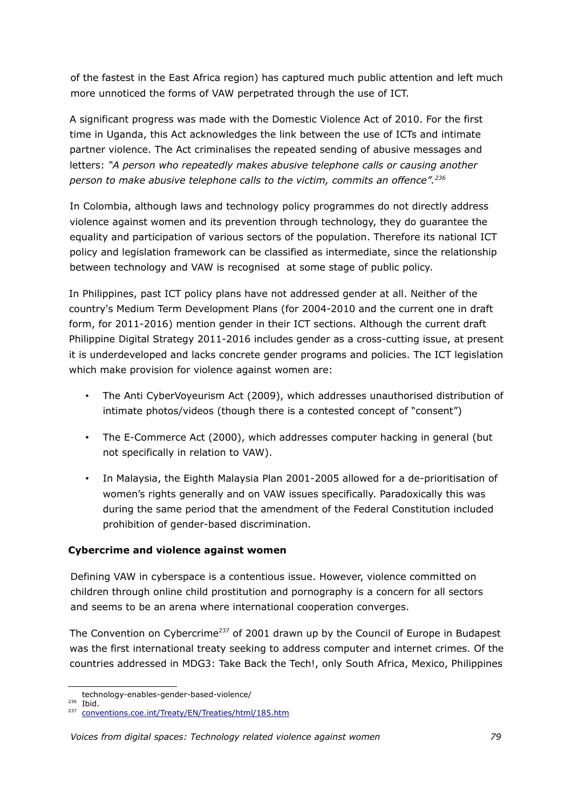of the fastest in the East Africa region) has captured much public attention and left much more unnoticed the forms of VAW perpetrated through the use of ICT.

A significant progress was made with the Domestic Violence Act of 2010. For the first time in Uganda, this Act acknowledges the link between the use of ICTs and intimate partner violence. The Act criminalises the repeated sending of abusive messages and letters: *"A person who repeatedly makes abusive telephone calls or causing another person to make abusive telephone calls to the victim, commits an offence".[236](#page-78-0)*

In Colombia, although laws and technology policy programmes do not directly address violence against women and its prevention through technology, they do guarantee the equality and participation of various sectors of the population. Therefore its national ICT policy and legislation framework can be classified as intermediate, since the relationship between technology and VAW is recognised at some stage of public policy.

In Philippines, past ICT policy plans have not addressed gender at all. Neither of the country's Medium Term Development Plans (for 2004-2010 and the current one in draft form, for 2011-2016) mention gender in their ICT sections. Although the current draft Philippine Digital Strategy 2011-2016 includes gender as a cross-cutting issue, at present it is underdeveloped and lacks concrete gender programs and policies. The ICT legislation which make provision for violence against women are:

- The Anti CyberVoyeurism Act (2009), which addresses unauthorised distribution of intimate photos/videos (though there is a contested concept of "consent")
- The E-Commerce Act (2000), which addresses computer hacking in general (but not specifically in relation to VAW).
- In Malaysia, the Eighth Malaysia Plan 2001-2005 allowed for a de-prioritisation of women's rights generally and on VAW issues specifically. Paradoxically this was during the same period that the amendment of the Federal Constitution included prohibition of gender-based discrimination.

## **Cybercrime and violence against women**

Defining VAW in cyberspace is a contentious issue. However, violence committed on children through online child prostitution and pornography is a concern for all sectors and seems to be an arena where international cooperation converges.

The Convention on Cybercrime<sup>[237](#page-78-1)</sup> of 2001 drawn up by the Council of Europe in Budapest was the first international treaty seeking to address computer and internet crimes. Of the countries addressed in MDG3: Take Back the Tech!, only South Africa, Mexico, Philippines

technology-enables-gender-based-violence/

<span id="page-78-0"></span><sup>236</sup> Ibid.

<span id="page-78-1"></span><sup>&</sup>lt;sup>237</sup> [conventions.coe.int/Treaty/EN/Treaties/html/185.htm](http://conventions.coe.int/Treaty/EN/Treaties/html/185.htm)

*Voices from digital spaces: Technology related violence against women 79*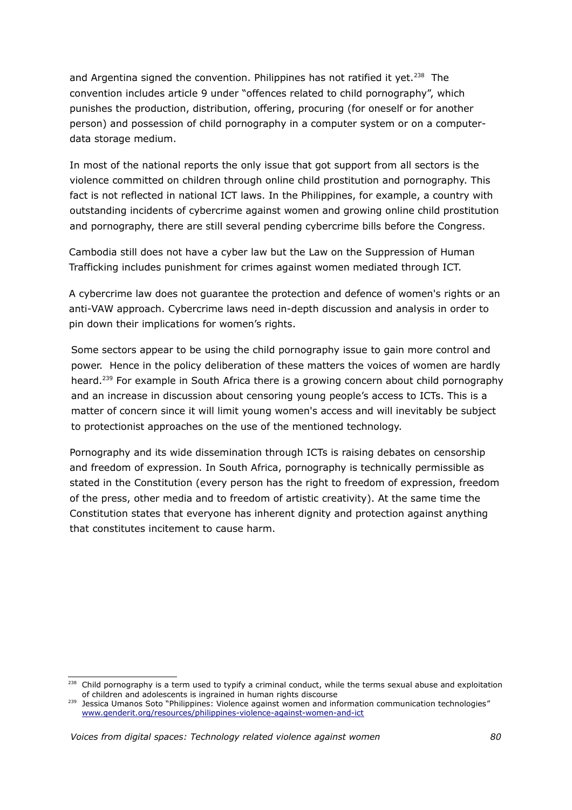and Argentina signed the convention. Philippines has not ratified it yet.<sup>[238](#page-79-0)</sup> The convention includes article 9 under "offences related to child pornography", which punishes the production, distribution, offering, procuring (for oneself or for another person) and possession of child pornography in a computer system or on a computerdata storage medium.

In most of the national reports the only issue that got support from all sectors is the violence committed on children through online child prostitution and pornography. This fact is not reflected in national ICT laws. In the Philippines, for example, a country with outstanding incidents of cybercrime against women and growing online child prostitution and pornography, there are still several pending cybercrime bills before the Congress.

Cambodia still does not have a cyber law but the Law on the Suppression of Human Trafficking includes punishment for crimes against women mediated through ICT.

A cybercrime law does not guarantee the protection and defence of women's rights or an anti-VAW approach. Cybercrime laws need in-depth discussion and analysis in order to pin down their implications for women's rights.

Some sectors appear to be using the child pornography issue to gain more control and power. Hence in the policy deliberation of these matters the voices of women are hardly heard.<sup>[239](#page-79-1)</sup> For example in South Africa there is a growing concern about child pornography and an increase in discussion about censoring young people's access to ICTs. This is a matter of concern since it will limit young women's access and will inevitably be subject to protectionist approaches on the use of the mentioned technology.

Pornography and its wide dissemination through ICTs is raising debates on censorship and freedom of expression. In South Africa, pornography is technically permissible as stated in the Constitution (every person has the right to freedom of expression, freedom of the press, other media and to freedom of artistic creativity). At the same time the Constitution states that everyone has inherent dignity and protection against anything that constitutes incitement to cause harm.

<span id="page-79-0"></span><sup>&</sup>lt;sup>238</sup> Child pornography is a term used to typify a criminal conduct, while the terms sexual abuse and exploitation of children and adolescents is ingrained in human rights discourse

<span id="page-79-1"></span><sup>239</sup> Jessica Umanos Soto "Philippines: Violence against women and information communication technologies" [www.genderit.org/resources/philippines-violence-against-women-and-ict](http://www.genderit.org/resources/philippines-violence-against-women-and-ict)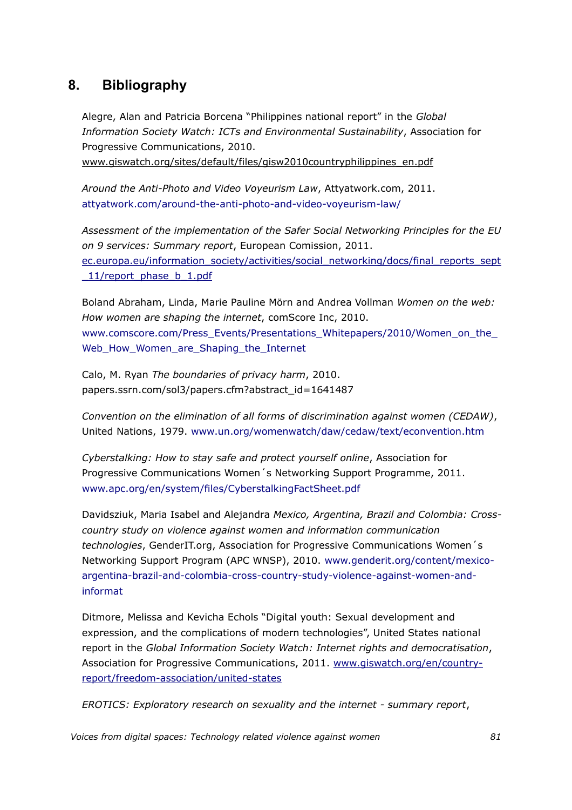## **8. Bibliography**

Alegre, Alan and Patricia Borcena "Philippines national report" in the *Global Information Society Watch: ICTs and Environmental Sustainability*, Association for Progressive Communications, 2010. [www.giswatch.org/sites/default/files/gisw2010countryphilippines\\_en.pdf](http://www.giswatch.org/sites/default/files/gisw2010countryphilippines_en.pdf)

*Around the Anti-Photo and Video Voyeurism Law*, Attyatwork.com, 2011. attyatwork.com/around-the-anti-photo-and-video-voyeurism-law/

*Assessment of the implementation of the Safer Social Networking Principles for the EU on 9 services: Summary report*, European Comission, 2011. ec.europa.eu/information\_society/activities/social\_networking/docs/final\_reports\_sept \_11/report\_phase\_b\_1.pdf

Boland Abraham, Linda, Marie Pauline Mörn and Andrea Vollman *Women on the web: How women are shaping the internet*, comScore Inc, 2010. www.comscore.com/Press\_Events/Presentations\_Whitepapers/2010/Women\_on\_the Web\_How\_Women\_are\_Shaping\_the\_Internet

Calo, M. Ryan *The boundaries of privacy harm*, 2010. papers.ssrn.com/sol3/papers.cfm?abstract\_id=1641487

*Convention on the elimination of all forms of discrimination against women (CEDAW)*, United Nations, 1979. www.un.org/womenwatch/daw/cedaw/text/econvention.htm

*Cyberstalking: How to stay safe and protect yourself online*, Association for Progressive Communications Women´s Networking Support Programme, 2011. www.apc.org/en/system/files/CyberstalkingFactSheet.pdf

Davidsziuk, Maria Isabel and Alejandra *Mexico, Argentina, Brazil and Colombia: Crosscountry study on violence against women and information communication technologies*, GenderIT.org, Association for Progressive Communications Women´s Networking Support Program (APC WNSP), 2010. www.genderit.org/content/mexicoargentina-brazil-and-colombia-cross-country-study-violence-against-women-andinformat

Ditmore, Melissa and Kevicha Echols "Digital youth: Sexual development and expression, and the complications of modern technologies", United States national report in the *Global Information Society Watch: Internet rights and democratisation*, Association for Progressive Communications, 2011. [www.giswatch.org/en/country](http://www.giswatch.org/en/country-report/freedom-association/united-states)[report/freedom-association/united-states](http://www.giswatch.org/en/country-report/freedom-association/united-states)

*EROTICS: Exploratory research on sexuality and the internet - summary report*,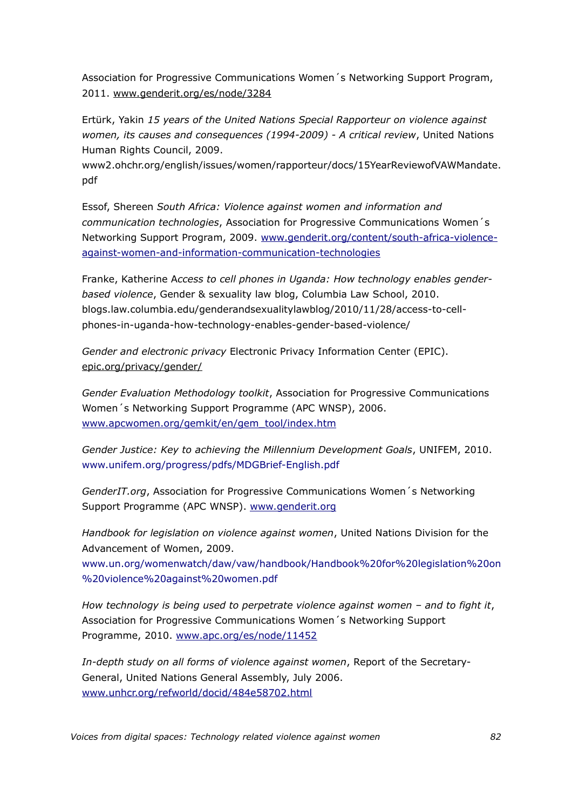Association for Progressive Communications Women´s Networking Support Program, 2011. [www.genderit.org/es/node/3284](http://www.genderit.org/es/node/3284)

Ertürk, Yakin *15 years of the United Nations Special Rapporteur on violence against women, its causes and consequences (1994-2009) - A critical review*, United Nations Human Rights Council, 2009.

www2.ohchr.org/english/issues/women/rapporteur/docs/15YearReviewofVAWMandate. pdf

Essof, Shereen *South Africa: Violence against women and information and communication technologies*, Association for Progressive Communications Women´s Networking Support Program, 2009. [www.genderit.org/content/south-africa-violence](http://www.genderit.org/content/south-africa-violence-against-women-and-information-communication-technologies)[against-women-and-information-communication-technologies](http://www.genderit.org/content/south-africa-violence-against-women-and-information-communication-technologies)

Franke, Katherine A*ccess to cell phones in Uganda: How technology enables genderbased violence*, Gender & sexuality law blog, Columbia Law School, 2010. blogs.law.columbia.edu/genderandsexualitylawblog/2010/11/28/access-to-cellphones-in-uganda-how-technology-enables-gender-based-violence/

*Gender and electronic privacy* Electronic Privacy Information Center (EPIC). [epic.org/privacy/gender/](http://epic.org/privacy/gender/)

*Gender Evaluation Methodology toolkit*, Association for Progressive Communications Women´s Networking Support Programme (APC WNSP), 2006. [www.apcwomen.org/gemkit/en/gem\\_tool/index.htm](http://www.apcwomen.org/gemkit/en/gem_tool/index.htm)

*Gender Justice: Key to achieving the Millennium Development Goals*, UNIFEM, 2010. www.unifem.org/progress/pdfs/MDGBrief-English.pdf

*GenderIT.org*, Association for Progressive Communications Women´s Networking Support Programme (APC WNSP). [www.genderit.org](http://www.genderit.org/articles/internet-governance-issues-sexuality-and-womens-rights)

*Handbook for legislation on violence against women*, United Nations Division for the Advancement of Women, 2009.

www.un.org/womenwatch/daw/vaw/handbook/Handbook%20for%20legislation%20on %20violence%20against%20women.pdf

*How technology is being used to perpetrate violence against women – and to fight it*, Association for Progressive Communications Women´s Networking Support Programme, 2010. [www.apc.org/es/node/11452](http://www.apc.org/es/node/11452)

*In-depth study on all forms of violence against women*, Report of the Secretary-General, United Nations General Assembly, July 2006. [www.unhcr.org/refworld/docid/484e58702.html](http://www.unhcr.org/refworld/docid/484e58702.html)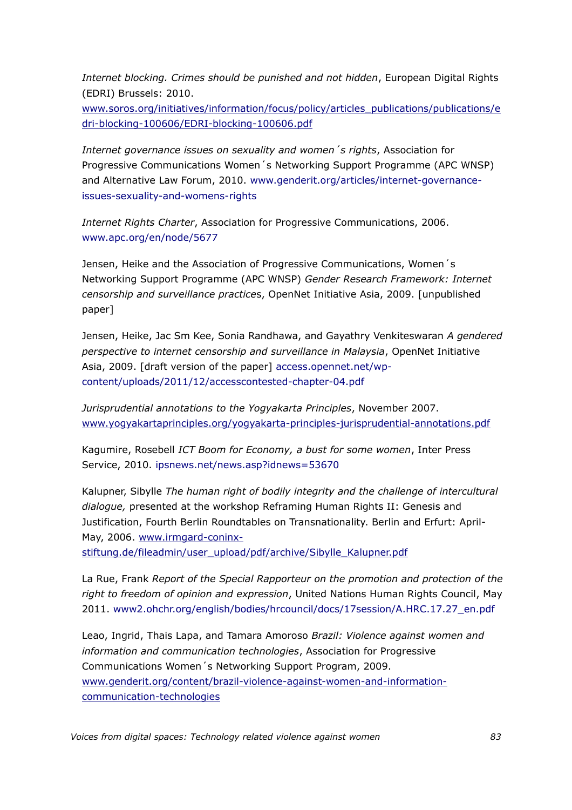*Internet blocking. Crimes should be punished and not hidden*, European Digital Rights (EDRI) Brussels: 2010.

[www.soros.org/initiatives/information/focus/policy/articles\\_publications/publications/e](http://www.soros.org/initiatives/information/focus/policy/articles_publications/publications/edri-blocking-100606/EDRI-blocking-100606.pdf) [dri-blocking-100606/EDRI-blocking-100606.pdf](http://www.soros.org/initiatives/information/focus/policy/articles_publications/publications/edri-blocking-100606/EDRI-blocking-100606.pdf)

*Internet governance issues on sexuality and women´s rights*, Association for Progressive Communications Women´s Networking Support Programme (APC WNSP) and Alternative Law Forum, 2010. www.genderit.org/articles/internet-governanceissues-sexuality-and-womens-rights

*Internet Rights Charter*, Association for Progressive Communications, 2006. www.apc.org/en/node/5677

Jensen, Heike and the Association of Progressive Communications, Women´s Networking Support Programme (APC WNSP) *Gender Research Framework: Internet censorship and surveillance practice*s, OpenNet Initiative Asia, 2009. [unpublished paper]

Jensen, Heike, Jac Sm Kee, Sonia Randhawa, and Gayathry Venkiteswaran *A gendered perspective to internet censorship and surveillance in Malaysia*, OpenNet Initiative Asia, 2009. [draft version of the paper] access.opennet.net/wpcontent/uploads/2011/12/accesscontested-chapter-04.pdf

*Jurisprudential annotations to the Yogyakarta Principles*, November 2007. [www.yogyakartaprinciples.org/yogyakarta-principles-jurisprudential-annotations.pdf](http://www.yogyakartaprinciples.org/yogyakarta-principles-jurisprudential-annotations.pdf) 

Kagumire, Rosebell *ICT Boom for Economy, a bust for some women*, Inter Press Service, 2010. ipsnews.net/news.asp?idnews=53670

Kalupner, Sibylle *The human right of bodily integrity and the challenge of intercultural dialogue,* presented at the workshop Reframing Human Rights II: Genesis and Justification, Fourth Berlin Roundtables on Transnationality. Berlin and Erfurt: AprilMay, 2006. [www.irmgard-coninx-](http://www.irmgard-coninx-stiftung.de/fileadmin/user_upload/pdf/archive/Sibylle_Kalupner.pdf)

[stiftung.de/fileadmin/user\\_upload/pdf/archive/Sibylle\\_Kalupner.pdf](http://www.irmgard-coninx-stiftung.de/fileadmin/user_upload/pdf/archive/Sibylle_Kalupner.pdf)

La Rue, Frank *Report of the Special Rapporteur on the promotion and protection of the right to freedom of opinion and expression*, United Nations Human Rights Council, May 2011. www2.ohchr.org/english/bodies/hrcouncil/docs/17session/A.HRC.17.27\_en.pdf

Leao, Ingrid, Thais Lapa, and Tamara Amoroso *Brazil: Violence against women and information and communication technologies*, Association for Progressive Communications Women´s Networking Support Program, 2009. [www.genderit.org/content/brazil-violence-against-women-and-information](http://www.genderit.org/content/brazil-violence-against-women-and-information-communication-technologies)[communication-technologies](http://www.genderit.org/content/brazil-violence-against-women-and-information-communication-technologies)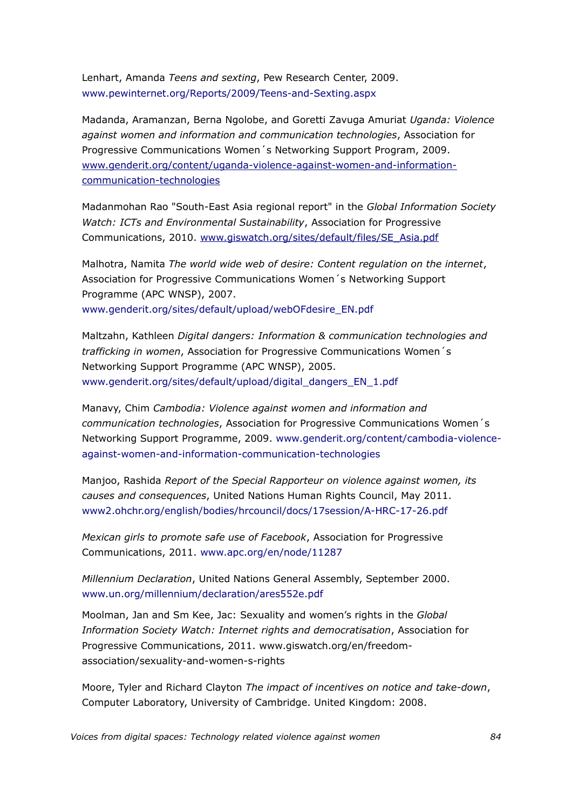Lenhart, Amanda *Teens and sexting*, Pew Research Center, 2009. www.pewinternet.org/Reports/2009/Teens-and-Sexting.aspx

Madanda, Aramanzan, Berna Ngolobe, and Goretti Zavuga Amuriat *Uganda: Violence against women and information and communication technologies*, Association for Progressive Communications Women´s Networking Support Program, 2009. [www.genderit.org/content/uganda-violence-against-women-and-information](http://www.genderit.org/content/uganda-violence-against-women-and-information-communication-technologies)[communication-technologies](http://www.genderit.org/content/uganda-violence-against-women-and-information-communication-technologies)

Madanmohan Rao "South-East Asia regional report" in the *Global Information Society Watch: ICTs and Environmental Sustainability*, Association for Progressive Communications, 2010. [www.giswatch.org/sites/default/files/SE\\_Asia.pdf](http://www.giswatch.org/sites/default/files/SE_Asia.pdf)

Malhotra, Namita *The world wide web of desire: Content regulation on the internet*, Association for Progressive Communications Women´s Networking Support Programme (APC WNSP), 2007. www.genderit.org/sites/default/upload/webOFdesire\_EN.pdf

Maltzahn, Kathleen *Digital dangers: Information & communication technologies and trafficking in women*, Association for Progressive Communications Women´s Networking Support Programme (APC WNSP), 2005. www.genderit.org/sites/default/upload/digital\_dangers\_EN\_1.pdf

Manavy, Chim *Cambodia: Violence against women and information and communication technologies*, Association for Progressive Communications Women´s Networking Support Programme, 2009. www.genderit.org/content/cambodia-violenceagainst-women-and-information-communication-technologies

Manjoo, Rashida *Report of the Special Rapporteur on violence against women, its causes and consequences*, United Nations Human Rights Council, May 2011. www2.ohchr.org/english/bodies/hrcouncil/docs/17session/A-HRC-17-26.pdf

*Mexican girls to promote safe use of Facebook*, Association for Progressive Communications, 2011. www.apc.org/en/node/11287

*Millennium Declaration*, United Nations General Assembly, September 2000. www.un.org/millennium/declaration/ares552e.pdf

Moolman, Jan and Sm Kee, Jac: Sexuality and women's rights in the *Global Information Society Watch: Internet rights and democratisation*, Association for Progressive Communications, 2011. www.giswatch.org/en/freedomassociation/sexuality-and-women-s-rights

Moore, Tyler and Richard Clayton *The impact of incentives on notice and take-down*, Computer Laboratory, University of Cambridge. United Kingdom: 2008.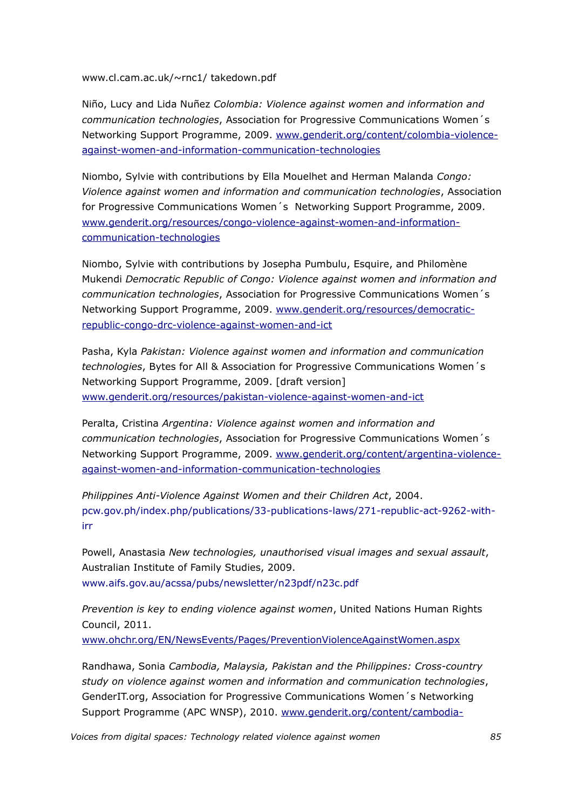www.cl.cam.ac.uk/~rnc1/ takedown.pdf

Niño, Lucy and Lida Nuñez *Colombia: Violence against women and information and communication technologies*, Association for Progressive Communications Women´s Networking Support Programme, 2009. [www.genderit.org/content/colombia-violence](http://www.genderit.org/content/colombia-violence-against-women-and-information-communication-technologies)[against-women-and-information-communication-technologies](http://www.genderit.org/content/colombia-violence-against-women-and-information-communication-technologies)

Niombo, Sylvie with contributions by Ella Mouelhet and Herman Malanda *Congo: Violence against women and information and communication technologies*, Association for Progressive Communications Women´s Networking Support Programme, 2009. [www.genderit.org/resources/congo-violence-against-women-and-information](http://www.genderit.org/resources/congo-violence-against-women-and-information-communication-technologies)[communication-technologies](http://www.genderit.org/resources/congo-violence-against-women-and-information-communication-technologies)

Niombo, Sylvie with contributions by Josepha Pumbulu, Esquire, and Philomène Mukendi *Democratic Republic of Congo: Violence against women and information and communication technologies*, Association for Progressive Communications Women´s Networking Support Programme, 2009. [www.genderit.org/resources/democratic](http://www.genderit.org/resources/democratic-republic-congo-drc-violence-against-women-and-ict)[republic-congo-drc-violence-against-women-and-ict](http://www.genderit.org/resources/democratic-republic-congo-drc-violence-against-women-and-ict)

Pasha, Kyla *Pakistan: Violence against women and information and communication technologies*, Bytes for All & Association for Progressive Communications Women´s Networking Support Programme, 2009. [draft version] [www.genderit.org/resources/pakistan-violence-against-women-and-ict](http://www.genderit.org/resources/pakistan-violence-against-women-and-ict)

Peralta, Cristina *Argentina: Violence against women and information and communication technologies*, Association for Progressive Communications Women´s Networking Support Programme, 2009. [www.genderit.org/content/argentina-violence](http://www.genderit.org/content/argentina-violence-against-women-and-information-communication-technologies)  [against-women-and- information-communication-technologies](http://www.genderit.org/content/argentina-violence-against-women-and-information-communication-technologies)

*Philippines Anti-Violence Against Women and their Children Act*, 2004. pcw.gov.ph/index.php/publications/33-publications-laws/271-republic-act-9262-withirr

Powell, Anastasia *New technologies, unauthorised visual images and sexual assault*, Australian Institute of Family Studies, 2009. www.aifs.gov.au/acssa/pubs/newsletter/n23pdf/n23c.pdf

*Prevention is key to ending violence against women*, United Nations Human Rights Council, 2011.

[www.ohchr.org/EN/NewsEvents/Pages/PreventionViolenceAgainstWomen.aspx](http://www.ohchr.org/EN/NewsEvents/Pages/PreventionViolenceAgainstWomen.aspx)

Randhawa, Sonia *Cambodia, Malaysia, Pakistan and the Philippines: Cross-country study on violence against women and information and communication technologies*, GenderIT.org, Association for Progressive Communications Women´s Networking Support Programme (APC WNSP), 2010. [www.genderit.org/content/cambodia-](http://www.genderit.org/content/cambodia-malaysia-pakistan-and-philippines-cross-country-study-violence-against-women-and-in)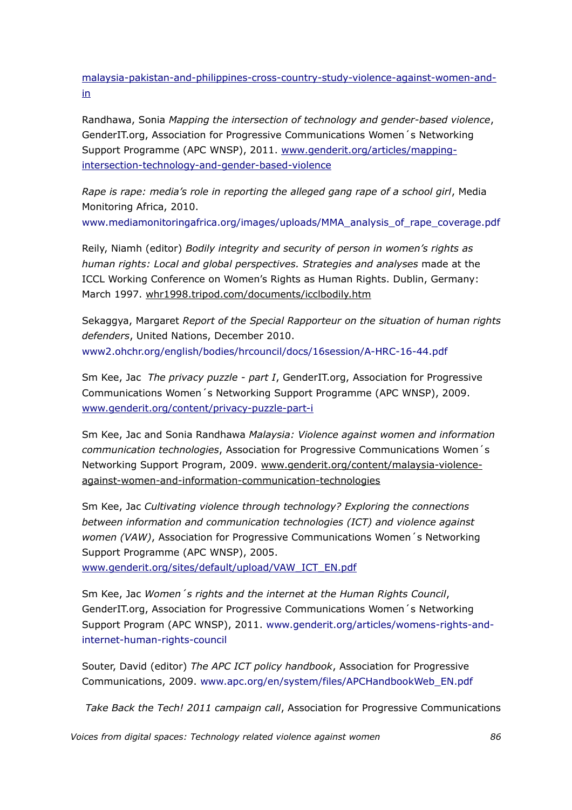[malaysia-pakistan-and-philippines-cross- country-study-violence-against-women-and](http://www.genderit.org/content/cambodia-malaysia-pakistan-and-philippines-cross-country-study-violence-against-women-and-in)[in](http://www.genderit.org/content/cambodia-malaysia-pakistan-and-philippines-cross-country-study-violence-against-women-and-in)

Randhawa, Sonia *Mapping the intersection of technology and gender-based violence*, GenderIT.org, Association for Progressive Communications Women´s Networking Support Programme (APC WNSP), 2011. [www.genderit.org/articles/mapping](http://www.genderit.org/articles/mapping-intersection-technology-and-gender-based-violence)[intersection-technology-and-gender-based-violence](http://www.genderit.org/articles/mapping-intersection-technology-and-gender-based-violence)

*Rape is rape: media's role in reporting the alleged gang rape of a school girl*, Media Monitoring Africa, 2010.

www.mediamonitoringafrica.org/images/uploads/MMA\_analysis\_of\_rape\_coverage.pdf

Reily, Niamh (editor) *Bodily integrity and security of person in women's rights as human rights: Local and global perspectives. Strategies and analyses* made at the ICCL Working Conference on Women's Rights as Human Rights. Dublin, Germany: March 1997. [whr1998.tripod.com/documents/icclbodily.htm](http://whr1998.tripod.com/documents/icclbodily.htm)

Sekaggya, Margaret *Report of the Special Rapporteur on the situation of human rights defenders*, United Nations, December 2010. www2.ohchr.org/english/bodies/hrcouncil/docs/16session/A-HRC-16-44.pdf

Sm Kee, Jac *The privacy puzzle - part I*, GenderIT.org, Association for Progressive Communications Women´s Networking Support Programme (APC WNSP), 2009. [www.genderit.org/content/privacy-puzzle-part-i](http://www.genderit.org/content/privacy-puzzle-part-i)

Sm Kee, Jac and Sonia Randhawa *Malaysia: Violence against women and information communication technologies*, Association for Progressive Communications Women´s Networking Support Program, 2009. [www.genderit.org/content/malaysia-violence](http://www.genderit.org/content/malaysia-violence-against-women-and-information-communication-technologies)[against-women-and-information-communication-technologies](http://www.genderit.org/content/malaysia-violence-against-women-and-information-communication-technologies)

Sm Kee, Jac *Cultivating violence through technology? Exploring the connections between information and communication technologies (ICT) and violence against women (VAW)*, Association for Progressive Communications Women´s Networking Support Programme (APC WNSP), 2005.

[www.genderit.org/sites/default/upload/VAW\\_ICT\\_EN.pdf](http://www.genderit.org/sites/default/upload/VAW_ICT_EN.pdf)

Sm Kee, Jac *Women´s rights and the internet at the Human Rights Council*, GenderIT.org, Association for Progressive Communications Women´s Networking Support Program (APC WNSP), 2011. www.genderit.org/articles/womens-rights-andinternet-human-rights-council

Souter, David (editor) *The APC ICT policy handbook*, Association for Progressive Communications, 2009. www.apc.org/en/system/files/APCHandbookWeb\_EN.pdf

*Take Back the Tech! 2011 campaign call*, Association for Progressive Communications